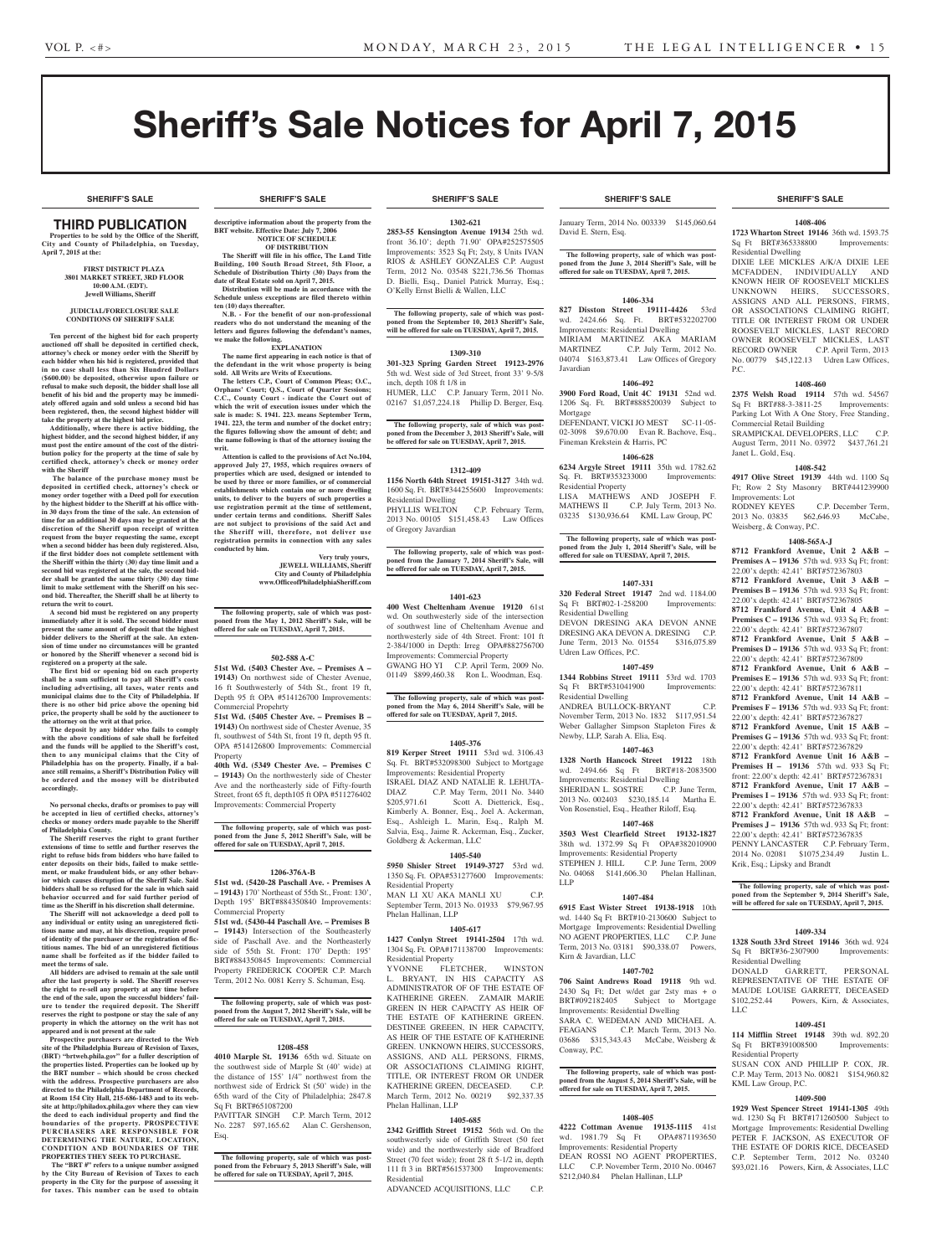**SHERIFF'S SALE SHERIFF'S SALE SHERIFF'S SALE SHERIFF'S SALE SHERIFF'S SALE**

# Sheriff's Sale Notices for April 7, 2015

# THIRD PUBLICATION

**Properties to be sold by the Office of the Sheriff, City and County of Philadelphia, on Tuesday, April 7, 2015 at the:** 

# **First District Plaza 3801 Market Street, 3rd Floor 10:00 A.M. (EDT). Jewell Williams, Sheriff**

### **JUDICIAL/FORECLOSURE SALE CONDITIONS OF SHERIFF SALE**

**Ten percent of the highest bid for each property auctioned off shall be deposited in certified check, attorney's check or money order with the Sheriff by each bidder when his bid is registered, provided that in no case shall less than Six Hundred Dollars (\$600.00) be deposited, otherwise upon failure or refusal to make such deposit, the bidder shall lose all benefit of his bid and the property may be immediately offered again and sold unless a second bid has been registered, then, the second highest bidder will take the property at the highest bid price.**

**Additionally, where there is active bidding, the highest bidder, and the second highest bidder, if any must post the entire amount of the cost of the distribution policy for the property at the time of sale by certified check, attorney's check or money order with the Sheriff**

 **The balance of the purchase money must be deposited in certified check, attorney's check or money order together with a Deed poll for execution by the highest bidder to the Sheriff at his office within 30 days from the time of the sale. An extension of time for an additional 30 days may be granted at the discretion of the Sheriff upon receipt of written request from the buyer requesting the same, except when a second bidder has been duly registered. Also, if the first bidder does not complete settlement with the Sheriff within the thirty (30) day time limit and a second bid was registered at the sale, the second bidder shall be granted the same thirty (30) day time limit to make settlement with the Sheriff on his second bid. Thereafter, the Sheriff shall be at liberty to return the writ to court. A second bid must be registered on any property** 

**immediately after it is sold. The second bidder must present the same amount of deposit that the highest bidder delivers to the Sheriff at the sale. An exten-sion of time under no circumstances will be granted or honored by the Sheriff whenever a second bid is registered on a property at the sale.** 

**The first bid or opening bid on each property shall be a sum sufficient to pay all Sheriff's costs including advertising, all taxes, water rents and municipal claims due to the City of Philadelphia. If there is no other bid price above the opening bid price, the property shall be sold by the auctioneer to the attorney on the writ at that price. The deposit by any bidder who fails to comply** 

**with the above conditions of sale shall be forfeited and the funds will be applied to the Sheriff's cost, then to any municipal claims that the City of Philadelphia has on the property. Finally, if a bal-ance still remains, a Sheriff's Distribution Policy will be ordered and the money will be distributed accordingly.**

**No personal checks, drafts or promises to pay will be accepted in lieu of certified checks, attorney's checks or money orders made payable to the Sheriff of Philadelphia County.**

**The Sheriff reserves the right to grant further extensions of time to settle and further reserves the right to refuse bids from bidders who have failed to enter deposits on their bids, failed to make settlement, or make fraudulent bids, or any other behavior which causes disruption of the Sheriff Sale. Said bidders shall be so refused for the sale in which said behavior occurred and for said further period of time as the Sheriff in his discretion shall determine.**

**The Sheriff will not acknowledge a deed poll to any individual or entity using an unregistered fictitious name and may, at his discretion, require proof of identity of the purchaser or the registration of fictitious names. The bid of an unregistered fictitious name shall be forfeited as if the bidder failed to meet the terms of sale.**

**All bidders are advised to remain at the sale until after the last property is sold. The Sheriff reserves the right to re-sell any property at any time before the end of the sale, upon the successful bidders' failure to tender the required deposit. The Sheriff reserves the right to postpone or stay the sale of any property in which the attorney on the writ has not appeared and is not present at the sale**

**Prospective purchasers are directed to the Web site of the Philadelphia Bureau of Revision of Taxes, (BRT) "brtweb.phila.gov" for a fuller description of the properties listed. Properties can be looked up by the BRT number – which should be cross checked with the address. Prospective purchasers are also directed to the Philadelphia Department of Records, at Room 154 City Hall, 215-686-1483 and to its web-site at http://philadox.phila.gov where they can view the deed to each individual property and find the boundaries of the property. PROSPECTIVE PURCHASERS ARE RESPONSIBLE FOR DETERMINING THE NATURE, LOCATION, CONDITION AND BOUNDARIES OF THE PROPERTIES THEY SEEK TO PURCHASE.**

 **The "BRT #" refers to a unique number assigned by the City Bureau of Revision of Taxes to each property in the City for the purpose of assessing it for taxes. This number can be used to obtain** 

# **SHERIFF'S SALE SHERIFF'S SALE SHERIFF'S SALE SHERIFF'S SALE SHERIFF'S SALE**

**descriptive information about the property from the BRT** website. Effective Date: July 7, 20 **NOTICE OF SCHEDULE OF DISTRIBUTION**

**The Sheriff will file in his office, The Land Title Building, 100 South Broad Street, 5th Floor, a Schedule of Distribution Thirty (30) Days from the** 

**date of Real Estate sold on April 7, 2015. Distribution will be made in accordance with the Schedule unless exceptions are filed thereto within ten (10) days thereafter.**

**N.B.** - For the benefit of our non-profession **readers who do not understand the meaning of the letters and figures following the defendant's names, we make the following.**

### **EXPLANATION**

**The name first appearing in each notice is that of the defendant in the writ whose property is being sold. All Writs are Writs of Executions. The letters C.P., Court of Common Pleas; O.C.,** 

**Orphans' Court; Q.S., Court of Quarter Sessions; C.C., County Court - indicate the Court out of which the writ of execution issues under which the**  sale is made: S. 1941. 223. means September Term **1941. 223, the term and number of the docket entry; the figures following show the amount of debt; and the name following is that of the attorney issuing the writ.**

**Attention is called to the provisions of Act No.104, approved July 27, 1955, which requires owners of**  perties which are used, designed or intended to **be used by three or more families, or of commercial establishments which contain one or more dwelling**  units, to deliver to the buyers of such properties a **use registration permit at the time of settlement, under certain terms and conditions. Sheriff Sales are not subject to provisions of the said Act and the Sheriff will, therefore, not deliver use registration permits in connection with any sales conducted by him.**

> **Very truly yours, JEWELL WILLIAMS, Sheriff City and County of Philadelphia www.OfficeofPhiladelphiaSheriff.com**

**The following property, sale of which was postponed from the May 1, 2012 Sheriff's Sale, will be offered for sale on TUESDAY, April 7, 2015.**

### **502-588 A-C**

**51st Wd. (5403 Chester Ave. – Premises A – 19143)** On northwest side of Chester Avenue, 16 ft Southwesterly of 54th St., front 19 ft, Depth 95 ft OPA #514126700 Improvements: Commercial Propehrty

**51st Wd. (5405 Chester Ave. – Premises B – 19143)** On northwest side of Chester Avenue, 35 ft, southwest of 54th St, front 19 ft, depth 95 ft. OPA #514126800 Improvements: Commercial Property

**40th Wd. (5349 Chester Ave. – Premises C – 19143)** On the northwesterly side of Chester Ave and the northeasterly side of Fifty-fourth Street, front 65 ft, depth105 ft OPA #511276402 Improvements: Commercial Property

**The following property, sale of which was postponed from the June 5, 2012 Sheriff's Sale, will be offered for sale on TUESDAY, April 7, 2015.**

### **1206-376A-B**

**51st wd. (5420-28 Paschall Ave. - Premises A – 19143)** 170' Northeast of 55th St., Front: 130', Depth 195' BRT#884350840 Improvements: Commercial Property

**51st wd. (5430-44 Paschall Ave. – Premises B – 19143)** Intersection of the Southeasterly side of Paschall Ave. and the Northeasterly side of 55th St. Front: 170' Depth: 195' BRT#884350845 Improvements: Commercial Property FREDERICK COOPER C.P. March Term, 2012 No. 0081 Kerry S. Schuman, Esq.

# **The following property, sale of which was post-poned from the August 7, 2012 Sheriff's Sale, will be offered for sale on TUESDAY, April 7, 2015.**

### **1208-458**

**4010 Marple St. 19136** 65th wd. Situate on the southwest side of Marple St (40' wide) at the distance of 155' 1/4" northwest from the northwest side of Erdrick St (50' wide) in the 65th ward of the City of Philadelphia; 2847.8 Sq Ft BRT#651087200 PAVITTAR SINGH C.P. March Term, 2012

No. 2287 \$97,165.62 Alan C. Gershenson, Esq.

**The following property, sale of which was post-poned from the February 5, 2013 Sheriff's Sale, will be offered for sale on TUESDAY, April 7, 2015.**

### **1302-621**

**2853-55 Kensington Avenue 19134** 25th wd. front 36.10'; depth 71.90' OPA#252575505 Improvements: 3523 Sq Ft; 2sty, 8 Units IVAN RIOS & ASHLEY GONZALES C.P. August Term, 2012 No. 03548 \$221,736.56 Thomas D. Bielli, Esq., Daniel Patrick Murray, Esq.; O'Kelly Ernst Bielli & Wallen, LLC

**The following property, sale of which was postponed from the September 10, 2013 Sheriff's Sale, will be offered for sale on TUESDAY, April 7, 2015.**

**1309-310**

**301-323 Spring Garden Street 19123-2976**  5th wd. West side of 3rd Street, front 33' 9-5/8 inch, depth 108 ft 1/8 in

HUMER, LLC C.P. January Term, 2011 No. 02167 \$1,057,224.18 Phillip D. Berger, Esq.

**The following property, sale of which was post-poned from the December 3, 2013 Sheriff's Sale, will be offered for sale on TUESDAY, April 7, 2015.**

### **1312-409**

**1156 North 64th Street 19151-3127** 34th wd. 1600 Sq. Ft. BRT#344255600 Improvements: Residential Dwelling<br>PHYLLIS WELTON C.P. February Term, 2013 No. 00105 \$151,458.43 Law Offices

of Gregory Javardian **The following property, sale of which was post-poned from the January 7, 2014 Sheriff's Sale, will** 

**be offered for sale on TUESDAY, April 7, 2015.**

# **1401-623**

**400 West Cheltenham Avenue 19120** 61st wd. On southwesterly side of the intersection of southwest line of Cheltenham Avenue and northwesterly side of 4th Street. Front: 101 ft 2-384/1000 in Depth: Irreg OPA#882756700 Improvements: Commercial Property GWANG HO YI C.P. April Term, 2009 No. 01149 \$899,460.38 Ron L. Woodman, Esq.

**The following property, sale of which was postponed from the May 6, 2014 Sheriff's Sale, will be offered for sale on TUESDAY, April 7, 2015.**

# **1405-376**

**819 Kerper Street 19111** 53rd wd. 3106.43 Sq. Ft. BRT#532098300 Subject to Mortgage Improvements: Residential Property ISRAEL DIAZ AND NATALIE R. LEHUTA-DIAZ C.P. May Term, 2011 No. 3440<br>\$205,971.61 Scott A. Dietterick, Esq., Scott A. Dietterick, Esq., Kimberly A. Bonner, Esq., Joel A. Ackerman, Esq., Ashleigh L. Marin, Esq., Ralph M. Salvia, Esq., Jaime R. Ackerman, Esq., Zucker, Goldberg & Ackerman, LLC

## **1405-540**

**5950 Shisler Street 19149-3727** 53rd wd. 1350 Sq. Ft. OPA#531277600 Improvements: Residential Property MAN LI XU AKA MANLI XU C.P. September Term, 2013 No. 01933 \$79,967.95 Phelan Hallinan, LLP

### **1405-617**

**1427 Conlyn Street 19141-2504** 17th wd. 1304 Sq. Ft. OPA#171138700 Improvements: Residential Property<br>YVONNE FLE

YVONNE FLETCHER, WINSTON L. BRYANT, IN HIS CAPACITY AS ADMINISTRATOR OF OF THE ESTATE OF KATHERINE GREEN. ZAMAIR MARIE GREEN IN HER CAPACITY AS HEIR OF THE ESTATE OF KATHERINE GREEN. DESTINEE GREEEN, IN HER CAPACITY, AS HEIR OF THE ESTATE OF KATHERINE GREEN. UNKNOWN HEIRS, SUCCESSORS, ASSIGNS, AND ALL PERSONS, FIRMS, OR ASSOCIATIONS CLAIMING RIGHT, TITLE, OR INTEREST FROM OR UNDER KATHERINE GREEN, DECEASED. C.P. March Term, 2012 No. 00219 \$92,337.35 Phelan Hallinan, LLP

### **1405-685**

**2342 Griffith Street 19152** 56th wd. On the southwesterly side of Griffith Street (50 feet wide) and the northwesterly side of Bradford Street (70 feet wide); front 28 ft 5-1/2 in, depth 111 ft 3 in BRT#561537300 Improvements: Residential

ADVANCED ACQUISITIONS, LLC C.P.

January Term, 2014 No. 003339 \$145,060.64 David E. Stern, Esq.

### **The following property, sale of which was postponed from the June 3, 2014 Sheriff's Sale, will be offered for sale on TUESDAY, April 7, 2015.**

### **1406-334**

**827 Disston Street 19111-4426** 53rd wd. 2424.66 Sq. Ft. BRT#532202700 Improvements: Residential Dwelling MIRIAM MARTINEZ AKA MARIAM<br>MARTINEZ C.P. July Term, 2012 No. C.P. July Term, 2012 No. 04074 \$163,873.41 Law Offices of Gregory Javardian

### **1406-492**

**3900 Ford Road, Unit 4C 19131** 52nd wd. 1206 Sq. Ft. BRT#888520039 Subject to Mortgage DEFENDANT, VICKI JO MEST SC-11-05-02-3098 \$9,670.00 Evan R. Bachove, Esq.,

Fineman Krekstein & Harris, PC **1406-628**

**6234 Argyle Street 19111** 35th wd. 1782.62 Sq. Ft. BRT#353233000 Improvements: Residential Property LISA MATHEWS AND JOSEPH F.<br>MATHEWS II C.P. July Term, 2013 No. C.P. July Term, 2013 No. 03235 \$130,936.64 KML Law Group, PC

**The following property, sale of which was postponed from the July 1, 2014 Sheriff's Sale, will be offered for sale on TUESDAY, April 7, 2015.**

### **1407-331**

**320 Federal Street 19147** 2nd wd. 1184.00<br>Sq Ft BRT#02-1-258200 Improvements: Sq Ft BRT#02-1-258200 Residential Dwelling DEVON DRESING AKA DEVON ANNE DRESING AKA DEVON A. DRESING C.P.<br>Iune Term 2013 No. 01554 \$316 075 89 June Term, 2013 No. 01554 Udren Law Offices, P.C.

### **1407-459**

**1344 Robbins Street 19111** 53rd wd. 1703 Sq Ft BRT#531041900 Improvements: Residential Dwelling ANDREA BULLOCK-BRYANT C.P. November Term, 2013 No. 1832 \$117,951.54 Weber Gallagher Simpson Stapleton Fires & Newby, LLP, Sarah A. Elia, Esq.

# **1407-463**

**1328 North Hancock Street 19122** 18th wd. 2494.66 Sq Ft BRT#18-2083500 Improvements: Residential Dwelling SHERIDAN L. SOSTRE C.P. June Term, 2013 No. 002403 \$230,185.14 Martha E. Von Rosenstiel, Esq., Heather Riloff, Esq.

# **1407-468**

**3503 West Clearfield Street 19132-1827**  38th wd. 1372.99 Sq Ft OPA#382010900 Improvements: Residential Property STEPHEN J. HILL C.P. June Term, 2009 No. 04068 \$141,606.30 Phelan Hallinan, LLP

### **1407-484**

**6915 East Wister Street 19138-1918** 10th wd. 1440 Sq Ft BRT#10-2130600 Subject to Mortgage Improvements: Residential Dwelling NO AGENT PROPERTIES, LLC C.P. June Term, 2013 No. 03181 \$90,338.07 Powers, Kirn & Javardian, LLC

### **1407-702**

**706 Saint Andrews Road 19118** 9th wd. 2430 Sq Ft; Det w/det gar 2sty mas + o BRT#092182405 Subject to Mortgage Improvements: Residential Dwelling SARA C. WEDEMAN AND MICHAEL A.<br>FEAGANS C.P. March Term, 2013 No. C.P. March Term, 2013 No. 03686 \$315,343.43 McCabe, Weisberg & Conway, P.C.

### **The following property, sale of which was postponed from the August 5, 2014 Sheriff's Sale, will be offered for sale on TUESDAY, April 7, 2015.**

### **1408-405**

**4222 Cottman Avenue 19135-1115** 41st wd. 1981.79 Sq Ft Improvements: Residential Property DEAN ROSSI NO AGENT PROPERTIES, LLC C.P. November Term, 2010 No. 00467 \$212,040.84 Phelan Hallinan, LLP

# **1408-406**

**1723 Wharton Street 19146** 36th wd. 1593.75 Sq Ft BRT#365338800 Improvements: Residential Dwelling DIXIE LEE MICKLES A/K/A DIXIE LEE MCFADDEN, INDIVIDUALLY AND KNOWN HEIR OF ROOSEVELT MICKLES UNKNOWN HEIRS SUCCESSORS ASSIGNS AND ALL PERSONS, FIRMS, OR ASSOCIATIONS CLAIMING RIGHT, TITLE OR INTEREST FROM OR UNDER ROOSEVELT MICKLES, LAST RECORD OWNER ROOSEVELT MICKLES, LAST RECORD OWNER C.P. April Term, 2013 No. 00779 \$45,122.13 Udren Law Offices, P.C.

# **1408-460**

**2375 Welsh Road 19114** 57th wd. 54567 Sq Ft BRT#88-3-3811-25 Improvements: Parking Lot With A One Story, Free Standing, Commercial Retail Building SRAMPICKAL DEVELOPERS, LLC C.P. August Term, 2011 No. 03972 \$437,761.21 Janet L. Gold, Esq.

**1408-542 4917 Olive Street 19139** 44th wd. 1100 Sq Ft; Row 2 Sty Masonry BRT#441239900

2013 No. 03835 \$62,646.93 McCabe,

**1408-565A-J 8712 Frankford Avenue, Unit 2 A&B – Premises A – 19136** 57th wd. 933 Sq Ft; front: 22.00'x depth: 42.41' BRT#572367803 **8712 Frankford Avenue, Unit 3 A&B – Premises B – 19136** 57th wd. 933 Sq Ft; front: 22.00'x depth: 42.41' BRT#572367805 **8712 Frankford Avenue, Unit 4 A&B – Premises C – 19136** 57th wd. 933 Sq Ft; front: 22.00'x depth: 42.41' BRT#572367807 **8712 Frankford Avenue, Unit 5 A&B – Premises D – 19136** 57th wd. 933 Sq Ft; front: 22.00'x depth: 42.41' BRT#572367809 **8712 Frankford Avenue, Unit 6 A&B – Premises E – 19136** 57th wd. 933 Sq Ft; front: 22.00'x depth: 42.41' BRT#572367811 **8712 Frankford Avenue, Unit 14 A&B – Premises F – 19136** 57th wd. 933 Sq Ft; front: 22.00'x depth: 42.41' BRT#572367827 **8712 Frankford Avenue, Unit 15 A&B – Premises G – 19136** 57th wd. 933 Sq Ft; front: 22.00'x depth: 42.41' BRT#572367829 **8712 Frankford Avenue Unit 16 A&B – Premises H – 19136** 57th wd. 933 Sq Ft; front: 22.00'x depth: 42.41' BRT#572367831 **8712 Frankford Avenue, Unit 17 A&B – Premises I – 19136** 57th wd. 933 Sq Ft; front: 22.00'x depth: 42.41' BRT#572367833 **8712 Frankford Avenue, Unit 18 A&B – Premises J – 19136** 57th wd. 933 Sq Ft; front: 22.00'x depth: 42.41' BRT#572367835 PENNY LANCASTER C.P. February Term, 2014 No. 02081 \$1075,234.49 Justin L.

C.P. December Term,

Improvements: Lot<br>RODNEY KEYES

Weisberg, & Conway, P.C.

Krik, Esq.; Lipsky and Brandt

Residential Dwelling<br>DONALD GARRETT,

Sq Ft BRT#391008500 Residential Property

KML Law Group, P.C.

LLC

**The following property, sale of which was postponed from the September 9, 2014 Sheriff's Sale, will be offered for sale on TUESDAY, April 7, 2015.**

**1409-334 1328 South 33rd Street 19146** 36th wd. 924 Sq Ft BRT#36-2307900 Improvements:

DONALD GARRETT, PERSONAL REPRESENTATIVE OF THE ESTATE OF MAUDE LOUISE GARRETT, DECEASED \$102,252.44 Powers, Kirn, & Associates,

**1409-451 114 Mifflin Street 19148** 39th wd. 892.20

SUSAN COX AND PHILLIP P. COX, JR. C.P. May Term, 2013 No. 00821 \$154,960.82

**1409-500 1929 West Spencer Street 19141-1305** 49th wd. 1230 Sq Ft BRT#171260500 Subject to Mortgage Improvements: Residential Dwelling PETER F. JACKSON, AS EXECUTOR OF THE ESTATE OF DORIS RICE, DECEASED C.P. September Term, 2012 No. 03240 \$93,021.16 Powers, Kirn, & Associates, LLC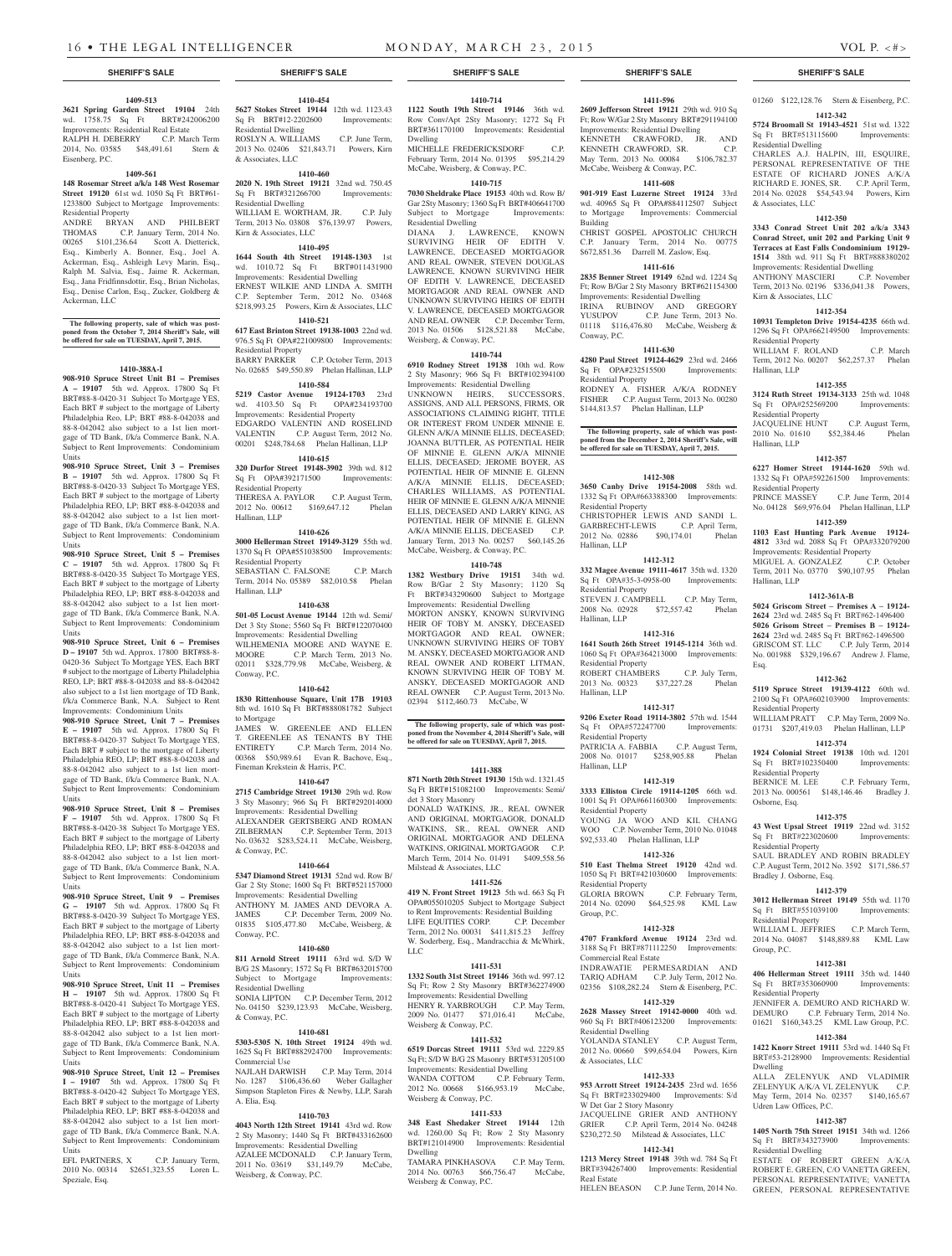**1409-513 3621 Spring Garden Street 19104** 24th wd. 1758.75 Sq Ft BRT#242006200 Improvements: Residential Real Estate RALPH H. DEBERRY C.P. March Term 2014, No. 03585 \$48,491.61 Stern &

**1409-561 148 Rosemar Street a/k/a 148 West Rosemar Street 19120** 61st wd. 1050 Sq Ft BRT#61-1233800 Subject to Mortgage Improvements:

ANDRE BRYAN AND PHILBERT THOMAS C.P. January Term, 2014 No. 00265 \$101,236.64 Scott A. Dietterick, Esq., Kimberly A. Bonner, Esq., Joel A. Ackerman, Esq., Ashleigh Levy Marin, Esq., Ralph M. Salvia, Esq., Jaime R. Ackerman, Esq., Jana Fridfinnsdottir, Esq., Brian Nicholas, Esq., Denise Carlon, Esq., Zucker, Goldberg &

**The following property, sale of which was post-poned from the October 7, 2014 Sheriff's Sale, will be offered for sale on TUESDAY, April 7, 2015.**

**1410-388A-I 908-910 Spruce Street Unit B1 – Premises A – 19107** 5th wd. Approx. 17800 Sq Ft BRT#88-8-0420-31 Subject To Mortgage YES, Each BRT # subject to the mortgage of Liberty Philadelphia Reo, LP; BRT #88-8-042038 and 88-8-042042 also subject to a 1st lien mortgage of TD Bank, f/k/a Commerce Bank, N.A. Subject to Rent Improvements: Condominium

**908-910 Spruce Street, Unit 3 – Premises B – 19107** 5th wd. Approx. 17800 Sq Ft BRT#88-8-0420-33 Subject To Mortgage YES, Each BRT # subject to the mortgage of Liberty Philadelphia REO, LP; BRT #88-8-042038 and 88-8-042042 also subject to a 1st lien mortgage of TD Bank, f/k/a Commerce Bank, N.A. Subject to Rent Improvements: Condominium

**908-910 Spruce Street, Unit 5 – Premises C – 19107** 5th wd. Approx. 17800 Sq Ft BRT#88-8-0420-35 Subject To Mortgage YES, Each BRT # subject to the mortgage of Liberty Philadelphia REO, LP; BRT #88-8-042038 and 88-8-042042 also subject to a 1st lien mortgage of TD Bank, f/k/a Commerce Bank, N.A. Subject to Rent Improvements: Condominium

**908-910 Spruce Street, Unit 6 – Premises D – 19107** 5th wd. Approx. 17800 BRT#88-8- 0420-36 Subject To Mortgage YES, Each BRT # subject to the mortgage of Liberty Philadelphia REO, LP; BRT #88-8-042038 and 88-8-042042 also subject to a 1st lien mortgage of TD Bank, f/k/a Commerce Bank, N.A. Subject to Rent Improvements: Condominium Units **908-910 Spruce Street, Unit 7 – Premises E – 19107** 5th wd. Approx. 17800 Sq Ft BRT#88-8-0420-37 Subject To Mortgage YES, Each BRT # subject to the mortgage of Liberty Philadelphia REO, LP; BRT #88-8-042038 and 88-8-042042 also subject to a 1st lien mortgage of TD Bank, f/k/a Commerce Bank, N.A. Subject to Rent Improvements: Condominium

**908-910 Spruce Street, Unit 8 – Premises F – 19107** 5th wd. Approx. 17800 Sq Ft BRT#88-8-0420-38 Subject To Mortgage YES, Each BRT # subject to the mortgage of Liberty Philadelphia REO, LP; BRT #88-8-042038 and 88-8-042042 also subject to a 1st lien mortgage of TD Bank, f/k/a Commerce Bank, N.A. Subject to Rent Improvements: Condominium

**908-910 Spruce Street, Unit 9 – Premises G – 19107** 5th wd. Approx. 17800 Sq Ft BRT#88-8-0420-39 Subject To Mortgage YES, Each BRT # subject to the mortgage of Liberty Philadelphia REO, LP; BRT #88-8-042038 and 88-8-042042 also subject to a 1st lien mortgage of TD Bank, f/k/a Commerce Bank, N.A. Subject to Rent Improvements: Condominium

**908-910 Spruce Street, Unit 11 – Premises H – 19107** 5th wd. Approx. 17800 Sq Ft BRT#88-8-0420-41 Subject To Mortgage YES, Each BRT # subject to the mortgage of Liberty Philadelphia REO, LP; BRT #88-8-042038 and 88-8-042042 also subject to a 1st lien mortgage of TD Bank, f/k/a Commerce Bank, N.A. Subject to Rent Improvements: Condominium

**908-910 Spruce Street, Unit 12 – Premises I – 19107** 5th wd. Approx. 17800 Sq Ft BRT#88-8-0420-42 Subject To Mortgage YES, Each BRT # subject to the mortgage of Liberty Philadelphia REO, LP; BRT #88-8-042038 and 88-8-042042 also subject to a 1st lien mortgage of TD Bank, f/k/a Commerce Bank, N.A. Subject to Rent Improvements: Condominium

EFL PARTNERS, X C.P. January Term, 2010 No. 00314 \$2651,323.55 Loren L.

Eisenberg, P.C.

Residential Property

Ackerman, LLC

Units

Units

Units

Units

Units

Units

Units

Units

Speziale, Esq.

**1410-454 5627 Stokes Street 19144** 12th wd. 1123.43 Sq Ft BRT#12-2202600 Improvements: Residential Dwelling ROSLYN A. WILLIAMS C.P. June Term, 2013 No. 02406 \$21,843.71 Powers, Kirn & Associates, LLC

**1410-460**

**2020 N. 19th Street 19121** 32nd wd. 750.45 Sq Ft BRT#321266700 Improvements: Residential Dwelling WILLIAM E. WORTHAM, JR. C.P. July Term, 2013 No. 03808 \$76,139.97 Powers,

# Kirn & Associates, LLC **1410-495**

**1644 South 4th Street 19148-1303** 1st wd. 1010.72 Sq Ft BRT#011431900 Improvements: Residential Dwelling ERNEST WILKIE AND LINDA A. SMITH C.P. September Term, 2012 No. 03468 \$218,993.25 Powers, Kirn & Associates, LLC

# **1410-521**

**617 East Brinton Street 19138-1003** 22nd wd. 976.5 Sq Ft OPA#221009800 Improvements: Residential Property BARRY PARKER C.P. October Term, 2013 No. 02685 \$49,550.89 Phelan Hallinan, LLP

# **1410-584**

**5219 Castor Avenue 19124-1703** 23rd wd. 4103.50 Sq Ft OPA#234193700 Improvements: Residential Property EDGARDO VALENTIN AND ROSELIND<br>VALENTIN C.P. August Term, 2012 No. C.P. August Term, 2012 No. 00201 \$248,784.68 Phelan Hallinan, LLP

### **1410-615**

**320 Durfor Street 19148-3902** 39th wd. 812<br>Sq Ft OPA#392171500 Improvements: Sq Ft OPA#392171500 Residential Property

THERESA A. PAYLOR C.P. August Term, 2012 No. 00612 \$169,647.12 Phelan Hallinan, LLP

### **1410-626**

**3000 Hellerman Street 19149-3129** 55th wd. 1370 Sq Ft OPA#551038500 Improvements: Residential Property

SEBASTIAN C. FALSONE C.P. March Term, 2014 No. 05389 \$82,010.58 Phelan Hallinan, LLP

### **1410-638**

**501-05 Locust Avenue 19144** 12th wd. Semi/ Det 3 Sty Stone; 5560 Sq Ft BRT#122070400 Improvements: Residential Dwelling WILHEMENIA MOORE AND WAYNE E. MOORE C.P. March Term, 2013 No. 02011 \$328,779.98 McCabe, Weisberg, & Conway, P.C.

### **1410-642**

**1830 Rittenhouse Square, Unit 17B 19103**  8th wd. 1610 Sq Ft BRT#888081782 Subject to Mortgage

JAMES W. GREENLEE AND ELLEN T. GREENLEE AS TENANTS BY THE<br>ENTIRETY C.P. March Term, 2014 No. C.P. March Term, 2014 No. 00368 \$50,989.61 Evan R. Bachove, Esq., Fineman Krekstein & Harris, P.C.

## **1410-647**

**2715 Cambridge Street 19130** 29th wd. Row 3 Sty Masonry; 966 Sq Ft BRT#292014000 Improvements: Residential Dwelling ALEXANDER GERTSBERG AND ROMAN<br>ZILBERMAN C.P. September Term, 2013 C.P. September Term, 2013 No. 03632 \$283,524.11 McCabe, Weisberg, & Conway, P.C.

### **1410-664**

**5347 Diamond Street 19131** 52nd wd. Row B/ Gar 2 Sty Stone; 1600 Sq Ft BRT#521157000 Improvements: Residential Dwelling ANTHONY M. JAMES AND DEVORA A. JAMES C.P. December Term, 2009 No. 01835 \$105,477.80 McCabe, Weisberg, & Conway, P.C.

### **1410-680**

**811 Arnold Street 19111** 63rd wd. S/D W B/G 2S Masonry; 1572 Sq Ft BRT#632015700 Subject to Mortgage Improvements: Residential Dwelling SONIA LIPTON C.P. December Term, 2012

No. 04150 \$239,123.93 McCabe, Weisberg, & Conway, P.C. **1410-681**

### **5303-5305 N. 10th Street 19124** 49th wd. 1625 Sq Ft BRT#882924700 Improvements: Commercial Use

NAJLAH DARWISH C.P. May Term, 2014 No. 1287 \$106,436.60 Weber Gallagher Simpson Stapleton Fires & Newby, LLP, Sarah A. Elia, Esq.

### **1410-703**

**4043 North 12th Street 19141** 43rd wd. Row 2 Sty Masonry; 1440 Sq Ft BRT#433162600 Improvements: Residential Dwelling

AZALEE MCDONALD C.P. January Term, 2011 No. 03619 \$31,149.79 McCabe, Weisberg, & Conway, P.C.

# **1410-714**

**1122 South 19th Street 19146** 36th wd. Row Conv/Apt 2Sty Masonry; 1272 Sq Ft BRT#361170100 Improvements: Residential Dwelling

MICHELLE FREDERICKSDORF C.P. February Term, 2014 No. 01395 \$95,214.29 McCabe, Weisberg, & Conway, P.C.

# **1410-715**

**7030 Sheldrake Place 19153** 40th wd. Row B/ Gar 2Sty Masonry; 1360 Sq Ft BRT#406641700<br>Subject to Mortgage Improvements: Subject to Mortgage Residential Dwelling

DIANA J. LAWRENCE, KNOWN SURVIVING HEIR OF EDITH V. LAWRENCE, DECEASED MORTGAGOR AND REAL OWNER, STEVEN DOUGLAS LAWRENCE, KNOWN SURVIVING HEIR OF EDITH V. LAWRENCE, DECEASED MORTGAGOR AND REAL OWNER AND UNKNOWN SURVIVING HEIRS OF EDITH V. LAWRENCE, DECEASED MORTGAGOR AND REAL OWNER C.P. December Term, 2013 No. 01506 \$128,521.88 McCabe, Weisberg, & Conway, P.C.

### **1410-744**

**6910 Rodney Street 19138** 10th wd. Row 2 Sty Masonry; 966 Sq Ft BRT#102394100

Improvements: Residential Dwelling UNKNOWN HEIRS, SUCCESSORS, ASSIGNS, AND ALL PERSONS, FIRMS, OR ASSOCIATIONS CLAIMING RIGHT, TITLE OR INTEREST FROM UNDER MINNIE E. GLENN A/K/A MINNIE ELLIS, DECEASED; JOANNA BUTTLER, AS POTENTIAL HEIR OF MINNIE E. GLENN A/K/A MINNIE ELLIS, DECEASED; JEROME BOYER, AS POTENTIAL HEIR OF MINNIE E. GLENN A/K/A MINNIE ELLIS, DECEASED; CHARLES WILLIAMS, AS POTENTIAL HEIR OF MINNIE E. GLENN A/K/A MINNIE ELLIS, DECEASED AND LARRY KING, AS POTENTIAL HEIR OF MINNIE E. GLENN A/K/A MINNIE ELLIS, DECEASED C.P. January Term, 2013 No. 00257 \$60,145.26 McCabe, Weisberg, & Conway, P.C.

## **1410-748**

**1382 Westbury Drive 19151** 34th wd. Row B/Gar 2 Sty Masonry; 1120 Sq Ft BRT#343290600 Subject to Mortgage Improvements: Residential Dwelling MORTON ANSKY, KNOWN SURVIVING HEIR OF TOBY M. ANSKY, DECEASED MORTGAGOR AND REAL OWNER; UNKNOWN SURVIVING HEIRS OF TOBY M. ANSKY, DECEASED MORTGAGOR AND REAL OWNER AND ROBERT LITMAN, KNOWN SURVIVING HEIR OF TOBY M. ANSKY, DECEASED MORTGAGOR AND REAL OWNER C.P. August Term, 2013 No. 02394 \$112,460.73 McCabe, W

# **The following property, sale of which was post-poned from the November 4, 2014 Sheriff's Sale, will be offered for sale on TUESDAY, April 7, 2015.**

### **1411-388**

**871 North 20th Street 19130** 15th wd. 1321.45 Sq Ft BRT#151082100 Improvements: Semi/ det 3 Story Masonry DONALD WATKINS, JR., REAL OWNER AND ORIGINAL MORTGAGOR, DONALD WATKINS, SR., REAL OWNER AND ORIGINAL MORTGAGOR AND DELENA WATKINS, ORIGINAL MORTGAGOR C.P. March Term, 2014 No. 01491 \$409,558.56 Milstead & Associates, LLC

# **1411-526**

**419 N. Front Street 19123** 5th wd. 663 Sq Ft OPA#055010205 Subject to Mortgage Subject to Rent Improvements: Residential Building LIFE EQUITIES CORP. C.P. December Term, 2012 No. 00031 \$411,815.23 Jeffrey W. Soderberg, Esq., Mandracchia & McWhirk, LLC

### **1411-531**

**1332 South 31st Street 19146** 36th wd. 997.12 Sq Ft; Row 2 Sty Masonry BRT#362274900 Improvements: Residential Dwelling HENRY R. YARBROUGH C.P. May Term, 2009 No. 01477 \$71,016.41 McCabe, Weisberg & Conway, P.C.

# **1411-532**

**6519 Dorcas Street 19111** 53rd wd. 2229.85 Sq Ft; S/D W B/G 2S Masonry BRT#531205100 Improvements: Residential Dwelling WANDA COTTOM C.P. February Term,

2012 No. 00668 \$166,953.19 McCabe, Weisberg & Conway, P.C. **1411-533**

**348 East Shedaker Street 19144** 12th wd. 1260.00 Sq Ft; Row 2 Sty Masonry BRT#121014900 Improvements: Residential Dwelling TAMARA PINKHASOVA C.P. May Term,

2014 No. 00763 \$66,756.47 McCabe, Weisberg & Conway, P.C.

### **SHERIFF'S SALE SHERIFF'S SALE SHERIFF'S SALE SHERIFF'S SALE SHERIFF'S SALE**

### **1411-596**

**2609 Jefferson Street 19121** 29th wd. 910 Sq Ft; Row W/Gar 2 Sty Masonry BRT#291194100 Improvements: Residential Dwelling KENNETH CRAWFORD, JR. AND KENNETH CRAWFORD, SR. C.P. May Term, 2013 No. 00084 \$106,782.37 McCabe, Weisberg & Conway, P.C.

# **1411-608**

**901-919 East Luzerne Street 19124** 33rd wd. 40965 Sq Ft OPA#884112507 Subject to Mortgage Improvements: Commercial Building CHRIST GOSPEL APOSTOLIC CHURCH

C.P. January Term, 2014 No. 00775 \$672,851.36 Darrell M. Zaslow, Esq. **1411-616**

# **2835 Benner Street 19149** 62nd wd. 1224 Sq

Ft; Row B/Gar 2 Sty Masonry BRT#621154300 Improvements: Residential Dwelling IRINA RUBINOV AND GREGORY YUSUPOV C.P. June Term, 2013 No. 01118 \$116,476.80 McCabe, Weisberg & Conway, P.C.

# **1411-630**

**4280 Paul Street 19124-4629** 23rd wd. 2466<br>Sq Ft OPA#232515500 Improvements: Sq Ft OPA#232515500 Residential Property

RODNEY A. FISHER A/K/A RODNEY FISHER C.P. August Term, 2013 No. 00280 \$144,813.57 Phelan Hallinan, LLP

# **The following property, sale of which was post-poned from the December 2, 2014 Sheriff's Sale, will be offered for sale on TUESDAY, April 7, 2015.**

### **1412-308**

**3650 Canby Drive 19154-2008** 58th wd. 1332 Sq Ft OPA#663388300 Improvements: Residential Property CHRISTOPHER LEWIS AND SANDI L. GARBRECHT-LEWIS C.P. April Term, 2012 No. 02886 \$90,174.01 Phelan Hallinan, LLP

### **1412-312**

**332 Magee Avenue 19111-4617** 35th wd. 1320<br>
Sq Ft OPA#35-3-0958-00 Improvements: Sq Ft OPA#35-3-0958-00 Residential Property

STEVEN J. CAMPBELL C.P. May Term, 2008 No. 02928 \$72,557.42 Phelan Hallinan, LLP

### **1412-316**

**1641 South 26th Street 19145-1214** 36th wd. 1060 Sq Ft OPA#364213000 Improvements: Residential Property ROBERT CHAMBERS C.P. July Term,<br>2013 No. 00323 \$37,227.28 Phelan 2013 No. 00323 \$37,227.28 Hallinan, LLP

## **1412-317**

**9206 Exeter Road 19114-3802** 57th wd. 1544 Sq Ft OPA#572247700 Improvements: Residential Property PATRICIA A. FABBIA C.P. August Term, 2008 No. 01017 \$258,905.88 Phelan Hallinan, LLP

# **1412-319**

**3333 Elliston Circle 19114-1205** 66th wd. 1001 Sq Ft OPA#661160300 Improvements: Residential Property YOUNG JA WOO AND KIL CHANG WOO C.P. November Term, 2010 No. 01048

# \$92,533.40 Phelan Hallinan, LLP

**1412-326 510 East Thelma Street 19120** 42nd wd. 1050 Sq Ft BRT#421030600 Improvements: Residential Property C.P. February Term, 2014 No. 02090 \$64,525.98 KML Law Group, P.C.

### **1412-328**

**4707 Frankford Avenue 19124** 23rd wd. 3188 Sq Ft BRT#871112250 Improvements: Commercial Real Estate

INDRAWATIE PERMESARDIAN AND TARIQ ADHAM C.P. July Term, 2012 No. 02356 \$108,282.24 Stern & Eisenberg, P.C.

### **1412-329 2628 Massey Street 19142-0000** 40th wd.

960 Sq Ft BRT#406123200 Improvements: Residential Dwelling YOLANDA STANLEY C.P. August Term,

2012 No. 00660 \$99,654.04 Powers, Kirn & Associates, LLC

# **1412-333**

**953 Arrott Street 19124-2435** 23rd wd. 1656 Sq Ft BRT#233029400 Improvements: S/d W Det Gar 2 Story Masonry JACQUELINE GRIER AND ANTHONY GRIER C.P. April Term, 2014 No. 04248 \$230,272.50 Milstead & Associates, LLC

**1412-341 1213 Mercy Street 19148** 39th wd. 784 Sq Ft BRT#394267400 Improvements: Residential Real Estate HELEN BEASON C.P. June Term, 2014 No.

# 01260 \$122,128.76 Stern & Eisenberg, P.C. **1412-342**

**5724 Broomall St 19143-4521** 51st wd. 1322 Sq Ft BRT#513115600 Residential Dwelling CHARLES A.J. HALPIN, III, ESQUIRE, PERSONAL REPRESENTATIVE OF THE ESTATE OF RICHARD JONES A/K/A RICHARD E. JONES, SR. C.P. April Term, 2014 No. 02028 \$54,543.94 Powers, Kirn & Associates, LLC

### **1412-350**

**3343 Conrad Street Unit 202 a/k/a 3343 Conrad Street, unit 202 and Parking Unit 9 Terraces at East Falls Condominium 19129- 1514** 38th wd. 911 Sq Ft BRT#888380202 Improvements: Residential Dwelling ANTHONY MASCIERI C.P. November

Term, 2013 No. 02196 \$336,041.38 Powers, Kirn & Associates, LLC

1296 Sq Ft OPA#662149500 Improvements:

WILLIAM F. ROLAND C.P. March Term, 2012 No. 00207 \$62,257.37 Phelan

**1412-355 3124 Ruth Street 19134-3133** 25th wd. 1048<br>
Sq Ft OPA#252569200 Improvements:

JACQUELINE HUNT C.P. August Term, 2010 No. 01610 \$52,384.46 Phelan

**1412-357 6227 Homer Street 19144-1620** 59th wd. 1332 Sq Ft OPA#592261500 Improvements:

PRINCE MASSEY C.P. June Term, 2014 No. 04128 \$69,976.04 Phelan Hallinan, LLP **1412-359 1103 East Hunting Park Avenue 19124- 4812** 33rd wd. 2088 Sq Ft OPA#332079200 Improvements: Residential Property<br>MIGUEL A GONZALEZ CP October

Term, 2011 No. 03770 \$90,107.95 Phelan

**1412-361A-B 5024 Griscom Street – Premises A – 19124- 2624** 23rd wd. 2485 Sq Ft BRT#62-1496400 **5026 Grisom Street – Premises B – 19124- 2624** 23rd wd. 2485 Sq Ft BRT#62-1496500

No. 001988 \$329,196.67 Andrew J. Flame,

**1412-362 5119 Spruce Street 19139-4122** 60th wd. 2100 Sq Ft OPA#602103900 Improvements:

WILLIAM PRATT C.P. May Term, 2009 No. 01731 \$207,419.03 Phelan Hallinan, LLP **1412-374 1924 Colonial Street 19138** 10th wd. 1201

2013 No. 000561 \$148,146.46 Bradley J.

**1412-375 43 West Upsal Street 19119** 22nd wd. 3152

SAUL BRADLEY AND ROBIN BRADLEY C.P. August Term, 2012 No. 3592 \$171,586.57

**1412-379 3012 Hellerman Street 19149** 55th wd. 1170 Sq Ft BRT#551039100 Improvements:

WILLIAM L. JEFFRIES C.P. March Term. 2014 No. 04087 \$148,889.88 KML Law

**1412-381 406 Hellerman Street 19111** 35th wd. 1440<br>Sq Ft BRT#353060900 Improvements:

JENNIFER A. DEMURO AND RICHARD W. DEMURO C.P. February Term, 2014 No. 01621 \$160,343.25 KML Law Group, P.C. **1412-384 1422 Knorr Street 19111** 53rd wd. 1440 Sq Ft BRT#53-2128900 Improvements: Residential

ALLA ZELENYUK AND VLADIMIR ZELENYUK A/K/A VL ZELENYUK C.P. May Term, 2014 No. 02357 \$140,165.67

**1412-387 1405 North 75th Street 19151** 34th wd. 1266 Sq Ft BRT#343273900 Improvements:

ESTATE OF ROBERT GREEN A/K/A ROBERT E. GREEN, C/O VANETTA GREEN, PERSONAL REPRESENTATIVE; VANETTA GREEN, PERSONAL REPRESENTATIVE

C.P. July Term, 2014

C.P. February Term,

### **1412-354 10931 Templeton Drive 19154-4235** 66th wd.

Residential Property

Sq Ft OPA#252569200 Residential Property

Hallinan, LLP

Hallinan, LLP

Hallinan, LLP

Esq.

Residential Property

Osborne, Esq.

Sq Ft BRT#102350400 Residential Property<br>BERNICE M. LEE

Sq Ft BRT#223020600 Residential Property

Bradley J. Osborne, Esq.

Residential Property

Sq Ft BRT#353060900 Residential Property

Udren Law Offices, P.C.

Residential Dwelling

Group, P.C.

Dwelling

Residential Property

MIGUEL A. GONZALEZ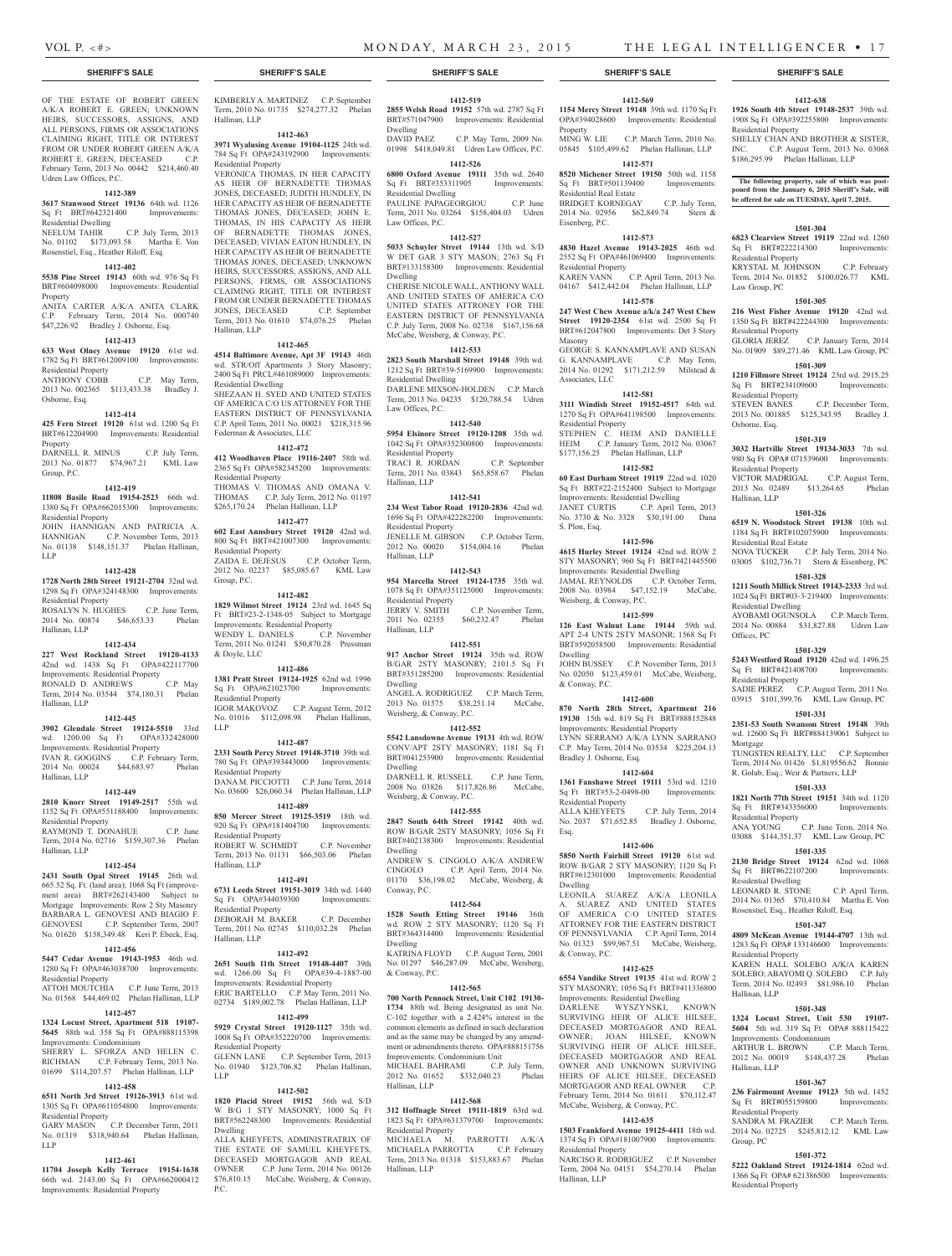Residential Property

Residential Property

Residential Property

Residential Property<br>STEVEN BANES

Residential Property

Residential Real Estate

Residential Dwelling

Residential Property

Residential Property

Residential Dwelling

Residential Property

Improvements: Condominium

Hallinan, LLP

Hallinan, LLP

Group, PC

Residential Property

Residential Property

Offices, PC

Mortgage

Osborne, Esq.

Hallinan, LLP

Law Group, PC

**1412-638 1926 South 4th Street 19148-2537** 39th wd. 1908 Sq Ft OPA#392255800 Improvements:

SHELLY CHAN AND BROTHER & SISTER, INC. C.P. August Term, 2013 No. 03068 \$186,295.99 Phelan Hallinan, LLP

**The following property, sale of which was postponed from the January 6, 2015 Sheriff's Sale, will be offered for sale on TUESDAY, April 7, 2015.**

**1501-304 6823 Clearview Street 19119** 22nd wd. 1260 Sq Ft BRT#222214300 Improvements:

KRYSTAL M. JOHNSON C.P. February Term, 2014 No. 01852 \$100,026.77 KML

**1501-305 216 West Fisher Avenue 19120** 42nd wd. 1350 Sq Ft BRT#422244300 Improvements:

GLORIA JEREZ C.P. January Term, 2014 No. 01909 \$89,271.46 KML Law Group, PC **1501-309 1210 Fillmore Street 19124** 23rd wd. 2915.25 Sq Ft BRT#234109600 Improvements:

2013 No. 001885 \$125,343.95 Bradley J.

**1501-319 3032 Hartville Street 19134-3033** 7th wd. 980 Sq Ft OPA# 071539600 Improvements:

VICTOR MADRIGAL C.P. August Term, 2013 No. 02489 \$13,264.65 Phelan

**1501-326 6519 N. Woodstock Street 19138** 10th wd. 1184 Sq Ft BRT#102075900 Improvements:

NOVA TUCKER C.P. July Term, 2014 No. 03005 \$102,736.71 Stern & Eisenberg, PC **1501-328 1211 South Millick Street 19143-2333** 3rd wd. 1024 Sq Ft BRT#03-3-219400 Improvements:

AYOBAMI OGUNSOLA C.P. March Term, 2014 No. 00884 \$31,827.88 Udren Law

**1501-329 5243 Westford Road 19120** 42nd wd. 1496.25 Sq Ft BRT#421408700 Improvements:

SADIE PEREZ C.P. August Term, 2011 No. 03915 \$101,399.76 KML Law Group, PC **1501-331 2351-53 South Swanson Street 19148** 39th wd. 12600 Sq Ft BRT#884139061 Subject to

TUNGSTEN REALTY, LLC C.P. September Term, 2014 No. 01426 \$1,819556.62 Bonnie R. Golub, Esq.; Weir & Partners, LLP **1501-333 1821 North 77th Street 19151** 34th wd. 1120 Sq Ft BRT#343356000 Improvements:

ANA YOUNG C.P. June Term, 2014 No. 03088 \$144,351.37 KML Law Group, PC **1501-335 2130 Bridge Street 19124** 62nd wd. 1068 Sq Ft BRT#622107200 Improvements:

LEONARD R. STONE C.P. April Term, 2014 No. 01365 \$70,410.84 Martha E. Von Rosenstiel, Esq., Heather Riloff, Esq. **1501-347 4809 McKean Avenue 19144-4707** 13th wd. 1283 Sq Ft OPA# 133146600 Improvements:

KAREN HALL SOLEBO A/K/A KAREN SOLEBO; ABAYOMI Q. SOLEBO C.P. July Term, 2014 No. 02493 \$81,986.10 Phelan

**1501-348 1324 Locust Street, Unit 530 19107- 5604** 5th wd. 319 Sq Ft OPA# 888115422

ARTHUR L. BROWN C.P. March Term, 2012 No. 00019 \$148,437.28 Phelan

**1501-367 236 Fairmount Avenue 19123** 5th wd. 1452 Sq Ft BRT#055159800 Improvements:

SANDRA M. FRAZIER C.P. March Term, 2014 No. 02725 \$245,812.12 KML Law

**1501-372 5222 Oakland Street 19124-1814** 62nd wd. 1366 Sq Ft OPA# 621386500 Improvements:

C.P. December Term,

## **SHERIFF'S SALE SHERIFF'S SALE SHERIFF'S SALE SHERIFF'S SALE SHERIFF'S SALE**

OF THE ESTATE OF ROBERT GREEN A/K/A ROBERT E. GREEN; UNKNOWN HEIRS, SUCCESSORS, ASSIGNS, AND ALL PERSONS, FIRMS OR ASSOCIATIONS CLAIMING RIGHT, TITLE OR INTEREST FROM OR UNDER ROBERT GREEN A/K/A ROBERT E. GREEN, DECEASED C.P. February Term, 2013 No. 00442 \$214,460.40 Udren Law Offices, P.C.

### **1412-389**

**3617 Stanwood Street 19136** 64th wd. 1126 Sq Ft BRT#642321400 Improvements: Residential Dwelling

NEELUM TAHIR C.P. July Term, 2013 No. 01102 \$173,093.58 Martha E. Von Rosenstiel, Esq., Heather Riloff, Esq.

### **1412-402**

**5538 Pine Street 19143** 60th wd. 976 Sq Ft BRT#604098000 Improvements: Residential Property ANITA CARTER A/K/A ANITA CLARK

C.P. February Term, 2014 No. 000740 \$47,226.92 Bradley J. Osborne, Esq. **1412-413**

# **633 West Olney Avenue 19120** 61st wd.

1782 Sq Ft BRT#612009100 Improvements: Residential Property C.P. May Term, 2013 No. 002365 \$113,433.38 Bradley J. Osborne, Esq.

### **1412-414**

**425 Fern Street 19120** 61st wd. 1200 Sq Ft BRT#612204900 Improvements: Residential Property DARNELL R. MINUS C.P. July Term,

2013 No. 01877 \$74,967.21 KML Law Group, P.C.

# **1412-419**

**11808 Basile Road 19154-2523** 66th wd. 1380 Sq Ft OPA#662015300 Improvements: Residential Property JOHN HANNIGAN AND PATRICIA A.

HANNIGAN C.P. November Term, 2013 No. 01138 \$148,151.37 Phelan Hallinan, LLP

### **1412-428**

**1728 North 28th Street 19121-2704** 32nd wd. 1298 Sq Ft OPA#324148300 Improvements: Residential Property

ROSALYN N. HUGHES C.P. June Term, 2014 No. 00874 \$46,653.33 Phelan Hallinan, LLP

### **1412-434**

**227 West Rockland Street 19120-4133**  42nd wd. 1438 Sq Ft OPA#422117700 Improvements: Residential Property RONALD D. ANDREWS C.P. May Term, 2014 No. 03544 \$74,180.31 Phelan Hallinan, LLP

### **1412-445**

**3902 Glendale Street 19124-5510** 33rd wd. 1200.00 Sq Ft OPA#332428000 Improvements: Residential Property IVAN R. GOGGINS C.P. February Term, 2014 No. 00024 \$44,683.97 Phelan Hallinan, LLP

### **1412-449**

**2810 Knorr Street 19149-2517** 55th wd. 1152 Sq Ft OPA#551188400 Improvements: Residential Property RAYMOND T. DONAHUE C.P. June

Term, 2014 No. 02716 \$159,307.36 Phelan Hallinan, LLP

# **1412-454**

**2431 South Opal Street 19145** 26th wd. 665.52 Sq. Ft. (land area); 1068 Sq Ft (improvement area) BRT#262143400 Subject to Mortgage Improvements: Row 2 Sty Masonry BARBARA L. GENOVESI AND BIAGIO F. GENOVESI C.P. September Term, 2007 No. 01620 \$158,349.48 Keri P. Ebeck, Esq.

# **1412-456**

**5447 Cedar Avenue 19143-1953** 46th wd. 1280 Sq Ft OPA#463038700 Improvements: Residential Property

ATTOH MOUTCHIA C.P. June Term, 2013 No. 01568 \$44,469.02 Phelan Hallinan, LLP

# **1412-457**

**1324 Locust Street, Apartment 518 19107- 5645** 88th wd. 358 Sq Ft OPA#888115398 Improvements: Condominium SHERRY L. SFORZA AND HELEN C. RICHMAN C.P. February Term, 2013 No. 01699 \$114,207.57 Phelan Hallinan, LLP

# **1412-458**

**6511 North 3rd Street 19126-3913** 61st wd. 1305 Sq Ft OPA#611054800 Improvements: Residential Property

GARY MASON C.P. December Term, 2011 No. 01319 \$318,940.64 Phelan Hallinan, LLP

# **1412-461**

**11704 Joseph Kelly Terrace 19154-1638**  66th wd. 2143.00 Sq Ft OPA#662000412 Improvements: Residential Property

KIMBERLY A. MARTINEZ C.P. September Term, 2010 No. 01735 \$274,277.32 Phelan Hallinan, LLP

### **1412-463**

**3971 Wyalusing Avenue 19104-1125** 24th wd. 784 Sq Ft OPA#243192900 Improvements: Residential Property VERONICA THOMAS, IN HER CAPACITY

AS HEIR OF BERNADETTE THOMAS JONES, DECEASED; JUDITH HUNDLEY, IN HER CAPACITY AS HEIR OF BERNADETTE THOMAS JONES, DECEASED; JOHN E. THOMAS, IN HIS CAPACITY AS HEIR OF BERNADETTE THOMAS JONES, DECEASED; VIVIAN EATON HUNDLEY, IN HER CAPACITY AS HEIR OF BERNADETTE THOMAS JONES, DECEASED; UNKNOWN HEIRS, SUCCESSORS, ASSIGNS, AND ALL PERSONS, FIRMS, OR ASSOCIATIONS CLAIMING RIGHT, TITLE OR INTEREST FROM OR UNDER BERNADETTE THOMAS JONES, DECEASED C.P. September Term, 2013 No. 01610 \$74,076.25 Phelan Hallinan, LLP

### **1412-465**

**4514 Baltimore Avenue, Apt 3F 19143** 46th wd. STR/Off Apartments 3 Story Masonry; 2400 Sq Ft PRCL#461089000 Improvements: Residential Dwelling SHEZAAN H. SYED AND UNITED STATES OF AMERICA C/O US ATTORNEY FOR THE EASTERN DISTRICT OF PENNSYLVANIA C.P. April Term, 2011 No. 00021 \$218,315.96 Federman & Associates, LLC

### **1412-472**

**412 Woodhaven Place 19116-2407** 58th wd. 2365 Sq Ft OPA#582345200 Improvements: Residential Property THOMAS V. THOMAS AND OMANA V. THOMAS C.P. July Term, 2012 No. 01197 \$265,170.24 Phelan Hallinan, LLP

## **1412-477**

**602 East Annsbury Street 19120** 42nd wd. 800 Sq Ft BRT#421007300 Improvements: Residential Property ZAIDA E. DEJESUS C.P. October Term 2012 No. 02237 \$85,085.67 KML Law Group, P.C.

### **1412-482**

**1829 Wilmot Street 19124** 23rd wd. 1645 Sq<br>Ft BRT#23-2-1348-05 Subject to Mortgage Ft BRT#23-2-1348-05 Subject to Mortgage Improvements: Residential Property WENDY L. DANIELS C.P. November Term, 2011 No. 01241 \$50,870.28 Pressman & Doyle, LLC

### **1412-486**

**1381 Pratt Street 19124-1925** 62nd wd. 1996 Sq Ft OPA#621023700 Improvements: Residential Property IGOR MAKOVOZ C.P. August Term, 2012 No. 01016 \$112,098.98 Phelan Hallinan, LLP

### **1412-487**

**2331 South Percy Street 19148-3710** 39th wd. 780 Sq Ft OPA#393443000 Improvements: Residential Property DANA M. PICCIOTTI C.P. June Term, 2014 No. 03600 \$26,060.34 Phelan Hallinan, LLP

### **1412-489**

**850 Mercer Street 19125-3519** 18th wd. 920 Sq Ft OPA#181404700 Improvements: Residential Property ROBERT W. SCHMIDT C.P. November Term, 2013 No. 01131 \$66,503.06 Phelan Hallinan, LLP

### **1412-491**

**6731 Leeds Street 19151-3019** 34th wd. 1440 Sq Ft OPA#344039300 Improvements: Residential Property DEBORAH M. BAKER C.P. December Term, 2011 No. 02745 \$110,032.28 Phelan Hallinan, LLP

### **1412-492**

**2651 South 11th Street 19148-4407** 39th wd. 1266.00 Sq Ft OPA#39-4-1887-00 Improvements: Residential Property ERIC BARTELLO C.P. May Term, 2011 No. 02734 \$189,002.78 Phelan Hallinan, LLP

### **1412-499**

**5929 Crystal Street 19120-1127** 35th wd. 1008 Sq Ft OPA#352220700 Improvements: Residential Property GLENN LANE C.P. September Term, 2013 No. 01940 \$123,706.82 Phelan Hallinan,

### **1412-502**

LLP

**1820 Placid Street 19152** 56th wd. S/D W B/G 1 STY MASONRY; 1000 Sq Ft BRT#562248300 Improvements: Residential Dwelling

ALLA KHEYFETS, ADMINISTRATRIX OF THE ESTATE OF SAMUEL KHEYFETS, DECEASED MORTGAGOR AND REAL OWNER C.P. June Term, 2014 No. 00126 \$76,810.15 McCabe, Weisberg, & Conway,  $P C$ 

## **1412-519**

**2855 Welsh Road 19152** 57th wd. 2787 Sq Ft BRT#571047900 Improvements: Residential Dwelling<br>DAVID PAEZ C.P. May Term, 2009 No.

01998 \$418,049.81 Udren Law Offices, P.C. **1412-526 6800 Oxford Avenue 19111** 35th wd. 2640

Sq Ft BRT#353311905 Improvements: Residential Dwelling PAULINE PAPAGEORGIOU C.P. June

Term, 2011 No. 03264 \$158,404.03 Udren Law Offices, P.C.

# **1412-527**

**5033 Schuyler Street 19144** 13th wd. S/D W DET GAR 3 STY MASON; 2763 Sq Ft BRT#133158300 Improvements: Residential Dwelling

CHERISE NICOLE WALL, ANTHONY WALL AND UNITED STATES OF AMERICA C/O UNITED STATES ATTRONEY FOR THE EASTERN DISTRICT OF PENNSYLVANIA C.P. July Term, 2008 No. 02738 \$167,156.68 McCabe, Weisberg, & Conway, P.C.

### **1412-533**

**2823 South Marshall Street 19148** 39th wd. 1212 Sq Ft BRT#39-5169900 Improvements: Residential Dwelling

DARLENE MIXSON-HOLDEN C.P. March Term, 2013 No. 04235 \$120,788.54 Udren Law Offices, P.C.

### **1412-540**

**5954 Elsinore Street 19120-1208** 35th wd. 1042 Sq Ft OPA#352300800 Improvements: Residential Property TRACI R. JORDAN C.P. September Term, 2011 No. 03843 \$65,858.67 Phelan Hallinan, LLP

## **1412-541**

**234 West Tabor Road 19120-2836** 42nd wd. 1696 Sq Ft OPA#422282200 Improvements: Residential Property JENELLE M. GIBSON C.P. October Term, 2012 No. 00020 \$154,004.16 Phelan Hallinan, LLP

# **1412-543**

**954 Marcella Street 19124-1735** 35th wd. 1078 Sq Ft OPA#351125000 Improvements: Residential Property<br>JERRY V. SMITH C.P. November Term, 2011 No. 02355 \$60,232.47 Phelan Hallinan, LLP

## **1412-551**

**917 Anchor Street 19124** 35th wd. ROW B/GAR 2STY MASONRY; 2101.5 Sq Ft BRT#351285200 Improvements: Residential Dwelling ANGEL A. RODRIGUEZ C.P. March Term, 2013 No. 01575 \$38,251.14 McCabe, Weisberg, & Conway, P.C.

### **1412-552**

**5542 Lansdowne Avenue 19131** 4th wd. ROW CONV/APT 2STY MASONRY; 1181 Sq Ft BRT#041253900 Improvements: Residential Dwelling

DARNELL R. RUSSELL C.P. June Term, 2008 No. 03826 \$117,826.86 McCabe, Weisberg, & Conway, P.C.

### **1412-555**

**2847 South 64th Street 19142** 40th wd. ROW B/GAR 2STY MASONRY; 1056 Sq Ft BRT#402138300 Improvements: Residential Dwelling

ANDREW S. CINGOLO A/K/A ANDREW CINGOLO C.P. April Term, 2014 No. 01170 \$36,198.02 McCabe, Weisberg, & Conway, P.C.

### **1412-564**

**1528 South Etting Street 19146** 36th wd. ROW 2 STY MASONRY; 1120 Sq Ft BRT#364314400 Improvements: Residential Dwelling KATRINA FLOYD C.P. August Term, 2001 No. 01297 \$46,287.09 McCabe, Weisberg, & Conway, P.C.

### **1412-565**

**700 North Pennock Street, Unit C102 19130- 1734** 88th wd. Being designated as unit No. C-102 together with a 2.424% interest in the common elements as defined in such declaration and as the same may be changed by any amendment or admendments thereto. OPA#888151756 Improvements: Condominium Unit MICHAEL BAHRAMI C.P. July Term, 2012 No. 01652 \$332,040.23 Phelan Hallinan, LLP

### **1412-568**

**312 Hoffnagle Street 19111-1819** 63rd wd. 1823 Sq Ft OPA#631379700 Improvements: Residential Property MICHAELA M. PARROTTI A/K/A

MICHAELA PARROTTA C.P. February Term, 2013 No. 01318 \$153,883.67 Phelan

Hallinan, LLP

### Residential Real Estate BRIDGET KORNEGAY C.P. July Term,

Eisenberg, P.C.

Residential Property

Masonry

Associates, LLC

Residential Property

S. Plon, Esq.

Dwelling

& Conway, P.C.

Bradley J. Osborne, Esq.

Residential Property<br>ALLA KHEYFETS

Esq.

Dwelling

& Conway, P.C.

Residential Property

Hallinan, LLP

Weisberg, & Conway, P.C.

Property

**1412-569 1154 Mercy Street 19148** 39th wd. 1170 Sq Ft OPA#394028600 Improvements: Residential

MING W. LIE C.P. March Term, 2010 No. 05845 \$105,499.62 Phelan Hallinan, LLP **1412-571 8520 Michener Street 19150** 50th wd. 1158 Sq Ft BRT#501139400 Improvements:

2014 No. 02956 \$62,849.74 Stern &

**1412-573 4830 Hazel Avenue 19143-2025** 46th wd. 2552 Sq Ft OPA#461069400 Improvements:

KAREN VANN C.P. April Term, 2013 No. 04167 \$412,442.04 Phelan Hallinan, LLP **1412-578 247 West Chew Avenue a/k/a 247 West Chew Street 19120-2354** 61st wd. 2500 Sq Ft BRT#612047800 Improvements: Det 3 Story

GEORGE S. KANNAMPLAVE AND SUSAN G. KANNAMPLAVE C.P. May Term, 2014 No. 01292 \$171,212.59 Milstead &

**1412-581 3111 Windish Street 19152-4517** 64th wd. 1270 Sq Ft OPA#641198500 Improvements:

STEPHEN C. HEIM AND DANIELLE HEIM C.P. January Term, 2012 No. 03067 \$177,156.25 Phelan Hallinan, LLP **1412-582 60 East Durham Street 19119** 22nd wd. 1020 Sq Ft BRT#22-2152400 Subject to Mortgage Improvements: Residential Dwelling JANET CURTIS C.P. April Term, 2013 No. 3730 & No. 3328 \$30,191.00 Dana

**1412-596 4615 Hurley Street 19124** 42nd wd. ROW 2 STY MASONRY; 960 Sq Ft BRT#421445500 Improvements: Residential Dwelling JAMAL REYNOLDS C.P. October Term, 2008 No. 03984 \$47,152.19 McCabe,

**1412-599 126 East Walnut Lane 19144** 59th wd. APT 2-4 UNTS 2STY MASONR; 1568 Sq Ft BRT#592058500 Improvements: Residential

JOHN BUSSEY C.P. November Term, 2013 No. 02050 \$123,459.01 McCabe, Weisberg,

**1412-600 870 North 28th Street, Apartment 216 19130** 15th wd. 819 Sq Ft BRT#888152848 Improvements: Residential Property LYNN SERRANO A/K/A LYNN SARRANO C.P. May Term, 2014 No. 03534 \$225,204.13

**1412-604 1361 Fanshawe Street 19111** 53rd wd. 1210 Sq Ft BRT#53-2-0498-00 Improvements:

No. 2037 \$71,652.85 Bradley J. Osborne,

**1412-606 5850 North Fairhill Street 19120** 61st wd. ROW B/GAR 2 STY MASONRY; 1120 Sq Ft BRT#612301000 Improvements: Residential

LEONILA SUAREZ A/K/A LEONILA A. SUAREZ AND UNITED STATES OF AMERICA C/O UNITED STATES ATTORNEY FOR THE EASTERN DISTRICT OF PENNSYLVANIA C.P. April Term, 2014 No. 01323 \$99,967.51 McCabe, Weisberg,

**1412-625 6554 Vandike Street 19135** 41st wd. ROW 2 STY MASONRY; 1056 Sq Ft BRT#411336800 Improvements: Residential Dwelling DARLENE WYSZYNSKI, KNOWN SURVIVING HEIR OF ALICE HILSEE, DECEASED MORTGAGOR AND REAL OWNER; JOAN HILSEE, KNOWN<br>SURVIVING HEIR OF ALICE HILSEE, SURVIVING HEIR OF ALICE DECEASED MORTGAGOR AND REAL OWNER AND UNKNOWN SURVIVING HEIRS OF ALICE HILSEE, DECEASED MORTGAGOR AND REAL OWNER C.P. February Term, 2014 No. 01611 \$70,112.47 McCabe, Weisberg, & Conway, P.C. **1412-635 1503 Frankford Avenue 19125-4411** 18th wd. 1374 Sq Ft OPA#181007900 Improvements:

NARCISO R. RODRIGUEZ C.P. November Term, 2004 No. 04151 \$54,270.14 Phelan

C.P. July Term, 2014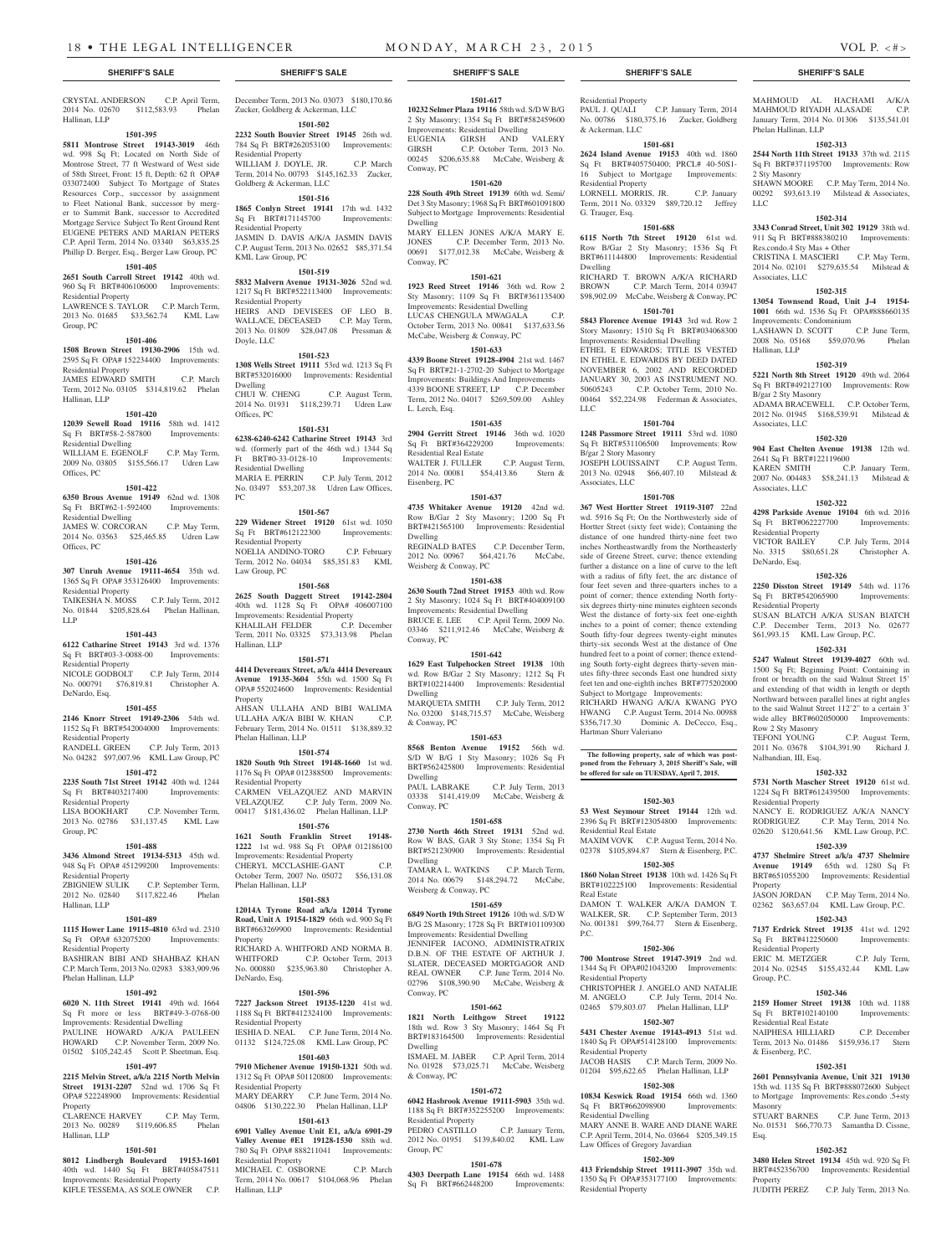CRYSTAL ANDERSON C.P. April Term, 2014 No. 02670 \$112,583.93 Phelan Hallinan, LLP

### **1501-395**

**5811 Montrose Street 19143-3019** 46th wd. 998 Sq Ft; Located on North Side of Montrose Street, 77 ft Westward of West side of 58th Street, Front: 15 ft, Depth: 62 ft OPA# 033072400 Subject To Mortgage of States Resources Corp., successor by assignment to Fleet National Bank, successor by merger to Summit Bank, successor to Accredited Mortgage Service Subject To Rent Ground Rent EUGENE PETERS AND MARIAN PETERS C.P. April Term, 2014 No. 03340 \$63,835.25 Phillip D. Berger, Esq., Berger Law Group, PC

# **1501-405**

**2651 South Carroll Street 19142** 40th wd. 960 Sq Ft BRT#406106000 Improvements: Residential Property

LAWRENCE S. TAYLOR C.P. March Term, 2013 No. 01685 \$33,562.74 KML Law Group, PC

### **1501-406**

**1508 Brown Street 19130-2906** 15th wd. 2595 Sq Ft OPA# 152234400 Improvements: Residential Property JAMES EDWARD SMITH C.P. March Term, 2012 No. 03105 \$314,819.62 Phelan Hallinan, LLP

### **1501-420**

**12039 Sewell Road 19116** 58th wd. 1412 Sq Ft BRT#58-2-587800 Improvements: Residential Dwelling WILLIAM E. EGENOLF C.P. May Term,

2009 No. 03805 \$155,566.17 Udren Law Offices, PC

# **1501-422**

**6350 Brous Avenue 19149** 62nd wd. 1308 Sq Ft BRT#62-1-592400 Improvements: Residential Dwelling JAMES W. CORCORAN C.P. May Term,

2014 No. 03563 \$25,465.85 Udren Law Offices, PC

# **1501-426**

**307 Unruh Avenue 19111-4654** 35th wd. 1365 Sq Ft OPA# 353126400 Improvements: Residential Property TAIKESHA N. MOSS C.P. July Term, 2012

No. 01844 \$205,828.64 Phelan Hallinan, LLP

# **1501-443**

**6122 Catharine Street 19143** 3rd wd. 1376 Sq Ft BRT#03-3-0088-00 Improvements: Residential Property NICOLE GODBOLT C.P. July Term, 2014

No. 000791 \$76,819.81 Christopher A. DeNardo, Esq.

# **1501-455**

**2146 Knorr Street 19149-2306** 54th wd. 1152 Sq Ft BRT#542004000 Improvements: Residential Property<br>RANDELL GREEN C.P. July Term, 2013 No. 04282 \$97,007.96 KML Law Group, PC

### **1501-472**

Hallinan, LLP

**2235 South 71st Street 19142** 40th wd. 1244 Sq Ft BRT#403217400 Improvements:

### Residential Property LISA BOOKHART C.P. November Term,

2013 No. 02786 \$31,137.45 KML Law Group, PC

# **1501-488**

**3436 Almond Street 19134-5313** 45th wd. 948 Sq Ft OPA# 451299200 Improvements: Residential Property ZBIGNIEW SULIK C.P. September Term, 2012 No. 02840 \$117,822.46 Phelan

# **1501-489**

**1115 Hower Lane 19115-4810** 63rd wd. 2310 Sq Ft OPA# 632075200 Improvements: Residential Property

BASHIRAN BIBI AND SHAHBAZ KHAN C.P. March Term, 2013 No. 02983 \$383,909.96 Phelan Hallinan, LLP

## **1501-492**

**6020 N. 11th Street 19141** 49th wd. 1664 Sq Ft more or less BRT#49-3-0768-00 Improvements: Residential Dwelling PAULINE HOWARD A/K/A PAULEEN HOWARD C.P. November Term, 2009 No. 01502 \$105,242.45 Scott P. Sheetman, Esq.

## **1501-497**

**2215 Melvin Street, a/k/a 2215 North Melvin Street 19131-2207** 52nd wd. 1706 Sq Ft OPA# 522248900 Improvements: Residential Property

CLARENCE HARVEY C.P. May Term, 2013 No. 00289 \$119,606.85 Phelan Hallinan, LLP

# **1501-501**

**8012 Lindbergh Boulevard 19153-1601**  40th wd. 1440 Sq Ft BRT#405847511 Improvements: Residential Property KIFLE TESSEMA, AS SOLE OWNER C.P.

December Term, 2013 No. 03073 \$180,170.86 Zucker, Goldberg & Ackerman, LLC

**1501-502 2232 South Bouvier Street 19145** 26th wd. 784 Sq Ft BRT#262053100 Improvements:

Residential Property WILLIAM J. DOYLE, JR. C.P. March Term, 2014 No. 00793 \$145,162.33 Zucker, Goldberg & Ackerman, LLC

# **1501-516**

**1865 Conlyn Street 19141** 17th wd. 1432 Sq Ft BRT#171145700 Improvements: Residential Property JASMIN D. DAVIS A/K/A JASMIN DAVIS C.P. August Term, 2013 No. 02652 \$85,371.54 KML Law Group, PC

### **1501-519**

**5832 Malvern Avenue 19131-3026** 52nd wd. 1217 Sq Ft BRT#522113400 Improvements: Residential Property

HEIRS AND DEVISEES OF LEO B. WALLACE, DECEASED C.P. May Term, 2013 No. 01809 \$28,047.08 Pressman & Doyle, LLC

### **1501-523**

**1308 Wells Street 19111** 53rd wd. 1213 Sq Ft BRT#532016000 Improvements: Residential Dwelling CHUI W. CHENG C.P. August Term, 2014 No. 01931 \$118,239.71 Udren Law Offices, PC

**1501-531 6238-6240-6242 Catharine Street 19143** 3rd wd. (formerly part of the 46th wd.) 1344 Sq Ft BRT#0-33-0128-10 Improvements: Residential Dwelling MARIA E. PERRIN C.P. July Term, 2012 No. 03497 \$53,207.38 Udren Law Offices,

## **1501-567**

PC

**229 Widener Street 19120** 61st wd. 1050 Sq Ft BRT#612122300 Improvements: Residential Property NOELIA ANDINO-TORO C.P. February Term, 2012 No. 04034 \$85,351.83 KML Law Group, PC

**1501-568**

**2625 South Daggett Street 19142-2804**  40th wd. 1128 Sq Ft OPA# 406007100 HOLL WO. 1120 DA 1120 DA 1121<br>Improvements: Residential Property<br>KHALILAH FELDER C.P. December KHALILAH FELDER Term, 2011 No. 03325 \$73,313.98 Phelan Hallinan, LLP

### **1501-571**

**4414 Devereaux Street, a/k/a 4414 Devereaux Avenue 19135-3604** 55th wd. 1500 Sq Ft OPA# 552024600 Improvements: Residential Property AHSAN ULLAHA AND BIBI WALIMA ULLAHA A/K/A BIBI W. KHAN C.P. February Term, 2014 No. 01511 \$138,889.32 Phelan Hallinan, LLP

# **1501-574**

**1820 South 9th Street 19148-1660** 1st wd. 1176 Sq Ft OPA# 012388500 Improvements: Residential Property CARMEN VELAZQUEZ AND MARVIN VELAZQUEZ C.P. July Term, 2009 No. 00417 \$181,436.02 Phelan Hallinan, LLP

# **1501-576**

**1621 South Franklin Street 19148- 1222** 1st wd. 988 Sq Ft OPA# 012186100 Improvements: Residential Property CHERYL MCCLASHIE-GANT C.P. October Term, 2007 No. 05072 \$56,131.08 Phelan Hallinan, LLP

### **1501-583**

DeNardo, Esq.

**12014A Tyrone Road a/k/a 12014 Tyrone Road, Unit A 19154-1829** 66th wd. 900 Sq Ft BRT#663269900 Improvements: Residential Property RICHARD A. WHITFORD AND NORMA B. WHITFORD C.P. October Term, 2013 No. 000880 \$235,963.80 Christopher A.

### **1501-596**

**7227 Jackson Street 19135-1220** 41st wd. 1188 Sq Ft BRT#412324100 Improvements: Residential Property IESHIA D. NEAL C.P. June Term, 2014 No. 01132 \$124,725.08 KML Law Group, PC

**1501-603 7910 Michener Avenue 19150-1321** 50th wd. 1312 Sq Ft OPA# 501120800 Improvements: Residential Property MARY DEARRY C.P. June Term, 2014 No.

# 04806 \$130,222.30 Phelan Hallinan, LLP **1501-613**

**6901 Valley Avenue Unit E1, a/k/a 6901-29 Valley Avenue #E1 19128-1530** 88th wd. 780 Sq Ft OPA# 888211041 Improvements: Residential Property MICHAEL C. OSBORNE C.P. March Term, 2014 No. 00617 \$104,068.96 Phelan

Hallinan, LLP **4303 Deerpath Lane 19154** 66th wd. 1488 Sq Ft BRT#662448200 Improvements:

**1501-617 10232 Selmer Plaza 19116** 58th wd. S/D W B/G 2 Sty Masonry; 1354 Sq Ft BRT#582459600 Improvements: Residential Dwelling EUGENIA GIRSH AND VALERY GIRSH C.P. October Term, 2013 No. 00245 \$206,635.88 McCabe, Weisberg &

**1501-620 228 South 49th Street 19139** 60th wd. Semi/ Det 3 Sty Masonry; 1968 Sq Ft BRT#601091800 Subject to Mortgage Improvements: Residential

MARY ELLEN JONES A/K/A MARY E. JONES C.P. December Term, 2013 No. 00691 \$177,012.38 McCabe, Weisberg &

**1501-621 1923 Reed Street 19146** 36th wd. Row 2 Sty Masonry; 1109 Sq Ft BRT#361135400 Improvements: Residential Dwelling LUCAS CHENGULA MWAGALA C.P. October Term, 2013 No. 00841 \$137,633.56 McCabe, Weisberg & Conway, PC

**1501-633 4339 Boone Street 19128-4904** 21st wd. 1467 Sq Ft BRT#21-1-2702-20 Subject to Mortgage Improvements: Buildings And Improvements 4339 BOONE STREET, LP C.P. December Term, 2012 No. 04017 \$269,509.00 Ashley

**1501-635 2904 Gerritt Street 19146** 36th wd. 1020 Sq Ft BRT#364229200 Improvements:

WALTER J. FULLER C.P. August Term, 2014 No. 00081 \$54,413.86 Stern &

**1501-637 4735 Whitaker Avenue 19120** 42nd wd. Row B/Gar 2 Sty Masonry; 1200 Sq Ft BRT#421565100 Improvements: Residential

REGINALD BATES C.P. December Term, 2012 No. 00967 \$64,421.76 McCabe.

**1501-638 2630 South 72nd Street 19153** 40th wd. Row 2 Sty Masonry; 1024 Sq Ft BRT#404009100 Improvements: Residential Dwelling BRUCE E. LEE C.P. April Term, 2009 No. 03346 \$211,912.46 McCabe, Weisberg &

**1501-642 1629 East Tulpehocken Street 19138** 10th wd. Row B/Gar 2 Sty Masonry; 1212 Sq Ft BRT#102214400 Improvements: Residential

MARQUETA SMITH C.P. July Term, 2012 No. 03200 \$148,715.57 McCabe, Weisberg

**1501-653 8568 Benton Avenue 19152** 56th wd. S/D W B/G 1 Sty Masonry; 1026 Sq Ft BRT#562425800 Improvements: Residential

PAUL LABRAKE C.P. July Term, 2013 03338 \$141,419.09 McCabe, Weisberg &

**1501-658 2730 North 46th Street 19131** 52nd wd. Row W BAS, GAR 3 Sty Stone; 1354 Sq Ft BRT#521230900 Improvements: Residential

TAMARA L. WATKINS C.P. March Term, 2014 No. 00679 \$148,294.72 McCabe,

**1501-659 6849 North 19th Street 19126** 10th wd. S/D W B/G 2S Masonry; 1728 Sq Ft BRT#101109300 Improvements: Residential Dwelling JENNIFER IACONO, ADMINISTRATRIX D.B.N. OF THE ESTATE OF ARTHUR J. SLATER, DECEASED MORTGAGOR AND REAL OWNER C.P. June Term, 2014 No. 02796 \$108,390.90 McCabe, Weisberg &

**1501-662 1821 North Leithgow Street 19122**  18th wd. Row 3 Sty Masonry; 1464 Sq Ft BRT#183164500 Improvements: Residential

ISMAEL M. JABER C.P. April Term, 2014 No. 01928 \$73,025.71 McCabe, Weisberg

**1501-672 6042 Hasbrook Avenue 19111-5903** 35th wd. 1188 Sq Ft BRT#352255200 Improvements:

PEDRO CASTILLO C.P. January Term, 2012 No. 01951 \$139,840.02 KML Law

**1501-678**

Conway, PC

Dwelling

Conway, PC

L. Lerch, Esq.

Eisenberg, PC

Dwelling

Conway, PC

Dwelling

Dwelling

Dwelling

Conway, PC

Dwelling

& Conway, PC

Group, PC

Residential Property

Weisberg & Conway, PC

Conway, PC

& Conway, PC

Residential Real Estate

Weisberg & Conway, PC

Residential Property PAUL J. QUALI C.P. January Term, 2014 No. 00786 \$180,375.16 Zucker, Goldberg & Ackerman, LLC

# **1501-681**

**2624 Island Avenue 19153** 40th wd. 1860 Sq Ft BRT#405750400; PRCL# 40-50S1- 16 Subject to Mortgage Improvements: Residential Property LORNELL MORRIS, JR. C.P. January

Term, 2011 No. 03329 \$89,720.12 Jeffrey G. Trauger, Esq.

## **1501-688**

**6115 North 7th Street 19120** 61st wd. Row B/Gar 2 Sty Masonry; 1536 Sq Ft BRT#611144800 Improvements: Residential Dwelling

RICHARD T. BROWN A/K/A RICHARD<br>RROWN CP March Term 2014 03947 C.P. March Term, 2014 03947 \$98,902.09 McCabe, Weisberg & Conway, PC **1501-701**

**5843 Florence Avenue 19143** 3rd wd. Row 2

Story Masonry; 1510 Sq Ft BRT#034068300 Improvements: Residential Dwelling ETHEL E EDWARDS; TITLE IS VESTED IN ETHEL E. EDWARDS BY DEED DATED NOVEMBER 6, 2002 AND RECORDED JANUARY 30, 2003 AS INSTRUMENT NO. 50605243 C.P. October Term, 2010 No. 00464 \$52,224.98 Federman & Associates, LLC

### **1501-704**

**1248 Passmore Street 19111** 53rd wd. 1080 Sq Ft BRT#531106500 Improvements: Row B/gar 2 Story Masonry JOSEPH LOUISSAINT C.P. August Term, 2013 No. 02948 \$66,407.10 Milstead & Associates, LLC

# **1501-708**

**367 West Hortter Street 19119-3107** 22nd wd. 5916 Sq Ft; On the Northwesterly side of Hortter Street (sixty feet wide); Containing the distance of one hundred thirty-nine feet two inches Northeastwardly from the Northeasterly side of Greene Street, curve; thence extending further a distance on a line of curve to the left with a radius of fifty feet, the arc distance of four feet seven and three-quarters inches to a point of corner; thence extending North fortysix degrees thirty-nine minutes eighteen seconds West the distance of forty-six feet one-eighth inches to a point of corner; thence extending South fifty-four degrees twenty-eight minutes thirty-six seconds West at the distance of One hundred feet to a point of corner; thence extending South forty-eight degrees thirty-seven minutes fifty-three seconds East one hundred sixty feet ten and one-eighth inches BRT#775202000 Subject to Mortgage Improvements: RICHARD HWANG A/K/A KWANG PYO HWANG C.P. August Term, 2014 No. 00988 \$356,717.30 Dominic A. DeCecco, Esq., Hartman Shurr Valeriano

**The following property, sale of which was postponed from the February 3, 2015 Sheriff's Sale, will be offered for sale on TUESDAY, April 7, 2015.**

### **1502-303**

**53 West Seymour Street 19144** 12th wd. 2396 Sq Ft BRT#123054800 Improvements: Residential Real Estate MAXIM VOVK C.P. August Term, 2014 No.

02378 \$105,894.87 Stern & Eisenberg, P.C.

### **1502-305 1860 Nolan Street 19138** 10th wd. 1426 Sq Ft

BRT#102225100 Improvements: Residential Real Estate DAMON T. WALKER A/K/A DAMON T. WALKER, SR. C.P. September Term, 2013 No. 001381 \$99,764.77 Stern & Eisenberg, P.C.

## **1502-306**

**700 Montrose Street 19147-3919** 2nd wd. 1344 Sq Ft OPA#021043200 Improvements: Residential Property CHRISTOPHER J. ANGELO AND NATALIE M. ANGELO C.P. July Term, 2014 No.

02465 \$79,803.07 Phelan Hallinan, LLP **1502-307 5431 Chester Avenue 19143-4913** 51st wd.

# 1840 Sq Ft OPA#514128100 Improvements: Residential Property

JACOB HASIS C.P. March Term, 2009 No. 01204 \$95,622.65 Phelan Hallinan, LLP **1502-308**

# **10834 Keswick Road 19154** 66th wd. 1360 Sq Ft BRT#662098900 Improvements: Residential Dwelling

MARY ANNE B. WARE AND DIANE WARE C.P. April Term, 2014, No. 03664 \$205,349.15 Law Offices of Gregory Javardian **1502-309**

**413 Friendship Street 19111-3907** 35th wd. 1350 Sq Ft OPA#353177100 Improvements: Residential Property

# **SHERIFF'S SALE SHERIFF'S SALE SHERIFF'S SALE SHERIFF'S SALE SHERIFF'S SALE**

MAHMOUD AL HACHAMI A/K/A MAHMOUD RIYADH ALASADE C.P. January Term, 2014 No. 01306 \$135,541.01

**1502-313 2544 North 11th Street 19133** 37th wd. 2115 Sq Ft BRT#371195700 Improvements: Row

SHAWN MOORE C.P. May Term, 2014 No. 00292 \$93,613.19 Milstead & Associates,

**1502-314 3343 Conrad Street, Unit 302 19129** 38th wd. 911 Sq Ft BRT#888380210 Improvements:

CRISTINA I. MASCIERI C.P. May Term, 2014 No. 02101 \$279,635.54 Milstead &

**1502-315 13054 Townsend Road, Unit J-4 19154- 1001** 66th wd. 1536 Sq Ft OPA#888660135

LASHAWN D. SCOTT C.P. June Term, 2008 No. 05168 \$59,070.96 Phelan

**1502-319 5221 North 8th Street 19120** 49th wd. 2064 Sq Ft BRT#492127100 Improvements: Row

ADAMA BRACEWELL C.P. October Term, 2012 No. 01945 \$168,539.91 Milstead &

**1502-320 904 East Chelten Avenue 19138** 12th wd.

2007 No. 004483 \$58,241.13 Milstead &

**1502-322 4298 Parkside Avenue 19104** 6th wd. 2016 Sq Ft BRT#062227700 Improvements:

VICTOR BAILEY C.P. July Term, 2014 No. 3315 \$80,651.28 Christopher A.

**1502-326 2250 Disston Street 19149** 54th wd. 1176 Sq Ft BRT#542065900 Improvements:

SUSAN BLATCH A/K/A SUSAN BIATCH C.P. December Term, 2013 No. 02677 \$61,993.15 KML Law Group, P.C. **1502-331 5247 Walnut Street 19139-4027** 60th wd. 1500 Sq Ft; Beginning Point: Containing in front or breadth on the said Walnut Street 15' and extending of that width in length or depth Northward between parallel lines at right angles to the said Walnut Street 112'2" to a certain 3' wide alley BRT#602050000 Improvements:

2011 No. 03678 \$104,391.90 Richard J.

**1502-332 5731 North Mascher Street 19120** 61st wd. 1224 Sq Ft BRT#612439500 Improvements:

NANCY E. RODRIGUEZ A/K/A NANCY RODRIGUEZ C.P. May Term, 2014 No. 02620 \$120,641.56 KML Law Group, P.C. **1502-339 4737 Shelmire Street a/k/a 4737 Shelmire Avenue 19149** 65th wd. 1280 Sq Ft BRT#651055200 Improvements: Residential

JASON JORDAN C.P. May Term, 2014 No. 02362 \$63,657.04 KML Law Group, P.C. **1502-343 7137 Erdrick Street 19135** 41st wd. 1292 Sq Ft BRT#412250600 Improvements:

ERIC M. METZGER C.P. July Term, 2014 No. 02545 \$155,432.44 KML Law

**1502-346 2159 Homer Street 19138** 10th wd. 1188 Sq Ft BRT#102140100 Improvements:

NAIPHESA HILLIARD C.P. December Term, 2013 No. 01486 \$159,936.17 Stern

**1502-351 2601 Pennsylvania Avenue, Unit 321 19130**  15th wd. 1135 Sq Ft BRT#888072600 Subject to Mortgage Improvements: Res.condo .5+sty

No. 01531 \$66,770.73 Samantha D. Cissne,

**1502-352 3480 Helen Street 19134** 45th wd. 920 Sq Ft BRT#452356700 Improvements: Residential

JUDITH PEREZ C.P. July Term, 2013 No.

C.P. June Term, 2013

C.P. January Term,

C.P. August Term,

Res.condo.4 Sty Mas + Other

Improvements: Condominium

2641 Sq Ft BRT#122119600

Phelan Hallinan, LLP

2 Sty Masonry

Associates, LLC

Hallinan, LLP

B/gar 2 Sty Masonry

Associates, LLC

Associates, LLC

Residential Property

Residential Property

Row 2 Sty Masonry

Nalbandian, III, Esq.

Residential Property

Residential Property

Residential Real Estate

& Eisenberg, P.C.

Masonry<br>STUART BARNES

Esq.

Property

Group, P.C.

Property

DeNardo, Esq.

LLC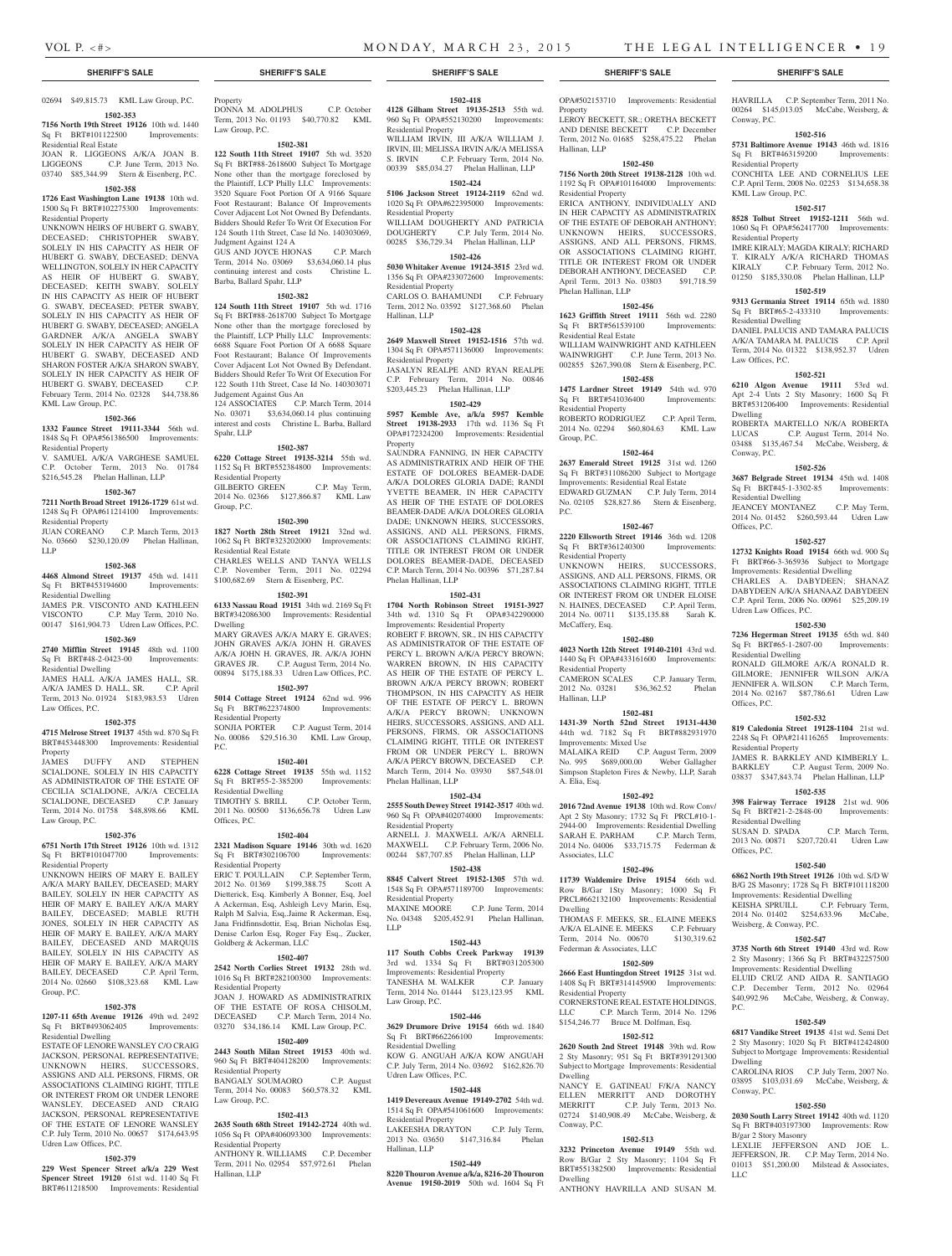### **SHERIFF'S SALE SHERIFF'S SALE SHERIFF'S SALE SHERIFF'S SALE SHERIFF'S SALE**

# 02694 \$49,815.73 KML Law Group, P.C.

**1502-353 7156 North 19th Street 19126** 10th wd. 1440 Sq Ft BRT#101122500 Improvements: Residential Real Estate

# JOAN R. LIGGEONS A/K/A JOAN B. LIGGEONS C.P. June Term, 2013 No. 03740 \$85,344.99 Stern & Eisenberg, P.C.

### **1502-358 1726 East Washington Lane 19138** 10th wd. 1500 Sq Ft BRT#102275300 Improvements: Residential Property

UNKNOWN HEIRS OF HUBERT G. SWABY, DECEASED; CHRISTOPHER SWABY, SOLELY IN HIS CAPACITY AS HEIR OF HUBERT G. SWABY, DECEASED; DENVA WELLINGTON, SOLELY IN HER CAPACITY AS HEIR OF HUBERT G. SWABY, DECEASED; KEITH SWABY, SOLELY IN HIS CAPACITY AS HEIR OF HUBERT G. SWABY, DECEASED; PETER SWABY, SOLELY IN HIS CAPACITY AS HEIR OF HUBERT G. SWABY, DECEASED; ANGELA GARDNER A/K/A ANGELA SWABY SOLELY IN HER CAPACITY AS HEIR OF HUBERT G. SWABY, DECEASED AND SHARON FOSTER A/K/A SHARON SWABY, SOLELY IN HER CAPACITY AS HEIR OF HUBERT G. SWABY, DECEASED C.P. February Term, 2014 No. 02328 \$44,738.86 KML Law Group, P.C.

# **1502-366**

**1332 Faunce Street 19111-3344** 56th wd. 1848 Sq Ft OPA#561386500 Improvements: Residential Property V. SAMUEL A/K/A VARGHESE SAMUEL

C.P. October Term, 2013 No. 01784 \$216,545.28 Phelan Hallinan, LLP

### **1502-367**

**7211 North Broad Street 19126-1729** 61st wd. 1248 Sq Ft OPA#611214100 Improvements: Residential Property

JUAN COREANO C.P. March Term, 2013 No. 03660 \$230,120.09 Phelan Hallinan, LLP

### **1502-368**

**4468 Almond Street 19137** 45th wd. 1411 Sq Ft BRT#453194600 Improvements: Residential Dwelling

JAMES P.R. VISCONTO AND KATHLEEN VISCONTO C.P. May Term, 2010 No. 00147 \$161,904.73 Udren Law Offices, P.C.

# **1502-369**

**2740 Mifflin Street 19145** 48th wd. 1100 Sq Ft BRT#48-2-0423-00 Improvements: Residential Dwelling

JAMES HALL A/K/A JAMES HALL, SR. A/K/A JAMES D. HALL, SR. C.P. April Term, 2013 No. 01924 \$183,983.53 Udren Law Offices, P.C.

# **1502-375**

**4715 Melrose Street 19137** 45th wd. 870 Sq Ft BRT#453448300 Improvements: Residential Property

JAMES DUFFY AND STEPHEN SCIALDONE, SOLELY IN HIS CAPACITY AS ADMINISTRATOR OF THE ESTATE OF CECILIA SCIALDONE, A/K/A CECELIA SCIALDONE, DECEASED C.P. January Term, 2014 No. 01758 \$48,898.66 KML Law Group, P.C.

### **1502-376**

**6751 North 17th Street 19126** 10th wd. 1312 Sq Ft BRT#101047700 Improvements: Residential Property

UNKNOWN HEIRS OF MARY E. BAILEY A/K/A MARY BAILEY, DECEASED; MARY BAILEY, SOLELY IN HER CAPACITY AS HEIR OF MARY E. BAILEY A/K/A MARY BAILEY, DECEASED; MABLE RUTH JONES, SOLELY IN HER CAPACITY AS HEIR OF MARY E. BAILEY, A/K/A MARY BAILEY, DECEASED AND MARQUIS BAILEY, SOLELY IN HIS CAPACITY AS HEIR OF MARY E. BAILEY, A/K/A MARY BAILEY, DECEASED C.P. April Term, 2014 No. 02660 \$108,323.68 KML Law Group, P.C.

## **1502-378**

**1207-11 65th Avenue 19126** 49th wd. 2492 Sq Ft BRT#493062405 Improvements: Residential Dwelling

ESTATE OF LENORE WANSLEY C/O CRAIG JACKSON, PERSONAL REPRESENTATIVE; UNKNOWN HEIRS, SUCCESSORS, ASSIGNS AND ALL PERSONS, FIRMS, OR ASSOCIATIONS CLAIMING RIGHT, TITLE OR INTEREST FROM OR UNDER LENORE WANSLEY, DECEASED AND CRAIG JACKSON, PERSONAL REPRESENTATIVE OF THE ESTATE OF LENORE WANSLEY C.P. July Term, 2010 No. 00657 \$174,643.95 Udren Law Offices, P.C.

## **1502-379**

**229 West Spencer Street a/k/a 229 West Spencer Street 19120** 61st wd. 1140 Sq Ft BRT#611218500 Improvements: Residential

# Property DONNA M. ADOLPHUS C.P. October

Term, 2013 No. 01193 \$40,770.82 KML Law Group, P.C.

# **1502-381**

**122 South 11th Street 19107** 5th wd. 3520 Sq Ft BRT#88-2618600 Subject To Mortgage None other than the mortgage foreclosed by the Plaintiff, LCP Philly LLC Improvements: 3520 Square Foot Portion Of A 9166 Square Foot Restaurant; Balance Of Improvements Cover Adjacent Lot Not Owned By Defendants. Bidders Should Refer To Writ Of Execution For 124 South 11th Street, Case Id No. 140303069, Judgment Against 124 A GUS AND JOYCE HIONAS C.P. March

Term, 2014 No. 03069 \$3,634,060.14 plus continuing interest and costs Christine L. Barba, Ballard Spahr, LLP

### **1502-382**

**124 South 11th Street 19107** 5th wd. 1716 Sq Ft BRT#88-2618700 Subject To Mortgage None other than the mortgage foreclosed by the Plaintiff, LCP Philly LLC Improvements: 6688 Square Foot Portion Of A 6688 Square Foot Restaurant; Balance Of Improvements Cover Adjacent Lot Not Owned By Defendant. Bidders Should Refer To Writ Of Execution For 122 South 11th Street, Case Id No. 140303071 Judgement Against Gus An 124 ASSOCIATES C.P. March Term, 2014 No. 03071 \$3,634,060.14 plus continuing interest and costs Christine L. Barba, Ballard Spahr, LLP

### **1502-387**

**6220 Cottage Street 19135-3214** 55th wd. 1152 Sq Ft BRT#552384800 Improvements: Residential Property GILBERTO GREEN C.P. May Term,

2014 No. 02366 \$127,866.87 KML Law Group, P.C.

# **1502-390**

**1827 North 28th Street 19121** 32nd wd. 1062 Sq Ft BRT#323202000 Improvements: Residential Real Estate CHARLES WELLS AND TANYA WELLS C.P. November Term, 2011 No. 02294 \$100,682.69 Stern & Eisenberg, P.C.

### **1502-391**

**6133 Nassau Road 19151** 34th wd. 2169 Sq Ft BRT#342086300 Improvements: Residential Dwelling

MARY GRAVES A/K/A MARY E. GRAVES; JOHN GRAVES A/K/A JOHN H. GRAVES A/K/A JOHN H. GRAVES, JR. A/K/A JOHN<br>GRAVES JR. C.P. August Term. 2014 No. C.P. August Term, 2014 No. 00894 \$175,188.33 Udren Law Offices, P.C.

# **1502-397**

**5014 Cottage Street 19124** 62nd wd. 996 Sq Ft BRT#622374800 Improvements: Residential Property SONJIA PORTER C.P. August Term, 2014 No. 00086 \$29,516.30 KML Law Group, P.C.

# **1502-401**

**6228 Cottage Street 19135** 55th wd. 1152 Sq Ft BRT#55-2-385200 Improvements: Residential Dwelling

TIMOTHY S. BRILL C.P. October Term, 2011 No. 00500 \$136,656.78 Udren Law Offices, P.C.

### **1502-404**

**2321 Madison Square 19146** 30th wd. 1620 Sq Ft BRT#302106700 Improvements: Residential Property

ERIC T. POULLAIN C.P. September Term, 2012 No. 01369 \$199,388.75 Scott A Dietterick, Esq. Kimberly A Bonner, Esq, Joel A Ackerman, Esq, Ashleigh Levy Marin, Esq, Ralph M Salvia, Esq,.Jaime R Ackerman, Esq, Jana Fridfinnsdottir, Esq, Brian Nicholas Esq, Denise Carlon Esq, Roger Fay Esq., Zucker, Goldberg & Ackerman, LLC

### **1502-407**

**2542 North Corlies Street 19132** 28th wd. 1016 Sq Ft BRT#282100300 Improvements: Residential Property

JOAN J. HOWARD AS ADMINISTRATRIX OF THE ESTATE OF ROSA CHISOLM, DECEASED C.P. March Term, 2014 No. 03270 \$34,186.14 KML Law Group, P.C.

### **1502-409 2443 South Milan Street 19153** 40th wd.

960 Sq Ft BRT#404128200 Improvements: Residential Property BANGALY SOUMAORO C.P. August Term, 2014 No. 00083 \$60,578.32 KML Law Group, P.C.

### **1502-413**

**2635 South 68th Street 19142-2724** 40th wd. 1056 Sq Ft OPA#406093300 Improvements: Residential Property

ANTHONY R. WILLIAMS C.P. December Term, 2011 No. 02954 \$57,972.61 Phelan Hallinan, LLP

### **1502-418**

**4128 Gilham Street 19135-2513** 55th wd. 960 Sq Ft OPA#552130200 Improvements: Residential Property WILLIAM IRVIN, III A/K/A WILLIAM J.

IRVIN, III; MELISSA IRVIN A/K/A MELISSA S. IRVIN C.P. February Term, 2014 No. 00339 \$85,034.27 Phelan Hallinan, LLP

## **1502-424**

**5106 Jackson Street 19124-2119** 62nd wd. 1020 Sq Ft OPA#622395000 Improvements: Residential Property WILLIAM DOUGHERTY AND PATRICIA DOUGHERTY C.P. July Term, 2014 No. 00285 \$36,729.34 Phelan Hallinan, LLP

### **1502-426**

**5030 Whitaker Avenue 19124-3515** 23rd wd. 1356 Sq Ft OPA#233072600 Improvements: Residential Property

CARLOS O. BAHAMUNDI C.P. February Term, 2012 No. 03592 \$127,368.60 Phelan Hallinan, LLP

### **1502-428**

**2649 Maxwell Street 19152-1516** 57th wd. 1304 Sq Ft OPA#571136000 Improvements: Residential Property

JASALYN REALPE AND RYAN REALPE C.P. February Term, 2014 No. 00846 \$203,445.23 Phelan Hallinan, LLP

### **1502-429**

**5957 Kemble Ave, a/k/a 5957 Kemble Street 19138-2933** 17th wd. 1136 Sq Ft OPA#172324200 Improvements: Residential Property

SAUNDRA FANNING, IN HER CAPACITY AS ADMINISTRATRIX AND HEIR OF THE ESTATE OF DOLORES BEAMER-DADE A/K/A DOLORES GLORIA DADE; RANDI YVETTE BEAMER, IN HER CAPACITY AS HEIR OF THE ESTATE OF DOLORES BEAMER-DADE A/K/A DOLORES GLORIA DADE; UNKNOWN HEIRS, SUCCESSORS, ASSIGNS, AND ALL PERSONS, FIRMS, OR ASSOCIATIONS CLAIMING RIGHT, TITLE OR INTEREST FROM OR UNDER DOLORES BEAMER-DADE, DECEASED C.P. March Term, 2014 No. 00396 \$71,287.84 Phelan Hallinan, LLP

### **1502-431**

**1704 North Robinson Street 19151-3927**  34th wd. 1310 Sq Ft OPA#342290000 Improvements: Residential Property ROBERT F. BROWN, SR., IN HIS CAPACITY AS ADMINISTRATOR OF THE ESTATE OF PERCY L. BROWN A/K/A PERCY BROWN; WARREN BROWN, IN HIS CAPACITY AS HEIR OF THE ESTATE OF PERCY L. BROWN A/K/A PERCY BROWN; ROBERT THOMPSON, IN HIS CAPACITY AS HEIR OF THE ESTATE OF PERCY L. BROWN A/K/A PERCY BROWN; UNKNOWN HEIRS, SUCCESSORS, ASSIGNS, AND ALL PERSONS, FIRMS, OR ASSOCIATIONS CLAIMING RIGHT, TITLE OR INTEREST FROM OR UNDER PERCY L. BROWN A/K/A PERCY BROWN, DECEASED C.P. March Term, 2014 No. 03930 \$87,548.01 Phelan Hallinan, LLP

# **1502-434**

**2555 South Dewey Street 19142-3517** 40th wd. 960 Sq Ft OPA#402074000 Improvements: Residential Property

ARNELL J. MAXWELL A/K/A ARNELL MAXWELL C.P. February Term, 2006 No. 00244 \$87,707.85 Phelan Hallinan, LLP

### **1502-438**

**8845 Calvert Street 19152-1305** 57th wd. 1548 Sq Ft OPA#571189700 Improvements: Residential Property MAXINE MOORE C.P. June Term, 2014 No. 04348 \$205,452.91 Phelan Hallinan, LLP

### **1502-443**

**117 South Cobbs Creek Parkway 19139**  3rd wd. 1334 Sq Ft BRT#031205300 Improvements: Residential Property TANESHA M. WALKER C.P. January Term, 2014 No. 01444 \$123,123.95 KML Law Group, P.C.

# **1502-446**

**3629 Drumore Drive 19154** 66th wd. 1840 Sq Ft BRT#662266100 Improvements: sidential Dwelling KOW G. ANGUAH A/K/A KOW ANGUAH

C.P. July Term, 2014 No. 03692 \$162,826.70 Udren Law Offices, P.C. **1502-448**

**1419 Devereaux Avenue 19149-2702** 54th wd. 1514 Sq Ft OPA#541061600 Improvements: Residential Property LAKEESHA DRAYTON C.P. July Term, 2013 No. 03650 \$147,316.84 Phelan Hallinan, LLP

# **1502-449**

**8220 Thouron Avenue a/k/a, 8216-20 Thouron Avenue 19150-2019** 50th wd. 1604 Sq Ft

OPA#502153710 Improvements: Residential Property LEROY BECKETT, SR.; ORETHA BECKETT AND DENISE BECKETT C.P. December Term, 2012 No. 01685 \$258,475.22 Phelan Hallinan, LLP

HAVRILLA C.P. September Term, 2011 No. 00264 \$145,013.05 McCabe, Weisberg, &

**1502-516 5731 Baltimore Avenue 19143** 46th wd. 1816 Sq Ft BRT#463159200 Improvements:

CONCHITA LEE AND CORNELIUS LEE C.P. April Term, 2008 No. 02253 \$134,658.38

**1502-517 8528 Tolbut Street 19152-1211** 56th wd. 1060 Sq Ft OPA#562417700 Improvements:

IMRE KIRALY; MAGDA KIRALY; RICHARD T. KIRALY A/K/A RICHARD THOMAS KIRALY C.P. February Term, 2012 No. 01250 \$185,330.08 Phelan Hallinan, LLP **1502-519 9313 Germania Street 19114** 65th wd. 1880 Sq Ft BRT#65-2-433310 Improvements:

DANIEL PALUCIS AND TAMARA PALUCIS A/K/A TAMARA M. PALUCIS C.P. April Term, 2014 No. 01322 \$138,952.37 Udren

**1502-521 6210 Algon Avenue 19111** 53rd wd. Apt 2-4 Unts 2 Sty Masonry; 1600 Sq Ft BRT#531206400 Improvements: Residential

ROBERTA MARTELLO N/K/A ROBERTA LUCAS C.P. August Term, 2014 No. 03488 \$135,467.54 McCabe, Weisberg, &

**1502-526 3687 Belgrade Street 19134** 45th wd. 1408 Sq Ft BRT#45-1-3302-85 Improvements:

JEANCEY MONTANEZ C.P. May Term, 2014 No. 01452 \$260,593.44 Udren Law

**1502-527 12732 Knights Road 19154** 66th wd. 900 Sq Ft BRT#66-3-365936 Subject to Mortgage Improvements: Residential Dwelling CHARLES A. DABYDEEN; SHANAZ DABYDEEN A/K/A SHANAAZ DABYDEEN C.P. April Term, 2006 No. 00961 \$25,209.19

**1502-530 7236 Hegerman Street 19135** 65th wd. 840 Sq Ft BRT#65-1-2807-00 Improvements:

RONALD GILMORE A/K/A RONALD R. GILMORE; JENNIFER WILSON A/K/A JENNIFER A. WILSON C.P. March Term, 2014 No. 02167 \$87,786.61 Udren Law

**1502-532 819 Caledonia Street 19128-1104** 21st wd. 2248 Sq Ft OPA#214116265 Improvements:

JAMES R. BARKLEY AND KIMBERLY L. BARKLEY C.P. August Term, 2009 No. 03837 \$347,843.74 Phelan Hallinan, LLP **1502-535 398 Fairway Terrace 19128** 21st wd. 906 Sq Ft BRT#21-2-2848-00 Improvements:

2013 No. 00871 \$207,720.41 Udren Law

**1502-540 6862 North 19th Street 19126** 10th wd. S/D W B/G 2S Masonry; 1728 Sq Ft BRT#101118200 Improvements: Residential Dwelling KEISHA SPRUILL C.P. February Term, 2014 No. 01402 \$254,633.96 McCabe,

**1502-547 3735 North 6th Street 19140** 43rd wd. Row 2 Sty Masonry; 1366 Sq Ft BRT#432257500 Improvements: Residential Dwelling ELUID CRUZ AND AIDA R. SANTIAGO C.P. December Term, 2012 No. 02964 \$40,992.96 McCabe, Weisberg, & Conway,

**1502-549 6817 Vandike Street 19135** 41st wd. Semi Det 2 Sty Masonry; 1020 Sq Ft BRT#412424800 Subject to Mortgage Improvements: Residential

CAROLINA RIOS C.P. July Term, 2007 No. 03895 \$103,031.69 McCabe, Weisberg, &

**1502-550 2030 South Larry Street 19142** 40th wd. 1120 Sq Ft BRT#403197300 Improvements: Row

LEXLIE JEFFERSON AND JOE L. JEFFERSON, JR. C.P. May Term, 2014 No. 01013 \$51,200.00 Milstead & Associates,

C.P. March Term,

Conway, P.C.

Residential Property

KML Law Group, P.C.

Residential Property

Residential Dwelling

Law Offices, P.C.

Dwelling

Conway, P.C.

Offices, P.C.

Residential Dwelling

Udren Law Offices, P.C.

Residential Dwelling

Residential Property

Residential Dwelling

Weisberg, & Conway, P.C.

Offices, P.C.

P.C.

Dwelling

LLC

Conway, P.C.

B/gar 2 Story Masonry

Offices, P.C.

### **1502-450**

**7156 North 20th Street 19138-2128** 10th wd. 1192 Sq Ft OPA#101164000 Improvements: Residential Property ERICA ANTHONY, INDIVIDUALLY AND IN HER CAPACITY AS ADMINISTRATRIX OF THE ESTATE OF DEBORAH ANTHONY; UNKNOWN HEIRS, SUCCESSORS, ASSIGNS, AND ALL PERSONS, FIRMS, OR ASSOCIATIONS CLAIMING RIGHT, TITLE OR INTEREST FROM OR UNDER DEBORAH ANTHONY, DECEASED C.P. April Term, 2013 No. 03803 \$91,718.59 Phelan Hallinan, LLP

## **1502-456**

**1623 Griffith Street 19111** 56th wd. 2280 Sq Ft BRT#561539100 Improvements:

Residential Real Estate WILLIAM WAINWRIGHT AND KATHLEEN WAINWRIGHT C.P. June Term, 2013 No. 002855 \$267,390.08 Stern & Eisenberg, P.C.

# **1502-458**

Group, P.C.

P.C.

Residential Property

McCaffery, Esq.

Residential Property

Improvements: Mixed Use

Hallinan, LLP

A. Elia, Esq.

Associates, LLC

Dwelling

Dwelling

Conway, P.C.

Dwelling

**1475 Lardner Street 19149** 54th wd. 970 Sq Ft BRT#541036400 Improvements: Residential Property ROBERTO RODRIGUEZ C.P. April Term, 2014 No. 02294 \$60,804.63 KML Law

**1502-464 2637 Emerald Street 19125** 31st wd. 1260 Sq Ft BRT#311086200 Subject to Mortgage Improvements: Residential Real Estate EDWARD GUZMAN C.P. July Term, 2014 No. 02105 \$28,827.86 Stern & Eisenberg,

**1502-467 2220 Ellsworth Street 19146** 36th wd. 1208 Sq Ft BRT#361240300 Improvements:

UNKNOWN HEIRS, SUCCESSORS, ASSIGNS, AND ALL PERSONS, FIRMS, OR ASSOCIATIONS CLAIMING RIGHT, TITLE OR INTEREST FROM OR UNDER ELOISE N. HAINES, DECEASED C.P. April Term, 2014 No. 00711 \$135,135.88 Sarah K.

**1502-480 4023 North 12th Street 19140-2101** 43rd wd. 1440 Sq Ft OPA#433161600 Improvements:

CAMERON SCALES C.P. January Term, 2012 No. 03281 \$36,362.52 Phelan

**1502-481 1431-39 North 52nd Street 19131-4430**  44th wd. 7182 Sq Ft BRT#882931970

MALAIKA REID C.P. August Term, 2009 No. 995 \$689,000.00 Weber Gallagher Simpson Stapleton Fires & Newby, LLP, Sarah

**1502-492 2016 72nd Avenue 19138** 10th wd. Row Conv/ Apt 2 Sty Masonry; 1732 Sq Ft PRCL#10-1- 2944-00 Improvements: Residential Dwelling SARAH E. PARHAM C.P. March Term, 2014 No. 04006 \$33,715.75 Federman &

**1502-496 11739 Waldemire Drive 19154** 66th wd. Row B/Gar 1Sty Masonry; 1000 Sq Ft PRCL#662132100 Improvements: Residential

THOMAS F. MEEKS, SR., ELAINE MEEKS A/K/A ELAINE E. MEEKS C.P. February<br>Term, 2014 No. 00670 \$130,319.62

**1502-509 2666 East Huntingdon Street 19125** 31st wd. 1408 Sq Ft BRT#314145900 Improvements:

CORNERSTONE REAL ESTATE HOLDINGS, LLC C.P. March Term, 2014 No. 1296 \$154,246.77 Bruce M. Dolfman, Esq. **1502-512 2620 South 2nd Street 19148** 39th wd. Row 2 Sty Masonry; 951 Sq Ft BRT#391291300 Subject to Mortgage Improvements: Residential

NANCY E. GATINEAU F/K/A NANCY ELLEN MERRITT AND DOROTHY<br>MERRITT C.P. July Term, 2013 No.

02724 \$140,908.49 McCabe, Weisberg, &

**1502-513 3232 Princeton Avenue 19149** 55th wd. Row B/Gar 2 Sty Masonry; 1104 Sq Ft BRT#551382500 Improvements: Residential

ANTHONY HAVRILLA AND SUSAN M.

C.P. July Term, 2013 No.

Term, 2014 No. 00670 Federman & Associates, LLC

Residential Property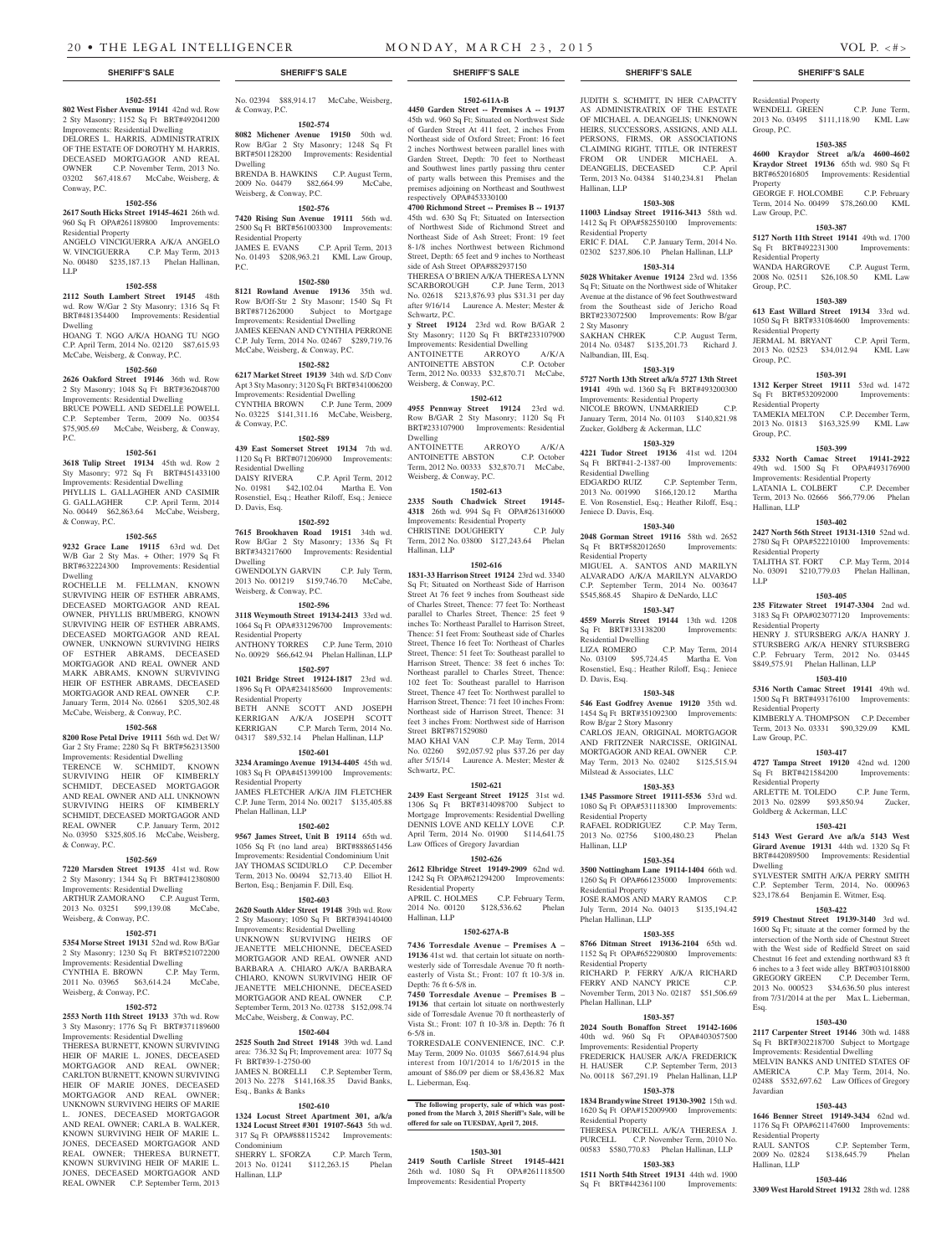### **1502-551 802 West Fisher Avenue 19141** 42nd wd. Row

2 Sty Masonry; 1152 Sq Ft BRT#492041200 Improvements: Residential Dwelling DELORES L. HARRIS, ADMINISTRATRIX

OF THE ESTATE OF DOROTHY M. HARRIS, DECEASED MORTGAGOR AND REAL OWNER C.P. November Term, 2013 No. 03202 \$67,418.67 McCabe, Weisberg, & Conway, P.C.

### **1502-556**

### **2617 South Hicks Street 19145-4621** 26th wd. 960 Sq Ft OPA#261189800 Improvements:

Residential Property ANGELO VINCIGUERRA A/K/A ANGELO W. VINCIGUERRA C.P. May Term, 2013

No. 00480 \$235,187.13 Phelan Hallinan, LLP

### **1502-558**

**2112 South Lambert Street 19145** 48th wd. Row W/Gar 2 Sty Masonry; 1316 Sq Ft BRT#481354400 Improvements: Residential Dwelling

HOANG T. NGO A/K/A HOANG TU NGO C.P. April Term, 2014 No. 02120 \$87,615.93 McCabe, Weisberg, & Conway, P.C.

### **1502-560**

**2626 Oakford Street 19146** 36th wd. Row 2 Sty Masonry; 1048 Sq Ft BRT#362048700 Improvements: Residential Dwelling

BRUCE POWELL AND SEDELLE POWELL C.P. September Term, 2009 No. 00354 \$75,905.69 McCabe, Weisberg, & Conway, P.C.

# **1502-561**

**3618 Tulip Street 19134** 45th wd. Row 2 Sty Masonry; 972 Sq Ft BRT#451433100 Improvements: Residential Dwelling

PHYLLIS L. GALLAGHER AND CASIMIR G. GALLAGHER C.P. April Term, 2014 No. 00449 \$62,863.64 McCabe, Weisberg, & Conway, P.C.

### **1502-565**

**9232 Grace Lane 19115** 63rd wd. Det W/B Gar 2 Sty Mas. + Other; 1979 Sq Ft BRT#632224300 Improvements: Residential Dwelling

ROCHELLE M. FELLMAN, KNOWN SURVIVING HEIR OF ESTHER ABRAMS, DECEASED MORTGAGOR AND REAL OWNER, PHYLLIS BRUMBERG, KNOWN SURVIVING HEIR OF ESTHER ABRAMS, DECEASED MORTGAGOR AND REAL OWNER, UNKNOWN SURVIVING HEIRS OF ESTHER ABRAMS, DECEASED MORTGAGOR AND REAL OWNER AND MARK ABRAMS, KNOWN SURVIVING HEIR OF ESTHER ABRAMS, DECEASED MORTGAGOR AND REAL OWNER C.P. January Term, 2014 No. 02661 \$205,302.48 McCabe, Weisberg, & Conway, P.C.

### **1502-568**

**8200 Rose Petal Drive 19111** 56th wd. Det W/ Gar 2 Sty Frame; 2280 Sq Ft BRT#562313500 Improvements: Residential Dwelling TERENCE W. SCHMIDT, KNOWN SURVIVING HEIR OF KIMBERLY SCHMIDT, DECEASED MORTGAGOR AND REAL OWNER AND ALL UNKNOWN SURVIVING HEIRS OF KIMBERLY SCHMIDT, DECEASED MORTGAGOR AND REAL OWNER C.P. January Term, 2012 No. 03950 \$325,805.16 McCabe, Weisberg, & Conway, P.C.

### **1502-569**

**7220 Marsden Street 19135** 41st wd. Row 2 Sty Masonry; 1344 Sq Ft BRT#412380800 Improvements: Residential Dwelling ARTHUR ZAMORANO C.P. August Term,

2013 No. 03251 \$99,139.08 McCabe, Weisberg, & Conway, P.C.

### **1502-571**

**5354 Morse Street 19131** 52nd wd. Row B/Gar 2 Sty Masonry; 1230 Sq Ft BRT#521072200 Improvements: Residential Dwelling CYNTHIA E. BROWN C.P. May Term, 2011 No. 03965 \$63,614.24 McCabe, Weisberg, & Conway, P.C.

### **1502-572**

**2553 North 11th Street 19133** 37th wd. Row 3 Sty Masonry; 1776 Sq Ft BRT#371189600 Improvements: Residential Dwelling THERESA BURNETT, KNOWN SURVIVING HEIR OF MARIE L. JONES, DECEASED MORTGAGOR AND REAL OWNER: CARLTON BURNETT, KNOWN SURVIVING HEIR OF MARIE JONES, DECEASED MORTGAGOR AND REAL OWNER; UNKNOWN SURVIVING HEIRS OF MARIE L. JONES, DECEASED MORTGAGOR AND REAL OWNER; CARLA B. WALKER, KNOWN SURVIVING HEIR OF MARIE L. JONES, DECEASED MORTGAGOR AND

REAL OWNER; THERESA BURNETT, KNOWN SURVIVING HEIR OF MARIE L. JONES, DECEASED MORTGAGOR AND REAL OWNER C.P. September Term, 2013

No. 02394 \$88,914.17 McCabe, Weisberg, & Conway, P.C.

**1502-574 8082 Michener Avenue 19150** 50th wd. Row B/Gar 2 Sty Masonry; 1248 Sq Ft BRT#501128200 Improvements: Residential Dwelling

BRENDA B. HAWKINS C.P. August Term, 2009 No. 04479 \$82,664.99 McCabe, Weisberg, & Conway, P.C.

# **1502-576**

**7420 Rising Sun Avenue 19111** 56th wd. 2500 Sq Ft BRT#561003300 Improvements: Residential Property<br>JAMES E. EVANS C.P. April Term, 2013 No. 01493 \$208,963.21 KML Law Group, P.C.

### **1502-580**

**8121 Rowland Avenue 19136** 35th wd. Row B/Off-Str 2 Sty Masonr; 1540 Sq Ft BRT#871262000 Subject to Mortgage Improvements: Residential Dwelling JAMES KEENAN AND CYNTHIA PERRONE C.P. July Term, 2014 No. 02467 \$289,719.76 McCabe, Weisberg, & Conway, P.C.

### **1502-582**

**6217 Market Street 19139** 34th wd. S/D Conv Apt 3 Sty Masonry; 3120 Sq Ft BRT#341006200 Improvements: Residential Dwelling CYNTHIA BROWN C.P. June Term, 2009 No. 03225 \$141,311.16 McCabe, Weisberg, & Conway, P.C.

### **1502-589**

**439 East Somerset Street 19134** 7th wd. 1120 Sq Ft BRT#071206900 Improvements: Residential Dwelling<br>DAISY RIVERA C.P. April Term, 2012 No. 01981 \$42,102.04 Martha E. Von Rosenstiel, Esq.; Heather Riloff, Esq.; Jeniece D. Davis, Esq.

### **1502-592**

**7615 Brookhaven Road 19151** 34th wd. Row B/Gar 2 Sty Masonry; 1336 Sq Ft BRT#343217600 Improvements: Residential Dwelling GWENDOLYN GARVIN C.P. July Term,

2013 No. 001219 \$159,746.70 McCabe, Weisberg, & Conway, P.C.

# **1502-596**

**3118 Weymouth Street 19134-2413** 33rd wd. 1064 Sq Ft OPA#331296700 Improvements: Residential Property ANTHONY TORRES C.P. June Term, 2010 No. 00929 \$66,642.94 Phelan Hallinan, LLP

# **1502-597**

**1021 Bridge Street 19124-1817** 23rd wd. 1896 Sq Ft OPA#234185600 Improvements: Residential Property BETH ANNE SCOTT AND JOSEPH KERRIGAN A/K/A JOSEPH SCOTT

KERRIGAN C.P. March Term, 2014 No. 04317 \$89,532.14 Phelan Hallinan, LLP **1502-601**

# **3234 Aramingo Avenue 19134-4405** 45th wd.

1083 Sq Ft OPA#451399100 Improvements: Residential Property JAMES FLETCHER A/K/A JIM FLETCHER C.P. June Term, 2014 No. 00217 \$135,405.88

Phelan Hallinan, LLP **1502-602**

**9567 James Street, Unit B 19114** 65th wd. 1056 Sq Ft (no land area) BRT#888651456 Improvements: Residential Condominium Unit JAY THOMAS SCIDURLO C.P. December Term, 2013 No. 00494 \$2,713.40 Elliot H. Berton, Esq.; Benjamin F. Dill, Esq.

### **1502-603**

**2620 South Alder Street 19148** 39th wd. Row 2 Sty Masonry; 1050 Sq Ft BRT#394140400 Improvements: Residential Dwelling

UNKNOWN SURVIVING HEIRS OF JEANETTE MELCHIONNE, DECEASED MORTGAGOR AND REAL OWNER AND BARBARA A. CHIARO A/K/A BARBARA CHIARO, KNOWN SURVIVING HEIR OF JEANETTE MELCHIONNE, DECEASED MORTGAGOR AND REAL OWNER C.P. September Term, 2013 No. 02738 \$152,098.74 McCabe, Weisberg, & Conway, P.C.

# **1502-604**

**2525 South 2nd Street 19148** 39th wd. Land area: 736.32 Sq Ft; Improvement area: 1077 Sq Ft BRT#39-1-2750-00 JAMES N. BORELLI C.P. September Term,

2013 No. 2278 \$141,168.35 David Banks, Esq., Banks & Banks

# **1502-610**

**1324 Locust Street Apartment 301, a/k/a 1324 Locust Street #301 19107-5643** 5th wd. 317 Sq Ft OPA#888115242 Improvements: Condominium

SHERRY L. SFORZA C.P. March Term, 2013 No. 01241 \$112,263.15 Phelan Hallinan, LLP

**SHERIFF'S SALE SHERIFF'S SALE SHERIFF'S SALE SHERIFF'S SALE SHERIFF'S SALE**

### **1502-611A-B**

**4450 Garden Street -- Premises A -- 19137**  45th wd. 960 Sq Ft; Situated on Northwest Side of Garden Street At 411 feet, 2 inches From Northeast side of Oxford Street; Front: 16 feet 2 inches Northwest between parallel lines with Garden Street, Depth: 70 feet to Northeast and Southwest lines partly passing thru center of party walls between this Premises and the premises adjoining on Northeast and Southwest respectively OPA#453330100

**4700 Richmond Street -- Premises B -- 19137**  45th wd. 630 Sq Ft; Situated on Intersection of Northwest Side of Richmond Street and Northeast Side of Ash Street; Front: 19 feet 8-1/8 inches Northwest between Richmond Street, Depth: 65 feet and 9 inches to Northeast side of Ash Street OPA#882937150

THERESA O'BRIEN A/K/A THERESA LYNN SCARBOROUGH C.P. June Term, 2013 No. 02618 \$213,876.93 plus \$31.31 per day after 9/16/14 Laurence A. Mester; Mester & Schwartz, P.C.

**y Street 19124** 23rd wd. Row B/GAR 2 Sty Masonry; 1120 Sq Ft BRT#233107900 Improvements: Residential Dwelling

ANTOINETTE ARROYO A/K/A ANTOINETTE ABSTON C.P. October Term, 2012 No. 00333 \$32,870.71 McCabe, Weisberg, & Conway, P.C.

## **1502-612**

**4955 Pennway Street 19124** 23rd wd. Row B/GAR 2 Sty Masonry; 1120 Sq Ft BRT#233107900 Improvements: Residential Dwelling

ANTOINETTE ARROYO A/K/A ANTOINETTE ABSTON C.P. October Term, 2012 No. 00333 \$32,870.71 McCabe, Weisberg, & Conway, P.C.

# **1502-613**

**2335 South Chadwick Street 19145- 4318** 26th wd. 994 Sq Ft OPA#261316000 Improvements: Residential Property

CHRISTINE DOUGHERTY C.P. July Term, 2012 No. 03800 \$127,243.64 Phelan Hallinan, LLP

### **1502-616**

**1831-33 Harrison Street 19124** 23rd wd. 3340 Sq Ft; Situated on Northeast Side of Harrison Street At 76 feet 9 inches from Southeast side of Charles Street, Thence: 77 feet To: Northeast parallel to Charles Street, Thence: 25 feet 9 inches To: Northeast Parallel to Harrison Street, Thence: 51 feet From: Southeast side of Charles Street, Thence 16 feet To: Northeast of Charles Street, Thence: 51 feet To: Southeast parallel to Harrison Street, Thence: 38 feet 6 inches To: Northeast parallel to Charles Street, Thence: 102 feet To: Southeast parallel to Harrison Street, Thence 47 feet To: Northwest parallel to Harrison Street, Thence: 71 feet 10 inches From: Northeast side of Harrison Street, Thence: 31 feet 3 inches From: Northwest side of Harrison Street BRT#871529080 MAO KHAI VAN C.P. May Term, 2014

No. 02260 \$92,057.92 plus \$37.26 per day after 5/15/14 Laurence A. Mester; Mester & Schwartz, P.C.

## **1502-621**

**2439 East Sergeant Street 19125** 31st wd. 1306 Sq Ft BRT#314098700 Subject to Mortgage Improvements: Residential Dwelling DENNIS LOVE AND KELLY LOVE C.P. April Term, 2014 No. 01900 \$114,641.75 Law Offices of Gregory Javardian

# **1502-626**

**2612 Elbridge Street 19149-2909** 62nd wd. 1242 Sq Ft OPA#621294200 Improvements: Residential Property<br>APRIL C. HOLMES C.P. February Term,

2014 No. 00120 \$128,536.62 Phelan Hallinan, LLP

# **1502-627A-B**

**7436 Torresdale Avenue – Premises A – 19136** 41st wd. that certain lot situate on northwesterly side of Torresdale Avenue 70 ft northeasterly of Vista St.; Front: 107 ft 10-3/8 in. Depth: 76 ft 6-5/8 in.

**7450 Torresdale Avenue – Premises B – 19136** that certain lot situate on northwesterly side of Torresdale Avenue 70 ft northeasterly of Vista St.; Front: 107 ft 10-3/8 in. Depth: 76 ft 6-5/8 in.

TORRESDALE CONVENIENCE, INC. May Term, 2009 No. 01035 \$667,614.94 plus interest from 10/1/2014 to 1/6/2015 in the amount of \$86.09 per diem or \$8,436.82 Max L. Lieberman, Esq.

# **The following property, sale of which was post-poned from the March 3, 2015 Sheriff's Sale, will be offered for sale on TUESDAY, April 7, 2015.**

### **1503-301**

**2419 South Carlisle Street 19145-4421**  26th wd. 1080 Sq Ft OPA#261118500 Improvements: Residential Property

JUDITH S. SCHMITT, IN HER CAPACITY AS ADMINISTRATRIX OF THE ESTATE OF MICHAEL A. DEANGELIS; UNKNOWN HEIRS, SUCCESSORS, ASSIGNS, AND ALL PERSONS, FIRMS, OR ASSOCIATIONS CLAIMING RIGHT, TITLE, OR INTEREST FROM OR UNDER MICHAEL A. DEANGELIS, DECEASED C.P. April Term, 2013 No. 04384 \$140,234.81 Phelan Hallinan, LLP

Residential Property

Group, P.C.

Property

Law Group, P.C.

Residential Property

Residential Property

Residential Property

LATANIA L. COLBERT

Group, P.C.

Group, P.C.

Group, P.C.

Hallinan, LLP

LLP

Residential Property

Residential Property

Residential Property

Law Group, P.C.

Residential Property

Dwelling

Esq.

Javardian

Residential Property<br>RAUL SANTOS

Hallinan, LLP

Goldberg & Ackerman, LLC

WENDELL GREEN C.P. June Term, 2013 No. 03495 \$111,118.90 KML Law

**1503-385 4600 Kraydor Street a/k/a 4600-4602 Kraydor Street 19136** 65th wd. 980 Sq Ft BRT#652016805 Improvements: Residential

GEORGE F. HOLCOMBE C.P. February Term, 2014 No. 00499 \$78,260.00 KML

**1503-387 5127 North 11th Street 19141** 49th wd. 1700 Sq Ft BRT#492231300 Improvements:

WANDA HARGROVE C.P. August Term, 2008 No. 02511 \$26,108.50 KML Law

**1503-389 613 East Willard Street 19134** 33rd wd. 1050 Sq Ft BRT#331084600 Improvements:

JERMAL M. BRYANT C.P. April Term, 2013 No. 02523 \$34,012.94 KML Law

**1503-391 1312 Kerper Street 19111** 53rd wd. 1472 Sq Ft BRT#532092000 Improvements:

TAMEKIA MELTON C.P. December Term, 2013 No. 01813 \$163,325.99 KML Law

**1503-399 5332 North Camac Street 19141-2922**  49th wd. 1500 Sq Ft OPA#493176900 Improvements: Residential Property<br>LATANIA L. COLBERT C.P. December

Term, 2013 No. 02666 \$66,779.06 Phelan

**1503-402 2427 North 56th Street 19131-1310** 52nd wd. 2780 Sq Ft OPA#522210100 Improvements:

TALITHA ST. FORT C.P. May Term, 2014 No. 03091 \$210,779.03 Phelan Hallinan,

**1503-405 235 Fitzwater Street 19147-3304** 2nd wd. 3183 Sq Ft OPA#023077120 Improvements:

HENRY J. STURSBERG A/K/A HANRY J. STURSBERG A/K/A HENRY STURSBERG C.P. February Term, 2012 No. 03445 \$849,575.91 Phelan Hallinan, LLP **1503-410 5316 North Camac Street 19141** 49th wd. 1500 Sq Ft BRT#493176100 Improvements:

KIMBERLY A. THOMPSON C.P. December Term, 2013 No. 03331 \$90,329.09 KML

**1503-417 4727 Tampa Street 19120** 42nd wd. 1200 Sq Ft BRT#421584200 Improvements:

ARLETTE M. TOLEDO C.P. June Term, 2013 No. 02899 \$93,850.94 Zucker,

**1503-421 5143 West Gerard Ave a/k/a 5143 West Girard Avenue 19131** 44th wd. 1320 Sq Ft BRT#442089500 Improvements: Residential

SYLVESTER SMITH A/K/A PERRY SMITH C.P. September Term, 2014, No. 000963 \$23,178.64 Benjamin E. Witmer, Esq. **1503-422 5919 Chestnut Street 19139-3140** 3rd wd. 1600 Sq Ft; situate at the corner formed by the intersection of the North side of Chestnut Street with the West side of Redfield Street on said Chestnut 16 feet and extending northward 83 ft 6 inches to a 3 feet wide alley BRT#031018800 GREGORY GREEN C.P. December Term, 2013 No. 000523 \$34,636.50 plus interest from 7/31/2014 at the per Max L. Lieberman,

**1503-430 2117 Carpenter Street 19146** 30th wd. 1488 Sq Ft BRT#302218700 Subject to Mortgage Improvements: Residential Dwelling

MELVIN BANKS AND UNITED STATES OF AMERICA C.P. May Term, 2014, No.

02488 \$532,697.62 Law Offices of Gregory

**1503-443 1646 Benner Street 19149-3434** 62nd wd. 1176 Sq Ft OPA#621147600 Improvements:

RAUL SANTOS C.P. September Term,<br>2009 No. 02824 \$138,645.79 Phelan

**1503-446 3309 West Harold Street 19132** 28th wd. 1288

C.P. May Term, 2014, No.

\$138,645.79 Phelan

# **1503-308**

**11003 Lindsay Street 19116-3413** 58th wd. 1412 Sq Ft OPA#582550100 Improvements:

Residential Property ERIC F. DIAL C.P. January Term, 2014 No. 02302 \$237,806.10 Phelan Hallinan, LLP

### **1503-314**

**5028 Whitaker Avenue 19124** 23rd wd. 1356 Sq Ft; Situate on the Northwest side of Whitaker Avenue at the distance of 96 feet Southwestward from the Southeast side of Jericho Road BRT#233072500 Improvements: Row B/gar 2 Sty Masonry C.P. August Term,

2014 No. 03487 \$135,201.73 Richard J. Nalbandian, III, Esq.

### **1503-319**

**5727 North 13th Street a/k/a 5727 13th Street 19141** 49th wd. 1360 Sq Ft BRT#493200300 Improvements: Residential Property NICOLE BROWN, UNMARRIED

January Term, 2014 No. 01103 \$140,821.98 Zucker, Goldberg & Ackerman, LLC **1503-329 4221 Tudor Street 19136** 41st wd. 1204 Sq Ft BRT#41-2-1387-00 Improvements:

EDGARDO RUIZ C.P. September Term, 2013 No. 001990 \$166,120.12 Martha E. Von Rosenstiel, Esq.; Heather Riloff, Esq.;

**1503-340 2048 Gorman Street 19116** 58th wd. 2652 Sq Ft BRT#582012650 Improvements:

MIGUEL A. SANTOS AND MARILYN ALVARADO A/K/A MARILYN ALVARDO C.P. September Term, 2014 No. 003647 \$545,868.45 Shapiro & DeNardo, LLC **1503-347 4559 Morris Street 19144** 13th wd. 1208 Sq Ft BRT#133138200 Improvements:

No. 03109 \$95,724.45 Martha E. Von Rosenstiel, Esq.; Heather Riloff, Esq.; Jeniece

**1503-348 546 East Godfrey Avenue 19120** 35th wd. 1454 Sq Ft BRT#351092300 Improvements:

CARLOS JEAN, ORIGINAL MORTGAGOR AND FRITZNER NARCISSE, ORIGINAL MORTGAGOR AND REAL OWNER C.P. May Term, 2013 No. 02402 \$125,515.94

**1503-353 1345 Passmore Street 19111-5536** 53rd wd. 1080 Sq Ft OPA#531118300 Improvements:

RAFAEL RODRIGUEZ C.P. May Term, 2013 No. 02756 \$100,480.23 Phelan

**1503-354 3500 Nottingham Lane 19114-1404** 66th wd. 1260 Sq Ft OPA#661235000 Improvements:

JOSE RAMOS AND MARY RAMOS C.P. July Term, 2014 No. 04013 \$135,194.42

**1503-355 8766 Ditman Street 19136-2104** 65th wd. 1152 Sq Ft OPA#652290800 Improvements:

RICHARD P. FERRY A/K/A RICHARD FERRY AND NANCY PRICE C.P. November Term, 2013 No. 02187 \$51,506.69

**1503-357 2024 South Bonaffon Street 19142-1606**  40th wd. 960 Sq Ft OPA#403057500 Improvements: Residential Property FREDERICK HAUSER A/K/A FREDERICK H. HAUSER C.P. September Term, 2013 No. 00118 \$67,291.19 Phelan Hallinan, LLP **1503-378 1834 Brandywine Street 19130-3902** 15th wd. 1620 Sq Ft OPA#152009900 Improvements:

THERESA PURCELL A/K/A THERESA J. PURCELL C.P. November Term, 2010 No. 00583 \$580,770.83 Phelan Hallinan, LLP **1503-383 1511 North 54th Street 19131** 44th wd. 1900 Sq Ft BRT#442361100 Improvements:

C.P. May Term, 2014

Residential Dwelling

Jeniece D. Davis, Esq.

Residential Property

Residential Dwelling<br>LIZA ROMERO

Row B/gar 2 Story Masonry

Milstead & Associates, LLC

Residential Property

Residential Property

Phelan Hallinan, LLP

Residential Property

Phelan Hallinan, LLP

Residential Property

Hallinan, LLP

D. Davis, Esq.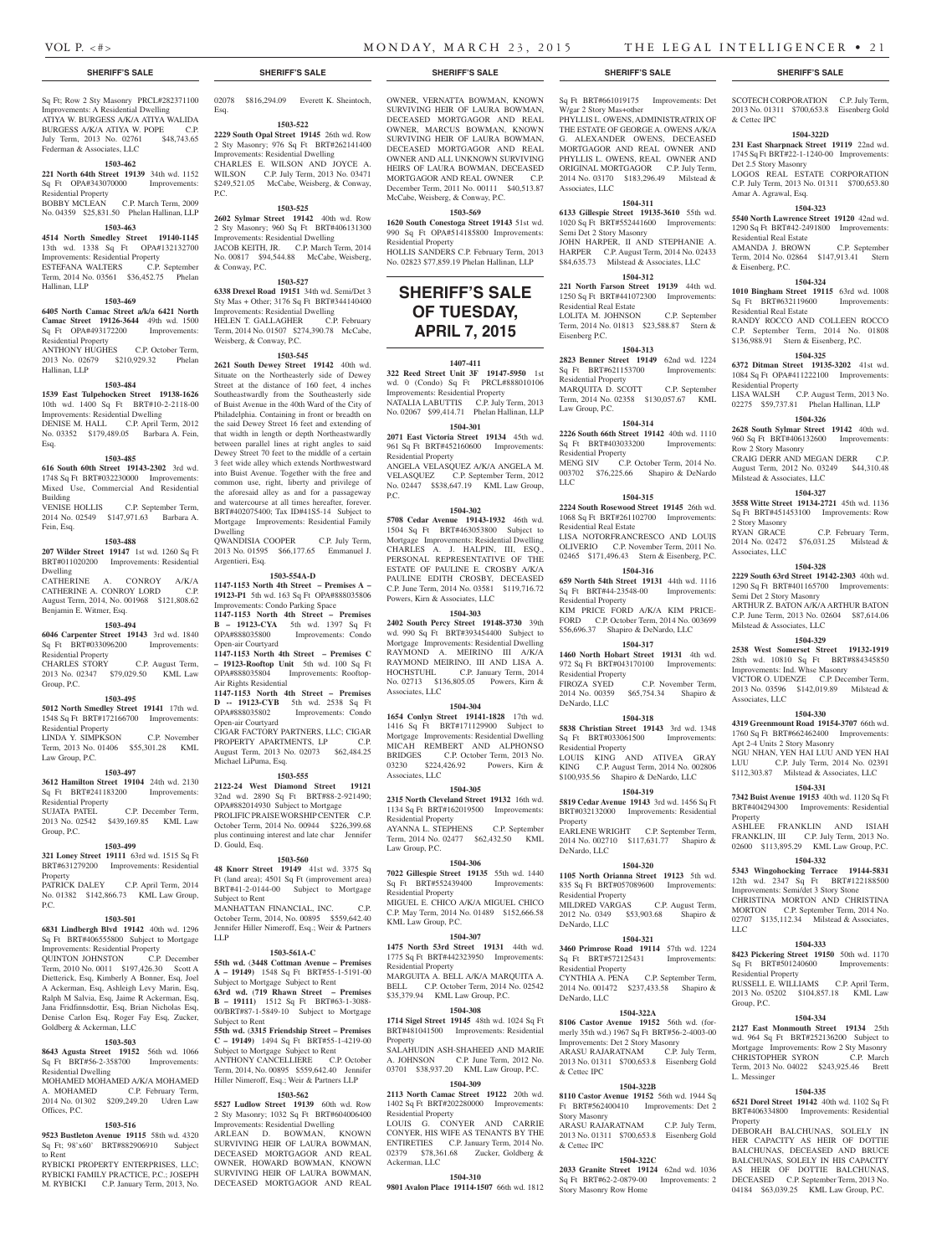& Cettec IPC

Det 2.5 Story Masonry

Amar A. Agrawal, Esq.

Residential Real Estate

Residential Real Estate

Residential Property

Row 2 Story Masonry

2 Story Masonry<br>RYAN GRACE

Associates, LLC

Associates, LLC

Property

LLC

Residential Property

CHRISTOPHER SYRON

Group, P.C.

L. Messinger

**Property** 

Semi Det 2 Story Masonry

Milstead & Associates, LLC

Apt 2-4 Units 2 Story Masonry

Milstead & Associates, LLC

& Eisenberg, P.C.

SCOTECH CORPORATION C.P. July Term, 2013 No. 01311 \$700,653.8 Eisenberg Gold

**1504-322D 231 East Sharpnack Street 19119** 22nd wd. 1745 Sq Ft BRT#22-1-1240-00 Improvements:

LOGOS REAL ESTATE CORPORATION C.P. July Term, 2013 No. 01311 \$700,653.80

**1504-323 5540 North Lawrence Street 19120** 42nd wd. 1290 Sq Ft BRT#42-2491800 Improvements:

AMANDA J. BROWN C.P. September Term, 2014 No. 02864 \$147,913.41 Stern

**1504-324 1010 Bingham Street 19115** 63rd wd. 1008 Sq Ft BRT#632119600 Improvements:

RANDY ROCCO AND COLLEEN ROCCO C.P. September Term, 2014 No. 01808 \$136,988.91 Stern & Eisenberg, P.C. **1504-325 6372 Ditman Street 19135-3202** 41st wd. 1084 Sq Ft OPA#411222100 Improvements:

LISA WALSH C.P. August Term, 2013 No. 02275 \$59,737.81 Phelan Hallinan, LLP **1504-326 2628 South Sylmar Street 19142** 40th wd. 960 Sq Ft BRT#406132600 Improvements:

CRAIG DERR AND MEGAN DERR C.P. August Term, 2012 No. 03249 \$44,310.48

**1504-327 3558 Witte Street 19134-2721** 45th wd. 1136 Sq Ft BRT#451453100 Improvements: Row

2014 No. 02472 \$76,031.25 Milstead &

**1504-328 2229 South 63rd Street 19142-2303** 40th wd. 1290 Sq Ft BRT#401165700 Improvements:

ARTHUR Z. BATON A/K/A ARTHUR BATON C.P. June Term, 2013 No. 02604 \$87,614.06

**1504-329 2538 West Somerset Street 19132-1919**  28th wd. 10810 Sq Ft BRT#884345850 Improvements: Ind. Whse Masonry VICTOR O. UDENZE C.P. December Term, 2013 No. 03596 \$142,019.89 Milstead &

**1504-330 4319 Greenmount Road 19154-3707** 66th wd. 1760 Sq Ft BRT#662462400 Improvements:

NGU NHAN, YEN HAI LUU AND YEN HAI LUU C.P. July Term, 2014 No. 02391 \$112,303.87 Milstead & Associates, LLC **1504-331 7342 Buist Avenue 19153** 40th wd. 1120 Sq Ft BRT#404294300 Improvements: Residential

ASHLEE FRANKLIN AND ISIAH FRANKLIN, III C.P. July Term, 2013 No. 02600 \$113,895.29 KML Law Group, P.C. **1504-332 5343 Wingohocking Terrace 19144-5831**  12th wd. 2347 Sq Ft BRT#122188500 Improvements: Semi/det 3 Story Stone CHRISTINA MORTON AND CHRISTINA MORTON C.P. September Term, 2014 No. 02707 \$135,112.34 Milstead & Associates,

**1504-333 8423 Pickering Street 19150** 50th wd. 1170 Sq Ft BRT#501240600 Improvements:

RUSSELL E. WILLIAMS C.P. April Term, 2013 No. 05202 \$104,857.18 KML Law

**1504-334 2127 East Monmouth Street 19134** 25th wd. 964 Sq Ft BRT#252136200 Subject to Mortgage Improvements: Row 2 Sty Masonry<br>CHRISTOPHER SYRON C.P. March

Term, 2013 No. 04022 \$243,925.46 Brett

**1504-335 6521 Dorel Street 19142** 40th wd. 1102 Sq Ft BRT#406334800 Improvements: Residential

DEBORAH BALCHUNAS, SOLELY IN HER CAPACITY AS HEIR OF DOTTIE BALCHUNAS, DECEASED AND BRUCE BALCHUNAS, SOLELY IN HIS CAPACITY AS HEIR OF DOTTIE BALCHUNAS, DECEASED C.P. September Term, 2013 No. 04184 \$63,039.25 KML Law Group, P.C.

C.P. February Term,

Sq Ft; Row 2 Sty Masonry PRCL#282371100 Improvements: A Residential Dwelling ATIYA W. BURGESS A/K/A ATIYA WALIDA BURGESS A/K/A ATIYA W. POPE C.P. July Term, 2013 No. 02761 \$48,743.65 Federman & Associates, LLC

### **1503-462**

**221 North 64th Street 19139** 34th wd. 1152 Sq Ft OPA#343070000 Improvements: Residential Property P.C.

### BOBBY MCLEAN C.P. March Term, 2009 No. 04359 \$25,831.50 Phelan Hallinan, LLP

# **1503-463**

**4514 North Smedley Street 19140-1145**  13th wd. 1338 Sq Ft OPA#132132700 Improvements: Residential Property ESTEFANA WALTERS Term, 2014 No. 03561 \$36,452.75 Phelan Hallinan, LLP

### **1503-469**

**6405 North Camac Street a/k/a 6421 North Camac Street 19126-3644** 49th wd. 1500 Sq Ft OPA#493172200 Improvements:

Residential Property ANTHONY HUGHES C.P. October Term, 2013 No. 02679 \$210,929.32 Phelan Hallinan, LLP

### **1503-484**

**1539 East Tulpehocken Street 19138-1626**  10th wd. 1400 Sq Ft BRT#10-2-2118-00 Improvements: Residential Dwelling DENISE M. HALL C.P. April Term, 2012 No. 03352 \$179,489.05 Barbara A. Fein, Esq.

### **1503-485**

**616 South 60th Street 19143-2302** 3rd wd. 1748 Sq Ft BRT#032230000 Improvements:

Mixed Use, Commercial And Residential Building VENISE HOLLIS C.P. September Term, 2014 No. 02549 \$147,971.63 Barbara A.

Fein, Esq.

### **1503-488**

**207 Wilder Street 19147** 1st wd. 1260 Sq Ft BRT#011020200 Improvements: Residential Dwelling CATHERINE A. CONROY A/K/A

CATHERINE A. CONROY LORD C.P. August Term, 2014, No. 001968 \$121,808.62 Benjamin E. Witmer, Esq.

# **1503-494**

**6046 Carpenter Street 19143** 3rd wd. 1840 Sq Ft BRT#033096200 Improvements: Residential Property<br>CHARLES STORY **B – 19123-CYA** 5th wd. 1397 Sq Ft Open-air Courtyard **1147-1153 North 4th Street – Premises C – 19123-Rooftop Unit** 5th wd. 100 Sq Ft

C.P. August Term, 2013 No. 02347 \$79,029.50 KML Law Group, P.C.

### **1503-495**

**5012 North Smedley Street 19141** 17th wd. 1548 Sq Ft BRT#172166700 Improvements: Residential Property LINDA Y. SIMPKSON C.P. November

Term, 2013 No. 01406 \$55,301.28 KML Law Group, P.C.

# **1503-497**

**3612 Hamilton Street 19104** 24th wd. 2130<br>
Sq Ft BRT#241183200 Improvements: Sq Ft BRT#241183200 Residential Property

SUJATA PATEL C.P. December Term, 2013 No. 02542 \$439,169.85 KML Law Group, P.C.

### **1503-499**

**321 Loney Street 19111** 63rd wd. 1515 Sq Ft BRT#631279200 Improvements: Residential Property

PATRICK DALEY C.P. April Term, 2014 No. 01382 \$142,866.73 KML Law Group, P.C.

### **1503-501**

**6831 Lindbergh Blvd 19142** 40th wd. 1296 Sq Ft BRT#406555800 Subject to Mortgage Improvements: Residential Property QUINTON JOHNSTON C.P. December Term, 2010 No. 0011 \$197,426.30 Scott A Dietterick, Esq, Kimberly A Bonner, Esq, Joel A Ackerman, Esq, Ashleigh Levy Marin, Esq,

Ralph M Salvia, Esq, Jaime R Ackerman, Esq, Jana Fridfinnsdottir, Esq, Brian Nicholas Esq, Denise Carlon Esq, Roger Fay Esq, Zucker, Goldberg & Ackerman, LLC

### **1503-503**

**8643 Agusta Street 19152** 56th wd. 1066 Sq Ft BRT#56-2-358700 Improvements: Residential Dwelling

MOHAMED MOHAMED A/K/A MOHAMED<br>A. MOHAMED C.P February Term A. MOHAMED C.P. February Term, 2014 No. 01302 \$209,249.20 Udren Law Offices, P.C.

### **1503-516**

**9523 Bustleton Avenue 19115** 58th wd. 4320 Sq Ft; 98'x60' BRT#882906910 Subject to Rent

RYBICKI PROPERTY ENTERPRISES, LLC; RYBICKI FAMILY PRACTICE, P.C.: JOSEPH M. RYBICKI C.P. January Term, 2013, No.

### **SHERIFF'S SALE SHERIFF'S SALE SHERIFF'S SALE SHERIFF'S SALE SHERIFF'S SALE**

02078 \$816,294.09 Everett K. Sheintoch,

**1503-522 2229 South Opal Street 19145** 26th wd. Row 2 Sty Masonry; 976 Sq Ft BRT#262141400 Improvements: Residential Dwelling CHARLES E. WILSON AND JOYCE A. WILSON C.P. July Term, 2013 No. 03471 \$249,521.05 McCabe, Weisberg, & Conway,

**1503-525 2602 Sylmar Street 19142** 40th wd. Row 2 Sty Masonry; 960 Sq Ft BRT#406131300 Improvements: Residential Dwelling JACOB KEITH, JR. C.P. March Term, 2014 No. 00817 \$94,544.88 McCabe, Weisberg,

**1503-527 6338 Drexel Road 19151** 34th wd. Semi/Det 3 Sty Mas + Other; 3176 Sq Ft BRT#344140400 Improvements: Residential Dwelling HELEN T. GALLAGHER C.P. February Term, 2014 No. 01507 \$274,390.78 McCabe,

**1503-545 2621 South Dewey Street 19142** 40th wd. Situate on the Northeasterly side of Dewey Street at the distance of 160 feet, 4 inches Southeastwardly from the Southeasterly side of Buist Avenue in the 40th Ward of the City of Philadelphia. Containing in front or breadth on the said Dewey Street 16 feet and extending of that width in length or depth Northeastwardly between parallel lines at right angles to said Dewey Street 70 feet to the middle of a certain 3 feet wide alley which extends Northwestward into Buist Avenue. Together with the free and common use, right, liberty and privilege of the aforesaid alley as and for a passageway and watercourse at all times hereafter, forever. BRT#402075400; Tax ID#41S5-14 Subject to Mortgage Improvements: Residential Family

QWANDISIA COOPER C.P. July Term, 2013 No. 01595 \$66,177.65 Emmanuel J.

**1503-554A-D 1147-1153 North 4th Street – Premises A – 19123-P1** 5th wd. 163 Sq Ft OPA#888035806 Improvements: Condo Parking Space **1147-1153 North 4th Street – Premises** 

OPA#888035804 Improvements: Rooftop-

**1147-1153 North 4th Street – Premises D** -- **19123-CYB** 5th wd. 2538 Sq Ft<br> **OPA#888035802** Improvements: Condo

CIGAR FACTORY PARTNERS, LLC; CIGAR PROPERTY APARTMENTS, LP C.P. August Term, 2013 No. 02073 \$62,484.25

**1503-555 2122-24 West Diamond Street 19121**  32nd wd. 2890 Sq Ft BRT#88-2-921490; OPA#882014930 Subject to Mortgage PROLIFIC PRAISE WORSHIP CENTER C.P. October Term, 2014 No. 00944 \$226,399.68 plus continuing interest and late char Jennifer

**1503-560 48 Knorr Street 19149** 41st wd. 3375 Sq Ft (land area); 4501 Sq Ft (improvement area) BRT#41-2-0144-00 Subject to Mortgage

MANHATTAN FINANCIAL, INC. C.P. October Term, 2014, No. 00895 \$559,642.40 Jennifer Hiller Nimeroff, Esq.; Weir & Partners

**1503-561A-C 55th wd.** (**3448 Cottman Avenue – Premises A – 19149)** 1548 Sq Ft BRT#55-1-5191-00 Subject to Mortgage Subject to Rent **63rd wd.** (**719 Rhawn Street – Premises B – 19111)** 1512 Sq Ft BRT#63-1-3088- 00/BRT#87-1-5849-10 Subject to Mortgage

**55th wd.** (**3315 Friendship Street – Premises C – 19149)** 1494 Sq Ft BRT#55-1-4219-00 Subject to Mortgage Subject to Rent ANTHONY CANCELLIERE C.P. October Term, 2014, No. 00895 \$559,642.40 Jennifer Hiller Nimeroff, Esq.; Weir & Partners LLP **1503-562 5527 Ludlow Street 19139** 60th wd. Row 2 Sty Masonry; 1032 Sq Ft BRT#604006400 Improvements: Residential Dwelling ARLEAN D. BOWMAN, KNOWN SURVIVING HEIR OF LAURA BOWMAN, DECEASED MORTGAGOR AND REAL OWNER, HOWARD BOWMAN, KNOWN SURVIVING HEIR OF LAURA BOWMAN, DECEASED MORTGAGOR AND REAL

Improvements: Condo

Improvements: Condo

Esq.

& Conway, P.C.

Dwelling

Argentieri, Esq.

Air Rights Residential

Open-air Courtyard

Michael LiPuma, Esq.

D. Gould, Esq.

Subject to Rent

Subject to Rent

LLP

Weisberg, & Conway, P.C.

OWNER, VERNATTA BOWMAN, KNOWN SURVIVING HEIR OF LAURA BOWMAN, DECEASED MORTGAGOR AND REAL OWNER, MARCUS BOWMAN, KNOWN SURVIVING HEIR OF LAURA BOWMAN, DECEASED MORTGAGOR AND REAL OWNER AND ALL UNKNOWN SURVIVING HEIRS OF LAURA BOWMAN, DECEASED MORTGAGOR AND REAL OWNER C.P. December Term, 2011 No. 00111 \$40,513.87 McCabe, Weisberg, & Conway, P.C.

## **1503-569**

**1620 South Conestoga Street 19143** 51st wd. 990 Sq Ft OPA#514185800 Improvements: Residential Property HOLLIS SANDERS C.P. February Term, 2013

No. 02823 \$77,859.19 Phelan Hallinan, LLP

# **SHERIFF'S SALE OF TUESDAY, April 7, 2015**

# **1407-411**

**322 Reed Street Unit 3F 19147-5950** 1st wd. 0 (Condo) Sq Ft PRCL#888010106 Improvements: Residential Property NATALIA LABUTTIS C.P. July Term, 2013 No. 02067 \$99,414.71 Phelan Hallinan, LLP

**1504-301**

**2071 East Victoria Street 19134** 45th wd. 961 Sq Ft BRT#452160600 Improvements: Residential Property ANGELA VELASQUEZ A/K/A ANGELA M.

VELASQUEZ C.P. September Term, 2012 No. 02447 \$\$38,647.19 KML Law Group, P.C.

### **1504-302**

**5708 Cedar Avenue 19143-1932** 46th wd. 1504 Sq Ft BRT#463053800 Subject to Mortgage Improvements: Residential Dwelling CHARLES A. J. HALPIN, III, ESQ., PERSONAL REPRESENTATIVE OF THE ESTATE OF PAULINE E. CROSBY A/K/A PAULINE EDITH CROSBY, DECEASED C.P. June Term, 2014 No. 03581 \$119,716.72 Powers, Kirn & Associates, LLC

**1504-303**

**2402 South Percy Street 19148-3730** 39th wd. 990 Sq Ft BRT#393454400 Subject to Mortgage Improvements: Residential Dwelling RAYMOND A. MEIRINO III A/K/A RAYMOND MEIRINO, III AND LISA A. HOCHSTUHL C.P. January Term, 2014 No. 02713 \$136,805.05 Powers, Kirn & Associates, LLC

### **1504-304**

**1654 Conlyn Street 19141-1828** 17th wd. 1416 Sq Ft BRT#171129900 Subject to Mortgage Improvements: Residential Dwelling MICAH REMBERT AND ALPHONSO BRIDGES C.P. October Term, 2013 No. 03230 \$224,426.92 Powers, Kirn & Associates, LLC

### **1504-305**

**2315 North Cleveland Street 19132** 16th wd. 1134 Sq Ft BRT#162019500 Improvements: Residential Property AYANNA L. STEPHENS C.P. September Term, 2014 No. 02477 \$62,432.50 KML Law Group, P.C.

### **1504-306**

**7022 Gillespie Street 19135** 55th wd. 1440 Sq Ft BRT#552439400 Improvements: Residential Property MIGUEL E. CHICO A/K/A MIGUEL CHICO C.P. May Term, 2014 No. 01489 \$152,666.58 KML Law Group, P.C.

## **1504-307**

**1475 North 53rd Street 19131** 44th wd. 1775 Sq Ft BRT#442323950 Improvements: Residential Property MARGUITA A. BELL A/K/A MARQUITA A. BELL C.P. October Term, 2014 No. 02542 \$35,379.94 KML Law Group, P.C.

### **1504-308**

**1714 Sigel Street 19145** 48th wd. 1024 Sq Ft BRT#481041500 Improvements: Residential Property

SALAHUDIN ASH-SHAHEED AND MARIE A. JOHNSON C.P. June Term, 2012 No. 03701 \$38,937.20 KML Law Group, P.C.

# **1504-309**

**2113 North Camac Street 19122** 20th wd. 1402 Sq Ft BRT#202280000 Improvements: Residential Property LOUIS G. CONYER AND CARRIE

CONYER, HIS WIFE AS TENANTS BY THE ENTIRETIES C.P. January Term, 2014 No. 02379 \$78,361.68 Zucker, Goldberg & Ackerman, LLC

# **1504-310**

**9801 Avalon Place 19114-1507** 66th wd. 1812

Sq Ft BRT#661019175 Improvements: Det W/gar 2 Story Mas+other PHYLLIS L. OWENS, ADMINISTRATRIX OF THE ESTATE OF GEORGE A. OWENS A/K/A G. ALEXANDER OWENS, DECEASED MORTGAGOR AND REAL OWNER AND PHYLLIS L. OWENS, REAL, OWNER AND ORIGINAL MORTGAGOR C.P. July Term, 2014 No. 03170 \$183,296.49 Milstead & Associates, LLC

### **1504-311 6133 Gillespie Street 19135-3610** 55th wd.

1020 Sq Ft BRT#552441600 Improvements: Semi Det 2 Story Masonry JOHN HARPER, II AND STEPHANIE A. HARPER C.P. August Term, 2014 No. 02433 \$84,635.73 Milstead & Associates, LLC

### **1504-312**

**221 North Farson Street 19139** 44th wd. 1250 Sq Ft BRT#441072300 Improvements: Residential Real Estate LOLITA M. JOHNSON C.P. September Term, 2014 No. 01813 \$23,588.87 Stern & Eisenberg P.C.

## **1504-313**

**2823 Benner Street 19149** 62nd wd. 1224 Sq Ft BRT#621153700 Residential Property MARQUITA D. SCOTT C.P. September Term, 2014 No. 02358 \$130,057.67 KML Law Group, P.C.

### **1504-314**

**2226 South 66th Street 19142** 40th wd. 1110 Sq Ft BRT#403033200 Improvements: Residential Property MENG SIV C.P. October Term, 2014 No. 003702 \$76,225.66 Shapiro & DeNardo LLC

# **1504-315**

**2224 South Rosewood Street 19145** 26th wd. 1068 Sq Ft BRT#261102700 Improvements: Residential Real Estate LISA NOTORFRANCRESCO AND LOUIS OLIVERIO C.P. November Term, 2011 No. 02465 \$171,496.43 Stern & Eisenberg, P.C. **1504-316**

### **659 North 54th Street 19131** 44th wd. 1116

Sq Ft BRT#44-23548-00 Improvements: Residential Property KIM PRICE FORD A/K/A KIM PRICE-FORD C.P. October Term, 2014 No. 003699 \$56,696.37 Shapiro & DeNardo, LLC

## **1504-317**

**1460 North Hobart Street 19131** 4th wd. 972 Sq Ft BRT#043170100 Improvements: Residential Property<br>FIROZA SYED C.P. November Term, 2014 No. 00359 \$65,754.34 Shapiro & DeNardo, LLC

### **1504-318**

**5838 Christian Street 19143** 3rd wd. 1348 Sq Ft BRT#033061500 Improvements: Residential Property LOUIS KING AND ATIVEA GRAY KING C.P. August Term, 2014 No. 002806 \$100,935.56 Shapiro & DeNardo, LLC

### **1504-319**

**5819 Cedar Avenue 19143** 3rd wd. 1456 Sq Ft BRT#032132000 Improvements: Residential Property EARLENE WRIGHT C.P. September Term, 2014 No. 002710 \$117,631.77 Shapiro &

# DeNardo, LLC **1504-320 1105 North Orianna Street 19123** 5th wd.

835 Sq Ft BRT#057089600 Improvements: Residential Property MILDRED VARGAS C.P. August Term, 2012 No. 0349 \$53,903.68 Shapiro & DeNardo, LLC

### **1504-321 3460 Primrose Road 19114** 57th wd. 1224

Sq Ft BRT#572125431 Improvements: Residential Property CYNTHIA A. PENA C.P. September Term, 2014 No. 001472 \$237,433.58 Shapiro & DeNardo, LLC

### **1504-322A**

**8106 Castor Avenue 19152** 56th wd. (formerly 35th wd.) 1967 Sq Ft BRT#56-2-4003-00 Improvements: Det 2 Story Masonry ARASU RAJARATNAM C.P. July Term, 2013 No. 01311 \$700,653.8 Eisenberg Gold & Cettec IPC

**1504-322B 8110 Castor Avenue 19152** 56th wd. 1944 Sq Ft BRT#562400410 Improvements: Det 2

ARASU RAJARATNAM C.P. July Term, 2013 No. 01311 \$700,653.8 Eisenberg Gold

**1504-322C 2033 Granite Street 19124** 62nd wd. 1036 Sq Ft BRT#62-2-0879-00 Improvements: 2

Story Masonry

& Cettec IPC

Story Masonry Row Home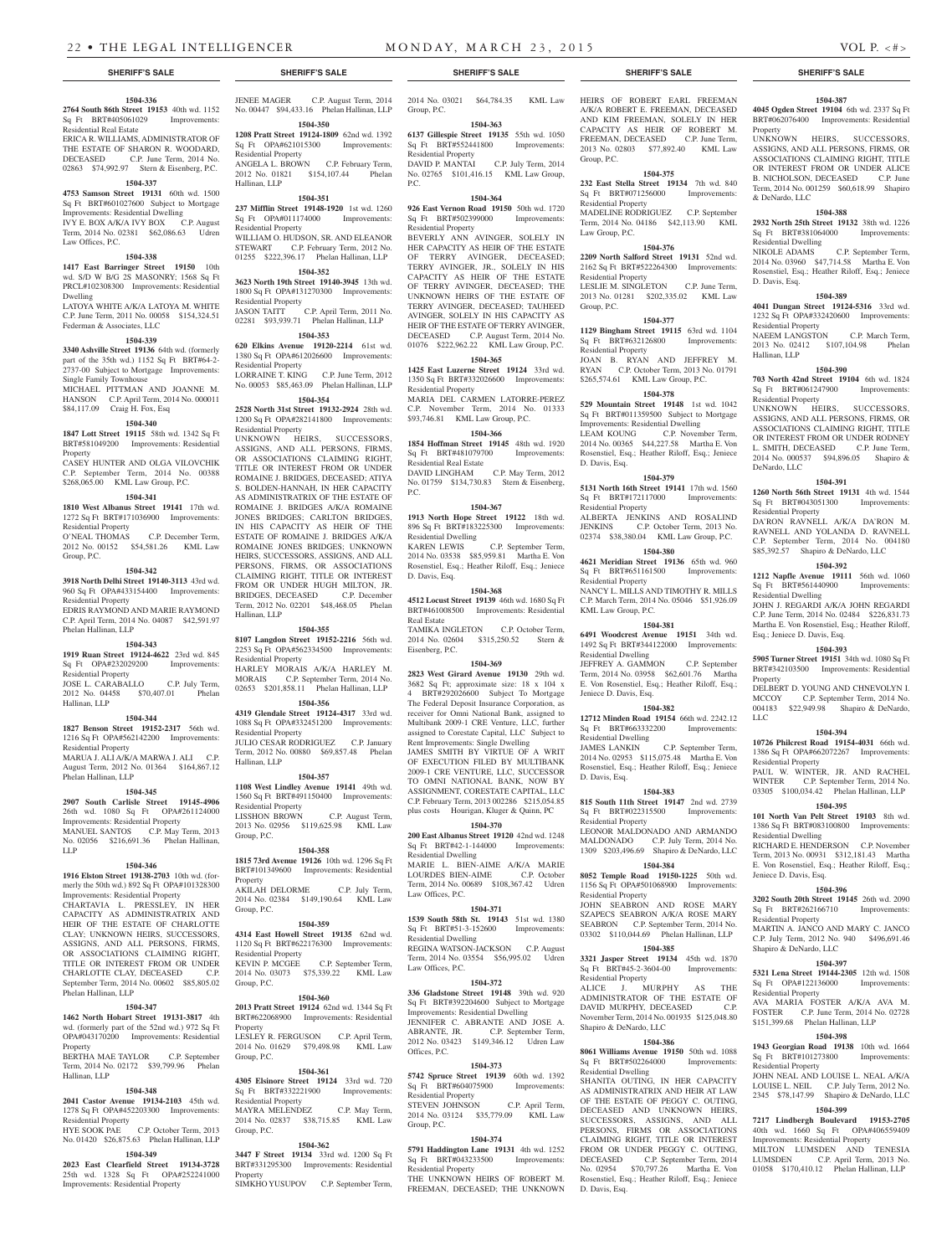### **1504-336 2764 South 86th Street 19153** 40th wd. 1152

Sq Ft BRT#405061029 Improvements: Residential Real Estate

ERICA R. WILLIAMS, ADMINISTRATOR OF THE ESTATE OF SHARON R. WOODARD, DECEASED C.P. June Term, 2014 No. 02863 \$74,992.97 Stern & Eisenberg, P.C.

### **1504-337**

**4753 Samson Street 19131** 60th wd. 1500 Sq Ft BRT#601027600 Subject to Mortgage Improvements: Residential Dwelling IVY E. BOX A/K/A IVY BOX C.P. August Term, 2014 No. 02381 \$62,086.63 Udren Law Offices, P.C.

# **1504-338**

**1417 East Barringer Street 19150** 10th

wd. S/D W B/G 2S MASONRY; 1568 Sq Ft PRCL#102308300 Improvements: Residential Dwelling

LATOYA WHITE A/K/A LATOYA M. WHITE C.P. June Term, 2011 No. 00058 \$154,324.51 Federman & Associates, LLC

### **1504-339**

**3340 Ashville Street 19136** 64th wd. (formerly part of the 35th wd.) 1152 Sq Ft BRT#64-2- 2737-00 Subject to Mortgage Improvements: Single Family Townhouse

MICHAEL PITTMAN AND JOANNE M. HANSON C.P. April Term, 2014 No. 000011 \$84,117.09 Craig H. Fox, Esq

### **1504-340**

**1847 Lott Street 19115** 58th wd. 1342 Sq Ft BRT#581049200 Improvements: Residential Property CASEY HUNTER AND OLGA VILOVCHIK

C.P. September Term, 2014 No. 00388 \$268,065.00 KML Law Group, P.C.

## **1504-341**

**1810 West Albanus Street 19141** 17th wd. 1272 Sq Ft BRT#171036900 Improvements: Residential Property<br>O'NEAL THOMAS C.P. December Term,

2012 No. 00152 \$54,581.26 KML Law Group, P.C.

### **1504-342**

**3918 North Delhi Street 19140-3113** 43rd wd. 960 Sq Ft OPA#433154400 Improvements: Residential Property

EDRIS RAYMOND AND MARIE RAYMOND C.P. April Term, 2014 No. 04087 \$42,591.97 Phelan Hallinan, LLP

### **1504-343**

**1919 Ruan Street 19124-4622** 23rd wd. 845 Sq Ft OPA#232029200 Improvements:

Residential Property JOSE L. CARABALLO C.P. July Term, 2012 No. 04458 \$70,407.01 Phelan

# Hallinan, LLP **1504-344**

**1827 Benson Street 19152-2317** 56th wd. 1216 Sq Ft OPA#562142200 Improvements: Residential Property MARUA J. ALI A/K/A MARWA J. ALI C.P. August Term, 2012 No. 01364 \$164,867.12 Phelan Hallinan, LLP

### **1504-345**

**2907 South Carlisle Street 19145-4906**  26th wd. 1080 Sq Ft OPA#261124000 Improvements: Residential Property MANUEL SANTOS C.P. May Term, 2013 No. 02056 \$216,691.36 Phelan Hallinan, LLP

### **1504-346**

**1916 Elston Street 19138-2703** 10th wd. (formerly the 50th wd.) 892 Sq Ft OPA#101328300 Improvements: Residential Property CHARTAVIA L. PRESSLEY, IN HER CAPACITY AS ADMINISTRATRIX AND HEIR OF THE ESTATE OF CHARLOTTE CLAY; UNKNOWN HEIRS, SUCCESSORS, ASSIGNS, AND ALL PERSONS, FIRMS, OR ASSOCIATIONS CLAIMING RIGHT, TITLE OR INTEREST FROM OR UNDER CHARLOTTE CLAY, DECEASED C.P. September Term, 2014 No. 00602 \$85,805.02 Phelan Hallinan, LLP

# **1504-347**

**1462 North Hobart Street 19131-3817** 4th wd. (formerly part of the 52nd wd.) 972 Sq Ft OPA#043170200 Improvements: Residential Property BERTHA MAE TAYLOR C.P. September

# Term, 2014 No. 02172 \$39,799.96 Phelan Hallinan, LLP

### **1504-348**

**2041 Castor Avenue 19134-2103** 45th wd. 1278 Sq Ft OPA#452203300 Improvements: Residential Property

HYE SOOK PAE C.P. October Term, 2013 No. 01420 \$26,875.63 Phelan Hallinan, LLP

# **1504-349**

**2023 East Clearfield Street 19134-3728**  25th wd. 1328 Sq Ft OPA#252241000 Improvements: Residential Property

JENEE MAGER C.P. August Term, 2014 No. 00447 \$94,433.16 Phelan Hallinan, LLP

### **1504-350 1208 Pratt Street 19124-1809** 62nd wd. 1392 Sq Ft OPA#621015300 Improvements:

Residential Property ANGELA L. BROWN C.P. February Term, 2012 No. 01821 \$154,107.44 Phelan Hallinan, LLP

# **1504-351**

**237 Mifflin Street 19148-1920** 1st wd. 1260 Sq Ft OPA#011174000 Improvements: Residential Property WILLIAM O. HUDSON, SR. AND ELEANOR STEWART C.P. February Term, 2012 No.

## 01255 \$222,396.17 Phelan Hallinan, LLP **1504-352**

**3623 North 19th Street 19140-3945** 13th wd. 1800 Sq Ft OPA#131270300 Improvements: Residential Property

JASON TAITT C.P. April Term, 2011 No. 02281 \$93,939.71 Phelan Hallinan, LLP

# **1504-353**

**620 Elkins Avenue 19120-2214** 61st wd. 1380 Sq Ft OPA#612026600 Improvements: Residential Property LORRAINE T. KING C.P. June Term, 2012

No. 00053 \$85,463.09 Phelan Hallinan, LLP **1504-354**

**2528 North 31st Street 19132-2924** 28th wd. 1200 Sq Ft OPA#282141800 Improvements: Residential Property UNKNOWN HEIRS, SUCCESSORS, ASSIGNS, AND ALL PERSONS, FIRMS, OR ASSOCIATIONS CLAIMING RIGHT, TITLE OR INTEREST FROM OR UNDER ROMAINE J. BRIDGES, DECEASED; ATIYA S. BOLDEN-HANNAH, IN HER CAPACITY

AS ADMINISTRATRIX OF THE ESTATE OF ROMAINE J. BRIDGES A/K/A ROMAINE JONES BRIDGES; CARLTON BRIDGES, IN HIS CAPACITY AS HEIR OF THE ESTATE OF ROMAINE J. BRIDGES A/K/A ROMAINE JONES BRIDGES; UNKNOWN HEIRS, SUCCESSORS, ASSIGNS, AND ALL PERSONS, FIRMS, OR ASSOCIATIONS CLAIMING RIGHT, TITLE OR INTEREST FROM OR UNDER HUGH MILTON, JR. BRIDGES, DECEASED C.P. December Term, 2012 No. 02201 \$48,468.05 Phelan Hallinan, LLP

### **1504-355**

**8107 Langdon Street 19152-2216** 56th wd. 2253 Sq Ft OPA#562334500 Improvements: Residential Property HARLEY MORAIS A/K/A HARLEY M. MORAIS C.P. September Term, 2014 No. 02653 \$201,858.11 Phelan Hallinan, LLP

### **1504-356**

**4319 Glendale Street 19124-4317** 33rd wd. 1088 Sq Ft OPA#332451200 Improvements: Residential Property JULIO CESAR RODRIGUEZ C.P. January

Term, 2012 No. 00880 \$69,857.48 Phelan Hallinan, LLP **1504-357**

### **1108 West Lindley Avenue 19141** 49th wd.

1560 Sq Ft BRT#491150400 Improvements: Residential Property LISSHON BROWN C.P. August Term, 2013 No. 02956 \$119,625.98 KML Law Group, P.C.

### **1504-358**

**1815 73rd Avenue 19126** 10th wd. 1296 Sq Ft BRT#101349600 Improvements: Residential Property AKILAH DELORME C.P. July Term, 2014 No. 02384 \$149,190.64 KML Law Group, P.C.

### **1504-359**

**4314 East Howell Street 19135** 62nd wd. 1120 Sq Ft BRT#622176300 Improvements: Residential Property<br>KEVIN P. MCGEE C.P. September Term, 2014 No. 03073 \$75,339.22 KML Law Group, P.C.

### **1504-360**

**2013 Pratt Street 19124** 62nd wd. 1344 Sq Ft BRT#622068900 Improvements: Residential **Property** LESLEY R. FERGUSON C.P. April Term, 2014 No. 01629 \$79,498.98 KML Law Group, P.C.

## **1504-361**

**4305 Elsinore Street 19124** 33rd wd. 720 Sq Ft BRT#332221900 Improvements: Residential Property MAYRA MELENDEZ C.P. May Term, 2014 No. 02837 \$38,715.85 KML Law Group, P.C.

### **1504-362**

**3447 F Street 19134** 33rd wd. 1200 Sq Ft BRT#331295300 Improvements: Residential Property SIMKHO YUSUPOV C.P. September Term, 2014 No. 03021 \$64,784.35 KML Law Group, P.C.

HEIRS OF ROBERT EARL FREEMAN A/K/A ROBERT E. FREEMAN, DECEASED AND KIM FREEMAN, SOLELY IN HER CAPACITY AS HEIR OF ROBERT M. FREEMAN, DECEASED C.P. June Term, 2013 No. 02803 \$77,892.40 KML Law

**1504-387 4045 Ogden Street 19104** 6th wd. 2337 Sq Ft BRT#062076400 Improvements: Residential

UNKNOWN HEIRS, SUCCESSORS, ASSIGNS, AND ALL PERSONS, FIRMS, OR ASSOCIATIONS CLAIMING RIGHT, TITLE OR INTEREST FROM OR UNDER ALICE B. NICHOLSON, DECEASED C.P. June Term, 2014 No. 001259 \$60,618.99 Shapiro

**1504-388 2932 North 25th Street 19132** 38th wd. 1226

2014 No. 03960 \$47,714.58 Martha E. Von Rosenstiel, Esq.; Heather Riloff, Esq.; Jeniece

**1504-389 4041 Dungan Street 19124-5316** 33rd wd. 1232 Sq Ft OPA#332420600 Improvements:

NAEEM LANGSTON C.P. March Term, 2013 No. 02412 \$107,104.98 Phelan

**1504-390 703 North 42nd Street 19104** 6th wd. 1824

UNKNOWN HEIRS, SUCCESSORS. ASSIGNS, AND ALL PERSONS, FIRMS, OR ASSOCIATIONS CLAIMING RIGHT, TITLE OR INTEREST FROM OR UNDER RODNEY L. SMITH, DECEASED C.P. June Term, 2014 No. 000537 \$94,896.05 Shapiro &

**1504-391 1260 North 56th Street 19131** 4th wd. 1544 Sq Ft BRT#043051300 Improvements:

DA'RON RAVNELL A/K/A DA'RON M. RAVNELL AND YOLANDA D. RAVNELL C.P. September Term, 2014 No. 004180 \$85,392.57 Shapiro & DeNardo, LLC **1504-392 1212 Napfle Avenue 19111** 56th wd. 1060<br>
Sq Ft BRT#561440900 Improvements:

JOHN J. REGARDI A/K/A JOHN REGARDI C.P. June Term, 2014 No. 02484 \$226,831.73 Martha E. Von Rosenstiel, Esq.; Heather Riloff,

**1504-393 5905 Turner Street 19151** 34th wd. 1080 Sq Ft BRT#342103500 Improvements: Residential

DELBERT D. YOUNG AND CHNEVOLYN I.<br>MCCOY C.P. September Term. 2014 No.

004183 \$22,949.98 Shapiro & DeNardo,

**1504-394 10726 Philcrest Road 19154-4031** 66th wd. 1386 Sq Ft OPA#662072267 Improvements:

PAUL W. WINTER, JR. AND RACHEL<br>WINTER C.P. September Term. 2014 No. C.P. September Term, 2014 No.

03305 \$100,034.42 Phelan Hallinan, LLP **1504-395 101 North Van Pelt Street 19103** 8th wd. 1386 Sq Ft BRT#083100800 Improvements:

RICHARD E. HENDERSON C.P. November Term, 2013 No. 00931 \$312,181.43 Martha E. Von Rosenstiel, Esq.; Heather Riloff, Esq.;

**1504-396 3202 South 20th Street 19145** 26th wd. 2090 Sq Ft BRT#262166710 Improvements:

MARTIN A. JANCO AND MARY C. JANCO C.P. July Term, 2012 No. 940 \$496,691.46

**1504-397 5321 Lena Street 19144-2305** 12th wd. 1508 Sq Ft OPA#122136000 Improvements:

AVA MARIA FOSTER A/K/A AVA M. FOSTER C.P. June Term, 2014 No. 02728 \$151,399.68 Phelan Hallinan, LLP **1504-398 1943 Georgian Road 19138** 10th wd. 1664

JOHN NEAL AND LOUISE L. NEAL A/K/A LOUISE L. NEIL C.P. July Term, 2012 No. 2345 \$78,147.99 Shapiro & DeNardo, LLC **1504-399 7217 Lindbergh Boulevard 19153-2705**  40th wd. 1660 Sq Ft OPA#406559409 Improvements: Residential Property MILTON LUMSDEN AND TENESIA LUMSDEN C.P. April Term, 2013 No. 01058 \$170,410.12 Phelan Hallinan, LLP

C.P. September Term, 2014 No.

C.P. September Term,

Property

& DeNardo, LLC

D. Davis, Esq.

Hallinan, LLP

DeNardo, LLC

Residential Property

Sq Ft BRT#561440900 Residential Dwelling

Esq.; Jeniece D. Davis, Esq.

**Property** 

LLC

Residential Property

Residential Dwelling

Jeniece D. Davis, Esq.

Residential Property

Residential Property

Shapiro & DeNardo, LLC

Sq Ft BRT#101273800 Residential Property

Residential Property

Sq Ft BRT#061247900 Residential Property

Sq Ft BRT#381064000 Residential Dwelling

**1504-375 232 East Stella Street 19134** 7th wd. 840 Sq Ft BRT#071256000 Improvements:

MADELINE RODRIGUEZ C.P. September Term, 2014 No. 04186 \$42,113.90 KML

**1504-376 2209 North Salford Street 19131** 52nd wd. 2162 Sq Ft BRT#522264300 Improvements:

LESLIE M. SINGLETON C.P. June Term, 2013 No. 01281 \$202,335.02 KML Law

**1504-377 1129 Bingham Street 19115** 63rd wd. 1104 Sq Ft BRT#632126800 Improvements:

JOAN B. RYAN AND JEFFREY M.<br>RYAN C.P. October Term, 2013 No. 01791 C.P. October Term, 2013 No. 01791

2014 No. 00365 \$44,227.58 Martha E. Von Rosenstiel, Esq.; Heather Riloff, Esq.; Jeniece

**1504-379 5131 North 16th Street 19141** 17th wd. 1560 Sq Ft BRT#172117000 Improvements:

ALBERTA JENKINS AND ROSALIND<br>JENKINS C.P. October Term, 2013 No.

02374 \$38,380.04 KML Law Group, P.C. **1504-380 4621 Meridian Street 19136** 65th wd. 960 Sq Ft BRT#651161500 Improvements:

NANCY L. MILLS AND TIMOTHY R. MILLS C.P. March Term, 2014 No. 05046 \$51,926.09

**1504-381 6491 Woodcrest Avenue 19151** 34th wd. 1492 Sq Ft BRT#344122000 Improvements:

JEFFREY A. GAMMON C.P. September Term, 2014 No. 03958 \$62,601.76 Martha E. Von Rosenstiel, Esq.; Heather Riloff, Esq.;

**1504-382 12712 Minden Road 19154** 66th wd. 2242.12 Sq Ft BRT#663332200 Improvements:

2014 No. 02953 \$115,075.48 Martha E. Von Rosenstiel, Esq.; Heather Riloff, Esq.; Jeniece

**1504-383 815 South 11th Street 19147** 2nd wd. 2739 Sq Ft BRT#022315500 Improvements:

LEONOR MALDONADO AND ARMANDO MALDONADO C.P. July Term, 2014 No. 1309 \$203,496.69 Shapiro & DeNardo, LLC **1504-384 8052 Temple Road 19150-1225** 50th wd. 1156 Sq Ft OPA#501068900 Improvements:

JOHN SEABRON AND ROSE MARY SZAPECS SEABRON A/K/A ROSE MARY SEABRON C.P. September Term, 2014 No. 03302 \$110,044.69 Phelan Hallinan, LLP **1504-385 3321 Jasper Street 19134** 45th wd. 1870 Sq Ft BRT#45-2-3604-00 Improvements:

ALICE J. MURPHY AS THE ADMINISTRATOR OF THE ESTATE OF DAVID MURPHY, DECEASED C.P. November Term, 2014 No. 001935 \$125,048.80

**1504-386 8061 Williams Avenue 19150** 50th wd. 1088 Sq Ft BRT#502264000 Improvements:

SHANITA OUTING, IN HER CAPACITY AS ADMINISTRATRIX AND HEIR AT LAW OF THE ESTATE OF PEGGY C. OUTING DECEASED AND UNKNOWN HEIRS, SUCCESSORS, ASSIGNS, AND ALL PERSONS, FIRMS OR ASSOCIATIONS CLAIMING RIGHT, TITLE OR INTEREST FROM OR UNDER PEGGY C. OUTING, DECEASED C.P. September Term, 2014 No. 02954 \$70,797.26 Martha E. Von Rosenstiel, Esq.; Heather Riloff, Esq.; Jeniece

C.P. September Term,

C.P. October Term, 2013 No.

C.P. November Term,

\$265,574.61 KML Law Group, P.C. **1504-378 529 Mountain Street 19148** 1st wd. 1042 Sq Ft BRT#011359500 Subject to Mortgage Improvements: Residential Dwelling<br>LEAM KOUNG C.P. Novem

Group, P.C.

Residential Property

Law Group, P.C.

Residential Property

Residential Property

D. Davis, Esq.

Residential Property

Residential Property

KML Law Group, P.C.

Residential Dwelling

Jeniece D. Davis, Esq.

Residential Dwelling

Residential Property

Residential Property

Residential Property

Shapiro & DeNardo, LLC

Residential Dwelling

D. Davis, Esq.

D. Davis, Esq.

Group, P.C.

### **1504-363 6137 Gillespie Street 19135** 55th wd. 1050 Sq Ft BRT#552441800 Improvements:

Residential Property<br>DAVID P. MANTAI C.P. July Term, 2014 No. 02765 \$101,416.15 KML Law Group,  $PC$ .

# **1504-364**

**926 East Vernon Road 19150** 50th wd. 1720 Sq Ft BRT#502399000 Improvements: Residential Property

BEVERLY ANN AVINGER, SOLELY IN HER CAPACITY AS HEIR OF THE ESTATE OF TERRY AVINGER, DECEASED; TERRY AVINGER, JR., SOLELY IN HIS CAPACITY AS HEIR OF THE ESTATE OF TERRY AVINGER, DECEASED; THE UNKNOWN HEIRS OF THE ESTATE OF TERRY AVINGER, DECEASED; TAUHEED AVINGER, SOLELY IN HIS CAPACITY AS HEIR OF THE ESTATE OF TERRY AVINGER,<br>DECEASED C.P. August Term. 2014 No. C.P. August Term, 2014 No. 01076 \$222,962.22 KML Law Group, P.C.

# **1504-365**

**1425 East Luzerne Street 19124** 33rd wd. 1350 Sq Ft BRT#332026600 Improvements: Residential Property MARIA DEL CARMEN LATORRE-PEREZ C.P. November Term, 2014 No. 01333

\$93,746.81 KML Law Group, P.C.

# **1504-366**

**1854 Hoffman Street 19145** 48th wd. 1920 Sq Ft BRT#481079700 Improvements: Residential Real Estate DAVID LINGHAM C.P. May Term, 2012 No. 01759 \$134,730.83 Stern & Eisenberg, P.C.

### **1504-367**

**1913 North Hope Street 19122** 18th wd. 896 Sq Ft BRT#183225300 Improvements: Residential Dwelling KAREN LEWIS C.P. September Term,

2014 No. 03538 \$85,959.81 Martha E. Von Rosenstiel, Esq.; Heather Riloff, Esq.; Jeniece D. Davis, Esq. **1504-368**

**4512 Locust Street 19139** 46th wd. 1680 Sq Ft BRT#461008500 Improvements: Residential Real Estate TAMIKA INGLETON C.P. October Term,

2014 No. 02604 \$315,250.52 Stern & Eisenberg, P.C.

# **1504-369**

**2823 West Girard Avenue 19130** 29th wd. 3682 Sq Ft; approximate size: 18 x 104 x 4 BRT#292026600 Subject To Mortgage The Federal Deposit Insurance Corporation, as receiver for Omni National Bank, assigned to Multibank 2009-1 CRE Venture, LLC, further assigned to Corestate Capital, LLC Subject to Rent Improvements: Single Dwelling JAMES SMITH BY VIRTUE OF A WRIT OF EXECUTION FILED BY MULTIBANK 2009-1 CRE VENTURE, LLC, SUCCESSOR TO OMNI NATIONAL BANK, NOW BY ASSIGNMENT, CORESTATE CAPITAL, LLC C.P. February Term, 2013 002286 \$215,054.85 plus costs Hourigan, Kluger & Quinn, PC

### **1504-370**

**200 East Albanus Street 19120** 42nd wd. 1248 Sq Ft BRT#42-1-144000 Improvements: Residential Dwelling

MARIE L. BIEN-AIME A/K/A MARIE LOURDES BIEN-AIME C.P. October Term, 2014 No. 00689 \$108,367.42 Udren Law Offices, P.C.

### **1504-371**

**1539 South 58th St. 19143** 51st wd. 1380 Sq Ft BRT#51-3-152600 Improvements: Residential Dwelling

REGINA WATSON-JACKSON C.P. August Term, 2014 No. 03554 \$56,995.02 Udren Law Offices, P.C.

### **1504-372**

**336 Gladstone Street 19148** 39th wd. 920 Sq Ft BRT#392204600 Subject to Mortgage Improvements: Residential Dwelling JENNIFER C. ABRANTE AND JOSE A. ABRANTE, JR. C.P. September Term,<br>2012 No. 03423 \$149.346.12 Udren Law  $$149,346.12$  Udren Law Offices, P.C.

### **1504-373**

**5742 Spruce Street 19139** 60th wd. 1392 Sq Ft BRT#604075900 Improvements: Residential Property STEVEN JOHNSON C.P. April Term, 2014 No. 03124 \$35,779.09 KML Law Group, P.C.

Sq Ft BRT#043233500 Improvements:

THE UNKNOWN HEIRS OF ROBERT M. FREEMAN, DECEASED; THE UNKNOWN

### **1504-374 5791 Haddington Lane 19131** 4th wd. 1252

Residential Property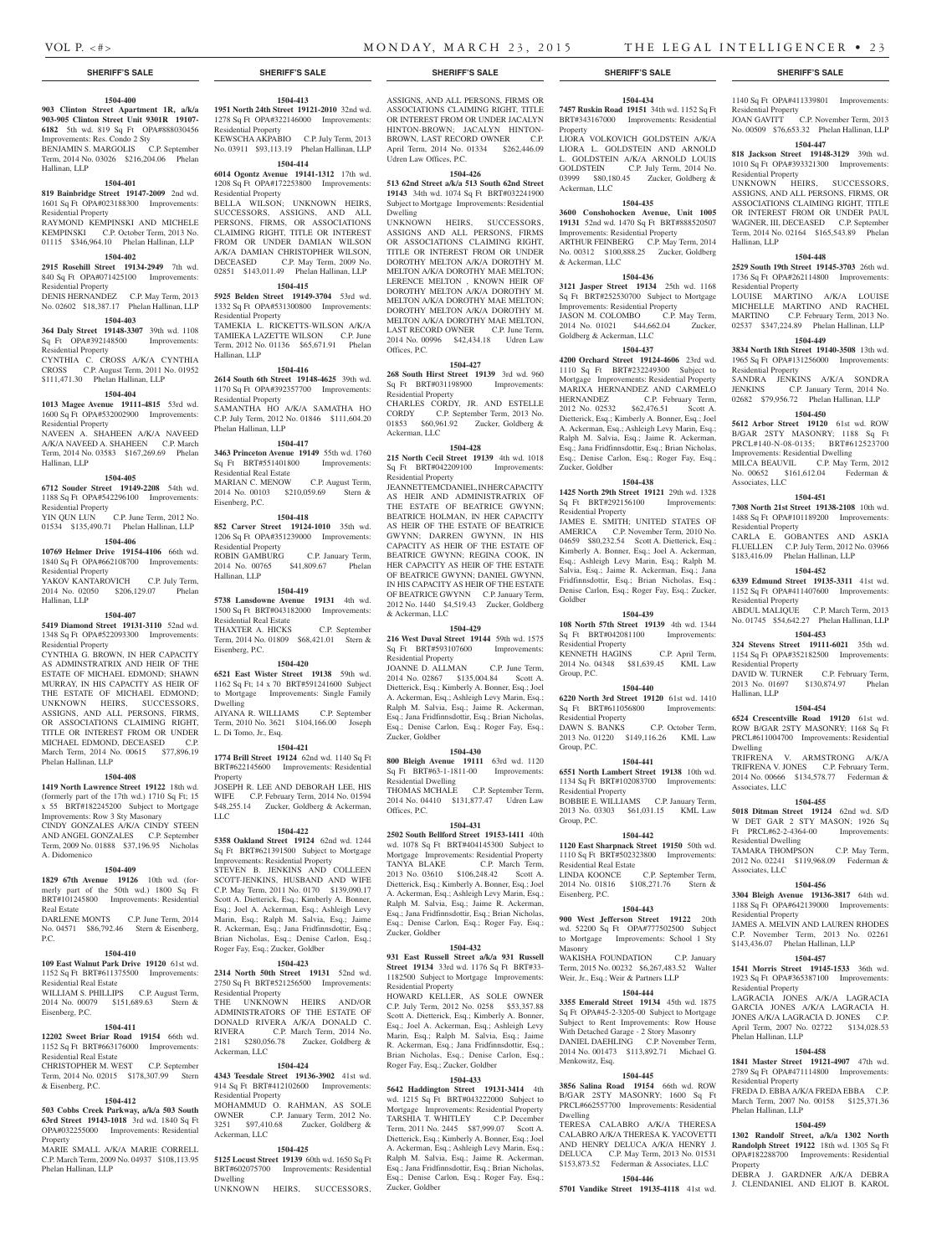Residential Property

Residential Property

Hallinan, LLP

Residential Property

Residential Property

Associates, LLC

Residential Property

Residential Property

Residential Property

Hallinan, LLP

Dwelling

Associates, LLC

Residential Dwelling

Associates, LLC

Residential Property

Residential Property

Phelan Hallinan, LLP

Residential Property

Phelan Hallinan, LLP

Property

1140 Sq Ft OPA#411339801 Improvements:

JOAN GAVITT C.P. November Term, 2013 No. 00509 \$76,653.32 Phelan Hallinan, LLP **1504-447 818 Jackson Street 19148-3129** 39th wd. 1010 Sq Ft OPA#393321300 Improvements:

UNKNOWN HEIRS, SUCCESSORS, ASSIGNS, AND ALL PERSONS, FIRMS, OR ASSOCIATIONS CLAIMING RIGHT, TITLE OR INTEREST FROM OR UNDER PAUL WAGNER, III, DECEASED C.P. September Term, 2014 No. 02164 \$165,543.89 Phelan

**1504-448 2529 South 19th Street 19145-3703** 26th wd. 1736 Sq Ft OPA#262114800 Improvements:

LOUISE MARTINO A/K/A LOUISE MICHELLE MARTINO AND RACHEL MARTINO C.P. February Term, 2013 No. 02537 \$347,224.89 Phelan Hallinan, LLP **1504-449 3834 North 18th Street 19140-3508** 13th wd. 1965 Sq Ft OPA#131256000 Improvements:

SANDRA JENKINS A/K/A SONDRA JENKINS C.P. January Term, 2014 No. 02682 \$79,956.72 Phelan Hallinan, LLP **1504-450 5612 Arbor Street 19120** 61st wd. ROW B/GAR 2STY MASONRY; 1188 Sq Ft PRCL#140-N-08-0135; BRT#612523700 Improvements: Residential Dwelling MILCA BEAUVIL C.P. May Term, 2012 No. 00652 \$161,612.04 Federman &

**1504-451 7308 North 21st Street 19138-2108** 10th wd. 1488 Sq Ft OPA#101189200 Improvements:

CARLA E. GOBANTES AND ASKIA FLUELLEN C.P. July Term, 2012 No. 03966 \$183,416.09 Phelan Hallinan, LLP **1504-452 6339 Edmund Street 19135-3311** 41st wd. 1152 Sq Ft OPA#411407600 Improvements:

ABDUL MALIQUE C.P. March Term, 2013 No. 01745 \$54,642.27 Phelan Hallinan, LLP **1504-453 324 Stevens Street 19111-6021** 35th wd. 1154 Sq Ft OPA#352182500 Improvements:

DAVID W. TURNER C.P. February Term,<br>2013 No. 01697 \$130.874.97 Phelan 2013 No. 01697 \$130,874.97

**1504-454 6524 Crescentville Road 19120** 61st wd. ROW B/GAR 2STY MASONRY; 1168 Sq Ft PRCL#611004700 Improvements: Residential

TRIFRENA V. ARMSTRONG A/K/A TRIFRENA V. JONES C.P. February Term, 2014 No. 00666 \$134,578.77 Federman &

**1504-455 5018 Ditman Street 19124** 62nd wd. S/D W DET GAR 2 STY MASON; 1926 Sq Ft PRCL#62-2-4364-00 Improvements:

TAMARA THOMPSON C.P. May Term, 2012 No. 02241 \$119,968.09 Federman &

**1504-456 3304 Bleigh Avenue 19136-3817** 64th wd. 1188 Sq Ft OPA#642139000 Improvements:

JAMES A. MELVIN AND LAUREN RHODES C.P. November Term, 2013 No. 02261 \$143,436.07 Phelan Hallinan, LLP **1504-457 1541 Morris Street 19145-1533** 36th wd. 1923 Sq Ft OPA#365387100 Improvements:

LAGRACIA JONES A/K/A LAGRACIA GARCIA JONES A/K/A LAGRACIA H. JONES A/K/A LAGRACIA D. JONES C.P. April Term, 2007 No. 02722 \$134,028.53

**1504-458 1841 Master Street 19121-4907** 47th wd. 2789 Sq Ft OPA#471114800 Improvements:

FREDA D. EBBA A/K/A FREDA EBBA C.P. March Term, 2007 No. 00158 \$125,371.36

**1504-459 1302 Randolf Street, a/k/a 1302 North Randolph Street 19122** 18th wd. 1305 Sq Ft OPA#182288700 Improvements: Residential

DEBRA J. GARDNER A/K/A DEBRA J. CLENDANIEL AND ELIOT B. KAROL

# **1504-400**

**903 Clinton Street Apartment 1R, a/k/a 903-905 Clinton Street Unit 9301R 19107- 6182** 5th wd. 819 Sq Ft OPA#888030456 Improvements: Res. Condo 2 Sty

BENJAMIN S. MARGOLIS C.P. September Term, 2014 No. 03026 \$216,204.06 Phelan Hallinan, LLP

### **1504-401**

### **819 Bainbridge Street 19147-2009** 2nd wd. 1601 Sq Ft OPA#023188300 Improvements: Residential Property RAYMOND KEMPINSKI AND MICHELE

KEMPINSKI C.P. October Term, 2013 No. 01115 \$346,964.10 Phelan Hallinan, LLP

# **1504-402**

# **2915 Rosehill Street 19134-2949** 7th wd.

840 Sq Ft OPA#071425100 Improvements: Residential Property

DENIS HERNANDEZ C.P. May Term, 2013 No. 02602 \$18,387.17 Phelan Hallinan, LLP

# **1504-403**

**364 Daly Street 19148-3307** 39th wd. 1108 Sq Ft OPA#392148500 Improvements: Residential Property CYNTHIA C. CROSS A/K/A CYNTHIA

CROSS C.P. August Term, 2011 No. 01952 \$111,471.30 Phelan Hallinan, LLP

### **1504-404**

**1013 Magee Avenue 19111-4815** 53rd wd. 1600 Sq Ft OPA#532002900 Improvements: Residential Property NAVEEN A. SHAHEEN A/K/A NAVEED

A/K/A NAVEED A. SHAHEEN C.P. March Term, 2014 No. 03583 \$167,269.69 Phelan Hallinan, LLP

### **1504-405**

**6712 Souder Street 19149-2208** 54th wd. 1188 Sq Ft OPA#542296100 Improvements: Residential Property

YIN QUN LUN C.P. June Term, 2012 No. 01534 \$135,490.71 Phelan Hallinan, LLP

### **1504-406**

**10769 Helmer Drive 19154-4106** 66th wd. 1840 Sq Ft OPA#662108700 Improvements: Residential Property YAKOV KANTAROVICH C.P. July Term,

2014 No. 02050 \$206,129.07 Phelan Hallinan, LLP

# **1504-407**

**5419 Diamond Street 19131-3110** 52nd wd. 1348 Sq Ft OPA#522093300 Improvements: Residential Property

CYNTHIA G. BROWN, IN HER CAPACITY AS ADMINSTRATRIX AND HEIR OF THE ESTATE OF MICHAEL EDMOND; SHAWN MURRAY, IN HIS CAPACITY AS HEIR OF THE ESTATE OF MICHAEL EDMOND; UNKNOWN HEIRS, SUCCESSORS, ASSIGNS, AND ALL PERSONS, FIRMS, OR ASSOCIATIONS CLAIMING RIGHT, TITLE OR INTEREST FROM OR UNDER MICHAEL EDMOND, DECEASED C.P. March Term, 2014 No. 00615 \$77,896.19 Phelan Hallinan, LLP

### **1504-408**

**1419 North Lawrence Street 19122** 18th wd. (formerly part of the 17th wd.) 1710 Sq Ft; 15 x 55 BRT#182245200 Subject to Mortgage Improvements: Row 3 Sty Masonary CINDY GONZALES A/K/A CINDY STEEN AND ANGEL GONZALES C.P. September Term, 2009 No. 01888 \$37,196.95 Nicholas A. Didomenico

# **1504-409**

**1829 67th Avenue 19126** 10th wd. (formerly part of the 50th wd.) 1800 Sq Ft BRT#101245800 Improvements: Residential Real Estate

DARLENE MONTS C.P. June Term, 2014 No. 04571 \$86,792.46 Stern & Eisenberg, P.C.

### **1504-410**

**109 East Walnut Park Drive 19120** 61st wd. 1152 Sq Ft BRT#611375500 Improvements: Residential Real Estate WILLIAM S. PHILLIPS C.P. August Term, 2014 No. 00079 \$151,689.63 Stern &

# **1504-411**

Eisenberg, P.C.

**12202 Sweet Briar Road 19154** 66th wd. 1152 Sq Ft BRT#663176000 Improvements: Residential Real Estate

### CHRISTOPHER M. WEST C.P. September Term, 2014 No. 02015 \$178,307.99 Stern

& Eisenberg, P.C. **1504-412**

# **503 Cobbs Creek Parkway, a/k/a 503 South**

**63rd Street 19143-1018** 3rd wd. 1840 Sq Ft OPA#032255000 Improvements: Residential Property MARIE SMALL A/K/A MARIE CORRELL

C.P. March Term, 2009 No. 04937 \$108,113.95 Phelan Hallinan, LLP

**1504-413**

**1951 North 24th Street 19121-2010** 32nd wd. 1278 Sq Ft OPA#322146000 Improvements: Residential Property KEWSCHA AKPABIO C.P. July Term, 2013 No. 03911 \$93,113.19 Phelan Hallinan, LLP

# **1504-414**

**6014 Ogontz Avenue 19141-1312** 17th wd. 1208 Sq Ft OPA#172253800 Improvements: Residential Property BELLA WILSON; UNKNOWN HEIRS, SUCCESSORS, ASSIGNS, AND ALL PERSONS, FIRMS, OR ASSOCIATIONS CLAIMING RIGHT, TITLE OR INTEREST FROM OR UNDER DAMIAN WILSON A/K/A DAMIAN CHRISTOPHER WILSON, DECEASED C.P. May Term, 2009 No. 02851 \$143,011.49 Phelan Hallinan, LLP

# **1504-415**

**5925 Belden Street 19149-3704** 53rd wd. 1332 Sq Ft OPA#531300800 Improvements: Residential Property TAMEKIA L. RICKETTS-WILSON A/K/A TAMIEKA LAZETTE WILSON C.P. June Term, 2012 No. 01136 \$65,671.91 Phelan

Hallinan, LLP

**1504-416 2614 South 6th Street 19148-4625** 39th wd. 1170 Sq Ft OPA#392357700 Improvements: Residential Property SAMANTHA HO A/K/A SAMATHA HO C.P. July Term, 2012 No. 01846 \$111,604.20

# Phelan Hallinan, LLP

**1504-417 3463 Princeton Avenue 19149** 55th wd. 1760 Sq Ft BRT#551401800 Improvements: Residential Real Estate MARIAN C. MENOW C.P. August Term, 2014 No. 00103 \$210,059.69 Stern & Eisenberg, P.C.

### **1504-418**

**852 Carver Street 19124-1010** 35th wd. 1206 Sq Ft OPA#351239000 Improvements: Residential Property ROBIN GAMBURG C.P. January Term, 2014 No. 00765 \$41,809.67 Phelan Hallinan, LLP

### **1504-419**

**5738 Lansdowne Avenue 19131** 4th wd. 1500 Sq Ft BRT#043182000 Improvements: Residential Real Estate THAXTER A. HICKS C.P. September Term, 2014 No. 01809 \$68,421.01 Stern & Eisenberg, P.C.

### **1504-420**

**6521 East Wister Street 19138** 59th wd. 1162 Sq Ft; 14 x 70 BRT#591241600 Subject to Mortgage Improvements: Single Family

Dwelling AIYANA R. WILLIAMS C.P. September Term, 2010 No. 3621 \$104,166.00 Joseph L. Di Tomo, Jr., Esq.

# **1504-421**

**1774 Brill Street 19124** 62nd wd. 1140 Sq Ft BRT#622145600 Improvements: Residential Property

JOSEPH R. LEE AND DEBORAH LEE, HIS WIFE C.P. February Term, 2014 No. 01594 \$48,255.14 Zucker, Goldberg & Ackerman, LLC

### **1504-422**

**5358 Oakland Street 19124** 62nd wd. 1244 Sq Ft BRT#621391500 Subject to Mortgage Improvements: Residential Property STEVEN B. JENKINS AND COLLEEN SCOTT-JENKINS, HUSBAND AND WIFE C.P. May Term, 2011 No. 0170 \$139,090.17 Scott A. Dietterick, Esq.; Kimberly A. Bonner, Esq.; Joel A. Ackerman, Esq.; Ashleigh Levy Marin, Esq.; Ralph M. Salvia, Esq.; Jaime R. Ackerman, Esq.; Jana Fridfinnsdottir, Esq.; Brian Nicholas, Esq.; Denise Carlon, Esq.; Roger Fay, Esq.; Zucker, Goldber

### **1504-423**

**2314 North 50th Street 19131** 52nd wd. 2750 Sq Ft BRT#521256500 Improvements: Residential Property THE UNKNOWN HEIRS AND/OR ADMINISTRATORS OF THE ESTATE OF DONALD RIVERA A/K/A DONALD C. RIVERA C.P. March Term, 2014 No.

2181 \$280,056.78 Zucker, Goldberg & Ackerman, LLC **1504-424**

### **4343 Teesdale Street 19136-3902** 41st wd. 914 Sq Ft BRT#412102600 Improvements: Residential Property

MOHAMMUD O. RAHMAN, AS SOLE OWNER C.P. January Term, 2012 No. 3251 \$97,410.68 Zucker, Goldberg & Ackerman, LLC

### **1504-425**

**5125 Locust Street 19139** 60th wd. 1650 Sq Ft BRT#602075700 Improvements: Residential Dwelling UNKNOWN HEIRS, SUCCESSORS,

ASSIGNS, AND ALL PERSONS, FIRMS OR ASSOCIATIONS CLAIMING RIGHT, TITLE OR INTEREST FROM OR UNDER JACALYN HINTON-BROWN; JACALYN HINTON-BROWN, LAST RECORD OWNER April Term, 2014 No. 01334 \$262,446.09 Udren Law Offices, P.C.

### **1504-426**

**513 62nd Street a/k/a 513 South 62nd Street 19143** 34th wd. 1074 Sq Ft BRT#032241900 Subject to Mortgage Improvements: Residential Dwelling

UNKNOWN HEIRS, SUCCESSORS, ASSIGNS AND ALL PERSONS, FIRMS OR ASSOCIATIONS CLAIMING RIGHT, TITLE OR INTEREST FROM OR UNDER DOROTHY MELTON A/K/A DOROTHY M. MELTON A/K/A DOROTHY MAE MELTON; LERENCE MELTON , KNOWN HEIR OF DOROTHY MELTON A/K/A DOROTHY M. MELTON A/K/A DOROTHY MAE MELTON; DOROTHY MELTON A/K/A DOROTHY M. MELTON A/K/A DOROTHY MAE MELTON, LAST RECORD OWNER C.P. June Term, 2014 No. 00996 \$42,434.18 Udren Law Offices, P.C.

### **1504-427**

**268 South Hirst Street 19139** 3rd wd. 960 Sq Ft BRT#031198900 Improvements: Residential Property CHARLES CORDY, JR. AND ESTELLE CORDY C.P. September Term, 2013 No. 01853 \$60,961.92 Zucker, Goldberg & Ackerman, LLC

### **1504-428**

**215 North Cecil Street 19139** 4th wd. 1018<br>
Sq Ft BRT#042209100 Improvements: Sq Ft BRT#042209100 Residential Property

JEANNETTE MCDANIEL, IN HER CAPACITY AS HEIR AND ADMINISTRATRIX OF THE ESTATE OF BEATRICE GWYNN; BEATRICE HOLMAN, IN HER CAPACITY AS HEIR OF THE ESTATE OF BEATRICE GWYNN; DARREN GWYNN, IN HIS CAPACITY AS HEIR OF THE ESTATE OF BEATRICE GWYNN; REGINA COOK, IN HER CAPACITY AS HEIR OF THE ESTATE OF BEATRICE GWYNN; DANIEL GWYNN, IN HIS CAPACITY AS HEIR OF THE ESTATE OF BEATRICE GWYNN C.P. January Term, 2012 No. 1440 \$4,519.43 Zucker, Goldberg & Ackerman, LLC

### **1504-429**

**216 West Duval Street 19144** 59th wd. 1575 Sq Ft BRT#593107600 Improvements: Residential Property JOANNE D. ALLMAN C.P. June Term, 2014 No. 02867 \$135,004.84 Scott A.

Dietterick, Esq.; Kimberly A. Bonner, Esq.; Joel A. Ackerman, Esq.; Ashleigh Levy Marin, Esq.; Ralph M. Salvia, Esq.; Jaime R. Ackerman, Esq.; Jana Fridfinnsdottir, Esq.; Brian Nicholas, Esq.; Denise Carlon, Esq.; Roger Fay, Esq.; Zucker, Goldber

### **1504-430**

**800 Bleigh Avenue 19111** 63rd wd. 1120 Sq Ft BRT#63-1-1811-00 Improvements: Residential Dwelling THOMAS MCHALE C.P. September Term, 2014 No. 04410 \$131,877.47 Udren Law Offices, P.C.

### **1504-431**

**2502 South Bellford Street 19153-1411** 40th wd. 1078 Sq Ft BRT#404145300 Subject to Mortgage Improvements: Residential Property TANYA BLAKE C.P. March Term, 2013 No. 03610 \$106,248.42 Scott A. Dietterick, Esq.; Kimberly A. Bonner, Esq.; Joel A. Ackerman, Esq.; Ashleigh Levy Marin, Esq.; Ralph M. Salvia, Esq.; Jaime R. Ackerman, Esq.; Jana Fridfinnsdottir, Esq.; Brian Nicholas, Esq.; Denise Carlon, Esq.; Roger Fay, Esq.; Zucker, Goldber

### **1504-432**

**931 East Russell Street a/k/a 931 Russell Street 19134** 33rd wd. 1176 Sq Ft BRT#33- 1182500 Subject to Mortgage Improvements: Residential Property

HOWARD KELLER, AS SOLE OWNER C.P. July Term, 2012 No. 0258 \$53,357.88 Scott A. Dietterick, Esq.; Kimberly A. Bonner, Esq.; Joel A. Ackerman, Esq.; Ashleigh Levy Marin, Esq.; Ralph M. Salvia, Esq.; Jaime R. Ackerman, Esq.; Jana Fridfinnsdottir, Esq.; Brian Nicholas, Esq.; Denise Carlon, Esq.; Roger Fay, Esq.; Zucker, Goldber

### **1504-433**

**5642 Haddington Street 19131-3414** 4th wd. 1215 Sq Ft BRT#043222000 Subject to Mortgage Improvements: Residential Property TARSHIA T. WHITLEY C.P. December Term, 2011 No. 2445 \$87,999.07 Scott A. Dietterick, Esq.; Kimberly A. Bonner, Esq.; Joel A. Ackerman, Esq.; Ashleigh Levy Marin, Esq.; Ralph M. Salvia, Esq.; Jaime R. Ackerman, Esq.; Jana Fridfinnsdottir, Esq.; Brian Nicholas, Esq.; Denise Carlon, Esq.; Roger Fay, Esq.; Zucker, Goldber

# **SHERIFF'S SALE SHERIFF'S SALE SHERIFF'S SALE SHERIFF'S SALE SHERIFF'S SALE**

**1504-434 7457 Ruskin Road 19151** 34th wd. 1152 Sq Ft

BRT#343167000 Improvements: Residential Property LIORA VOLKOVICH GOLDSTEIN A/K/A LIORA L. GOLDSTEIN AND ARNOLD L. GOLDSTEIN A/K/A ARNOLD LOUIS GOLDSTEIN C.P. July Term, 2014 No. 03999 \$80,180.45 Zucker, Goldberg & Ackerman, LLC

# **1504-435**

**3600 Conshohocken Avenue, Unit 1005 19131** 52nd wd. 1470 Sq Ft BRT#888520507 Improvements: Residential Property ARTHUR FEINBERG C.P. May Term, 2014 No. 00312 \$100,888.25 Zucker, Goldberg & Ackerman, LLC

### **1504-436**

**3121 Jasper Street 19134** 25th wd. 1168 Sq Ft BRT#252530700 Subject to Mortgage Improvements: Residential Property JASON M. COLOMBO C.P. May Term, 2014 No. 01021 \$44,662.04 Zucker, Goldberg & Ackerman, LLC

**1504-437 4200 Orchard Street 19124-4606** 23rd wd. 1110 Sq Ft BRT#232249300 Subject to Mortgage Improvements: Residential Property MARIXA HERNANDEZ AND CARMELO HERNANDEZ C.P. February Term, 2012 No. 02532 \$62,476.51 Scott A. Dietterick, Esq.; Kimberly A. Bonner, Esq.; Joel A. Ackerman, Esq.; Ashleigh Levy Marin, Esq.; Ralph M. Salvia, Esq.; Jaime R. Ackerman, Esq.; Jana Fridfinnsdottir, Esq.; Brian Nicholas, Esq.; Denise Carlon, Esq.; Roger Fay, Esq.;

**1504-438 1425 North 29th Street 19121** 29th wd. 1328 Sq Ft BRT#292156100 Improvements:

JAMES E. SMITH; UNITED STATES OF AMERICA C.P. November Term, 2010 No. 04659 \$80,232.54 Scott A. Dietterick, Esq.; Kimberly A. Bonner, Esq.; Joel A. Ackerman, Esq.; Ashleigh Levy Marin, Esq.; Ralph M. Salvia, Esq.; Jaime R. Ackerman, Esq.; Jana Fridfinnsdottir, Esq.; Brian Nicholas, Esq.; Denise Carlon, Esq.; Roger Fay, Esq.; Zucker,

**1504-439 108 North 57th Street 19139** 4th wd. 1344 Sq Ft BRT#042081100 Improvements:

KENNETH HAGINS C.P. April Term, 2014 No. 04348 \$81,639.45 KML Law

**1504-440 6220 North 3rd Street 19120** 61st wd. 1410 Sq Ft BRT#611056800 Improvements:

2013 No. 01220 \$149,116.26 KML Law

**1504-441 6551 North Lambert Street 19138** 10th wd. 1134 Sq Ft BRT#102083700 Improvements:

BOBBIE E. WILLIAMS C.P. January Term, 2013 No. 03303 \$61,031.15 KML Law

**1504-442 1120 East Sharpnack Street 19150** 50th wd. 1110 Sq Ft BRT#502323800 Improvements:

LINDA KOONCE C.P. September Term, 2014 No. 01816 \$108,271.76 Stern &

**1504-443 900 West Jefferson Street 19122** 20th wd. 52200 Sq Ft OPA#777502500 Subject to Mortgage Improvements: School 1 Sty

WAKISHA FOUNDATION C.P. January Term, 2015 No. 00232 \$6,267,483.52 Walter Weir, Jr., Esq.; Weir & Partners LLP **1504-444 3355 Emerald Street 19134** 45th wd. 1875 Sq Ft OPA#45-2-3205-00 Subject to Mortgage Subject to Rent Improvements: Row House With Detached Garage - 2 Story Masonry DANIEL DAEHLING C.P. November Term, 2014 No. 001473 \$113,892.71 Michael G.

**1504-445 3856 Salina Road 19154** 66th wd. ROW B/GAR 2STY MASONRY; 1600 Sq Ft PRCL#662557700 Improvements: Residential

TERESA CALABRO A/K/A THERESA CALABRO A/K/A THERESA K. YACOVETTI AND HENRY DELUCA A/K/A HENRY J. DELUCA C.P. May Term, 2013 No. 01531 \$153,873.52 Federman & Associates, LLC **1504-446 5701 Vandike Street 19135-4118** 41st wd.

C.P. October Term,

Zucker, Goldber

Residential Property

Residential Property

Residential Property<br>DAWN S. BANKS

Residential Property

Residential Real Estate

Eisenberg, P.C.

Menkowitz, Esq.

Dwelling

Masonry

Group, P.C.

Group, P.C.

Group, P.C.

Goldber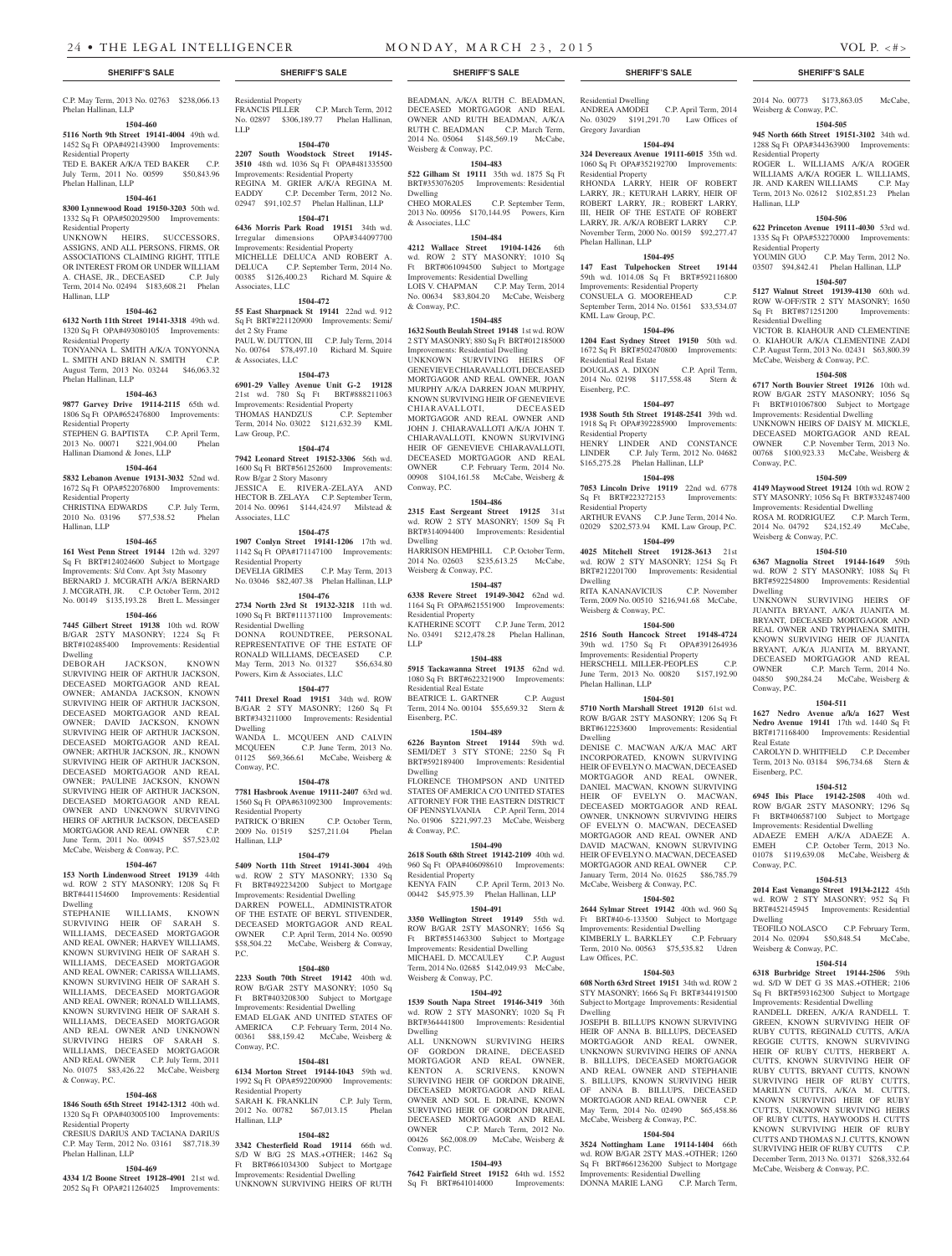### C.P. May Term, 2013 No. 02763 \$238,066.13 Phelan Hallinan, LLP

**1504-460**

### **5116 North 9th Street 19141-4004** 49th wd. 1452 Sq Ft OPA#492143900 Improvements:

Residential Property TED E. BAKER A/K/A TED BAKER C.P. July Term, 2011 No. 00599 \$50,843.96 Phelan Hallinan, LLP

## **1504-461**

**8300 Lynnewood Road 19150-3203** 50th wd. 1332 Sq Ft OPA#502029500 Improvements: Residential Property

UNKNOWN HEIRS, SUCCESSORS, ASSIGNS, AND ALL PERSONS, FIRMS, OR ASSOCIATIONS CLAIMING RIGHT, TITLE OR INTEREST FROM OR UNDER WILLIAM A. CHASE, JR., DECEASED C.P. July Term, 2014 No. 02494 \$183,608.21 Phelan Hallinan, LLP

# **1504-462**

**6132 North 11th Street 19141-3318** 49th wd. 1320 Sq Ft OPA#493080105 Improvements: Residential Property TONYANNA L. SMITH A/K/A TONYONNA

L. SMITH AND BRIAN N. SMITH C.P. August Term, 2013 No. 03244 \$46,063.32 Phelan Hallinan, LLP

### **1504-463**

**9877 Garvey Drive 19114-2115** 65th wd. 1806 Sq Ft OPA#652476800 Improvements: Residential Property

### STEPHEN G. BAPTISTA C.P. April Term, 2013 No. 00071 \$221,904.00 Phelan Hallinan Diamond & Jones, LLP

# **1504-464**

**5832 Lebanon Avenue 19131-3032** 52nd wd. 1672 Sq Ft OPA#522076800 Improvements:

### Residential Property CHRISTINA EDWARDS C.P. July Term,<br>2010 No. 03196 \$77,538.52 Phelan 2010 No. 03196 \$77,538.52 Phelan

Hallinan, LLP

### **1504-465**

**161 West Penn Street 19144** 12th wd. 3297 Sq Ft BRT#124024600 Subject to Mortgage Improvements: S/d Conv. Apt 3sty Masonry BERNARD J. MCGRATH A/K/A BERNARD J. MCGRATH, JR. C.P. October Term, 2012 No. 00149 \$135,193.28 Brett L. Messinger

# **1504-466**

**7445 Gilbert Street 19138** 10th wd. ROW B/GAR 2STY MASONRY; 1224 Sq Ft BRT#102485400 Improvements: Residential Dwelling<br>DEBORAH

### DEBORAH JACKSON, KNOWN SURVIVING HEIR OF ARTHUR JACKSON, DECEASED MORTGAGOR AND REAL OWNER; AMANDA JACKSON, KNOWN SURVIVING HEIR OF ARTHUR JACKSON, DECEASED MORTGAGOR AND REAL OWNER; DAVID JACKSON, KNOWN SURVIVING HEIR OF ARTHUR JACKSON, DECEASED MORTGAGOR AND REAL OWNER; ARTHUR JACKSON, JR., KNOWN SURVIVING HEIR OF ARTHUR JACKSON, DECEASED MORTGAGOR AND REAL OWNER; PAULINE JACKSON, KNOWN SURVIVING HEIR OF ARTHUR JACKSON, DECEASED MORTGAGOR AND REAL OWNER AND UNKNOWN SURVIVING HEIRS OF ARTHUR JACKSON, DECEASED<br>MORTGAGOR AND REAL OWNER C.P. MORTGAGOR AND REAL OWNER June Term, 2011 No. 00945 \$57,523.02 McCabe, Weisberg & Conway, P.C.

# **1504-467**

**153 North Lindenwood Street 19139** 44th wd. ROW 2 STY MASONRY; 1208 Sq Ft BRT#441154600 Improvements: Residential Dwelling

STEPHANIE WILLIAMS, KNOWN SURVIVING HEIR OF SARAH S. WILLIAMS, DECEASED MORTGAGOR AND REAL OWNER; HARVEY WILLIAMS, KNOWN SURVIVING HEIR OF SARAH S. WILLIAMS, DECEASED MORTGAGOR AND REAL OWNER; CARISSA WILLIAMS, KNOWN SURVIVING HEIR OF SARAH S. WILLIAMS, DECEASED MORTGAGOR AND REAL OWNER; RONALD WILLIAMS, KNOWN SURVIVING HEIR OF SARAH S. WILLIAMS, DECEASED MORTGAGOR AND REAL OWNER AND UNKNOWN SURVIVING HEIRS OF SARAH S. WILLIAMS, DECEASED MORTGAGOR AND REAL OWNER C.P. July Term, 2011 No. 01075 \$83,426.22 McCabe, Weisberg & Conway, P.C.

## **1504-468**

**1846 South 65th Street 19142-1312** 40th wd. 1320 Sq Ft OPA#403005100 Improvements:

Residential Property CRESIUS DARIUS AND TACIANA DARIUS C.P. May Term, 2012 No. 03161 \$87,718.39 Phelan Hallinan, LLP

### **1504-469**

**4334 1/2 Boone Street 19128-4901** 21st wd. 2052 Sq Ft OPA#211264025 Improvements:

# Residential Property FRANCIS PILLER C.P. March Term, 2012

No. 02897 \$306,189.77 Phelan Hallinan, LLP

### **1504-470 2207 South Woodstock Street 19145-**

**3510** 48th wd. 1036 Sq Ft OPA#481335500 Improvements: Residential Property REGINA M. GRIER A/K/A REGINA M. EADDY C.P. December Term, 2012 No. 02947 \$91,102.57 Phelan Hallinan, LLP

**1504-471 6436 Morris Park Road 19151** 34th wd. Irregular dimensions OPA#344097700 Improvements: Residential Property MICHELLE DELUCA AND ROBERT A. DELUCA C.P. September Term, 2014 No. 00385 \$126,400.23 Richard M. Squire & Associates, LLC

### **1504-472**

**55 East Sharpnack St 19141** 22nd wd. 912 Sq Ft BRT#221120900 Improvements: Semi/ det 2 Sty Frame PAUL W. DUTTON, III C.P. July Term, 2014 No. 00764 \$78,497.10 Richard M. Squire & Associates, LLC

### **1504-473**

**6901-29 Valley Avenue Unit G-2 19128**  21st wd. 780 Sq Ft BRT#888211063 Improvements: Residential Property THOMAS HANDZUS C.P. September Term, 2014 No. 03022 \$121,632.39 KML Law Group, P.C.

### **1504-474**

**7942 Leonard Street 19152-3306** 56th wd. 1600 Sq Ft BRT#561252600 Improvements: Row B/gar 2 Story Masonry JESSICA E. RIVERA-ZELAYA AND HECTOR B. ZELAYA C.P. September Term, 2014 No. 00961 \$144,424.97 Milstead & Associates, LLC

### **1504-475**

**1907 Conlyn Street 19141-1206** 17th wd. 1142 Sq Ft OPA#171147100 Improvements: Residential Property DEVELIA GRIMES C.P. May Term, 2013

No. 03046 \$82,407.38 Phelan Hallinan, LLP

# **1504-476**

**2734 North 23rd St 19132-3218** 11th wd. 1090 Sq Ft BRT#111371100 Improvements: Residential Dwelling DONNA ROUNDTREE, PERSONAL REPRESENTATIVE OF THE ESTATE OF RONALD WILLIAMS, DECEASED C.P. May Term, 2013 No. 01327 \$56,634.80 Powers, Kirn & Associates, LLC

# **1504-477**

**7411 Drexel Road 19151** 34th wd. ROW B/GAR 2 STY MASONRY; 1260 Sq Ft BRT#343211000 Improvements: Residential Dwelling

WANDA L. MCQUEEN AND CALVIN<br>MCQUEEN C.P. June Term, 2013 No. C.P. June Term, 2013 No. 01125 \$69,366.61 McCabe, Weisberg & Conway, P.C.

# **1504-478**

**7781 Hasbrook Avenue 19111-2407** 63rd wd. 1560 Sq Ft OPA#631092300 Improvements: Residential Property PATRICK O'BRIEN C.P. October Term, 2009 No. 01519 \$257,211.04 Phelan Hallinan, LLP

### **1504-479**

**5409 North 11th Street 19141-3004** 49th wd. ROW 2 STY MASONRY; 1330 Sq Ft BRT#492234200 Subject to Mortgage Improvements: Residential Dwelling

DARREN POWELL, ADMINISTRATOR OF THE ESTATE OF BERYL STIVENDER, DECEASED MORTGAGOR AND REAL OWNER C.P. April Term, 2014 No. 00590 \$58,504.22 McCabe, Weisberg & Conway, P.C.

### **1504-480**

**2233 South 70th Street 19142** 40th wd. ROW B/GAR 2STY MASONRY; 1050 Sq Ft BRT#403208300 Subject to Mortgage Improvements: Residential Dwelling EMAD ELGAK AND UNITED STATES OF AMERICA C.P. February Term, 2014 No. 00361 \$88,159.42 McCabe, Weisberg &

### **1504-481**

Conway, P.C.

**6134 Morton Street 19144-1043** 59th wd. 1992 Sq Ft OPA#592200900 Improvements: Residential Property SARAH K. FRANKLIN C.P. July Term, 2012 No. 00782 \$67,013.15 Phelan Hallinan, LLP

### **1504-482**

**3342 Chesterfield Road 19114** 66th wd. S/D W B/G 2S MAS.+OTHER; 1462 Sq Ft BRT#661034300 Subject to Mortgage Improvements: Residential Dwelling UNKNOWN SURVIVING HEIRS OF RUTH

**SHERIFF'S SALE SHERIFF'S SALE SHERIFF'S SALE SHERIFF'S SALE SHERIFF'S SALE**

BEADMAN, A/K/A RUTH C. BEADMAN, DECEASED MORTGAGOR AND REAL OWNER AND RUTH BEADMAN, A/K/A RUTH C. BEADMAN C.P. March Term, 2014 No. 05064 \$148,569.19 McCabe, Weisberg & Conway, P.C.

### **1504-483**

**522 Gilham St 19111** 35th wd. 1875 Sq Ft BRT#353076205 Improvements: Residential Dwelling

CHEO MORALES C.P. September Term, 2013 No. 00956 \$170,144.95 Powers, Kirn & Associates, LLC

# **1504-484**

**4212 Wallace Street 19104-1426** 6th wd. ROW 2 STY MASONRY; 1010 Sq Ft BRT#061094500 Subject to Mortgage Improvements: Residential Dwelling LOIS V. CHAPMAN C.P. May Term, 2014 No. 00634 \$83,804.20 McCabe, Weisberg & Conway, P.C.

### **1504-485**

**1632 South Beulah Street 19148** 1st wd. ROW 2 STY MASONRY; 880 Sq Ft BRT#012185000

Improvements: Residential Dwelling UNKNOWN SURVIVING HEIRS OF GENEVIEVE CHIARAVALLOTI, DECEASED MORTGAGOR AND REAL OWNER, JOAN MURPHY A/K/A DARREN JOAN MURPHY, KNOWN SURVIVING HEIR OF GENEVIEVE<br>CHIARAVALLOTI, DECEASED CHIARAVALLOTI, MORTGAGOR AND REAL OWNER AND JOHN J. CHIARAVALLOTI A/K/A JOHN T. CHIARAVALLOTI, KNOWN SURVIVING HEIR OF GENEVIEVE CHIARAVALLOTI, DECEASED MORTGAGOR AND REAL<br>
OWNER
C.P. February Term. 2014 No. C.P. February Term, 2014 No. 00908 \$104,161.58 McCabe, Weisberg & Conway, P.C.

### **1504-486**

**2315 East Sergeant Street 19125** 31st wd. ROW 2 STY MASONRY; 1509 Sq Ft BRT#314094400 Improvements: Residential Dwelling HARRISON HEMPHILL C.P. October Term,

2014 No. 02603 \$235,613.25 McCabe, Weisberg & Conway, P.C.

# **1504-487**

**6338 Revere Street 19149-3042** 62nd wd. 1164 Sq Ft OPA#621551900 Improvements: Residential Property KATHERINE SCOTT C.P. June Term, 2012 No. 03491 \$212,478.28 Phelan Hallinan, LLP

### **1504-488**

**5915 Tackawanna Street 19135** 62nd wd. 1080 Sq Ft BRT#622321900 Improvements: Residential Real Estate BEATRICE L. GARTNER C.P. August Term, 2014 No. 00104 \$55,659.32 Stern & Eisenberg, P.C.

### **1504-489**

**6226 Baynton Street 19144** 59th wd. SEMI/DET 3 STY STONE; 2250 Sq Ft BRT#592189400 Improvements: Residential Dwelling

FLORENCE THOMPSON AND UNITED STATES OF AMERICA C/O UNITED STATES ATTORNEY FOR THE EASTERN DISTRICT OF PENNSYLVANIA C.P. April Term, 2014 No. 01906 \$221,997.23 McCabe, Weisberg & Conway, P.C.

### **1504-490**

**2618 South 68th Street 19142-2109** 40th wd. 960 Sq Ft OPA#406098610 Improvements: Residential Property

KENYA FAIN C.P. April Term, 2013 No. 00442 \$45,975.39 Phelan Hallinan, LLP

### **1504-491**

**3350 Wellington Street 19149** 55th wd. ROW B/GAR 2STY MASONRY; 1656 Sq Ft BRT#551463300 Subject to Mortgage Improvements: Residential Dwelling

MICHAEL D. MCCAULEY C.P. August Term, 2014 No. 02685 \$142,049.93 McCabe, Weisberg & Conway, P.C.

## **1504-492**

**1539 South Napa Street 19146-3419** 36th wd. ROW 2 STY MASONRY; 1020 Sq Ft BRT#364441800 Improvements: Residential Dwelling

ALL UNKNOWN SURVIVING HEIRS OF GORDON DRAINE, DECEASED MORTGAGOR AND REAL OWNER,<br>KENTON A. SCRIVENS, KNOWN A. SCRIVENS, KNOWN SURVIVING HEIR OF GORDON DRAINE, DECEASED MORTGAGOR AND REAL OWNER AND SOL E. DRAINE, KNOWN SURVIVING HEIR OF GORDON DRAINE, DECEASED MORTGAGOR AND REAL OWNER C.P. March Term, 2012 No. 00426 \$62,008.09 McCabe, Weisberg & Conway, P.C.

### **1504-493**

**7642 Fairfield Street 19152** 64th wd. 1552 Sq Ft BRT#641014000 Improvements:

Residential Dwelling ANDREA AMODEI C.P. April Term, 2014 No. 03029 \$191,291.70 Law Offices of Gregory Javardian

2014 No. 00773 \$173,863.05 McCabe,

**1504-505 945 North 66th Street 19151-3102** 34th wd. 1288 Sq Ft OPA#344363900 Improvements:

ROGER L. WILLIAMS A/K/A ROGER WILLIAMS A/K/A ROGER L. WILLIAMS, JR. AND KAREN WILLIAMS C.P. Mav JR. AND KAREN WILLIAMS C.P. May Term, 2013 No. 02612 \$102,851.23 Phelan

**1504-506 622 Princeton Avenue 19111-4030** 53rd wd. 1335 Sq Ft OPA#532270000 Improvements:

YOUMIN GUO C.P. May Term, 2012 No. 03507 \$94,842.41 Phelan Hallinan, LLP **1504-507 5127 Walnut Street 19139-4130** 60th wd. ROW W-OFF/STR 2 STY MASONRY; 1650<br>Sa Ft BRT#871251200 Improvements:

VICTOR B. KIAHOUR AND CLEMENTINE O. KIAHOUR A/K/A CLEMENTINE ZADI C.P. August Term, 2013 No. 02431 \$63,800.39 McCabe, Weisberg & Conway, P.C.

**1504-508 6717 North Bouvier Street 19126** 10th wd. ROW B/GAR 2STY MASONRY; 1056 Sq Ft BRT#101067800 Subject to Mortgage Improvements: Residential Dwelling UNKNOWN HEIRS OF DAISY M. MICKLE, DECEASED MORTGAGOR AND REAL OWNER C.P. November Term, 2013 No. 00768 \$100,923.33 McCabe, Weisberg &

**1504-509 4149 Maywood Street 19124** 10th wd. ROW 2 STY MASONRY; 1056 Sq Ft BRT#332487400 Improvements: Residential Dwelling ROSA M. RODRIGUEZ C.P. March Term, 2014 No. 04792 \$24,152.49 McCabe,

**1504-510 6367 Magnolia Street 19144-1649** 59th wd. ROW 2 STY MASONRY; 1088 Sq Ft BRT#592254800 Improvements: Residential

UNKNOWN SURVIVING HEIRS OF JUANITA BRYANT, A/K/A JUANITA M. BRYANT, DECEASED MORTGAGOR AND REAL OWNER AND TRYPHAENA SMITH KNOWN SURVIVING HEIR OF JUANITA BRYANT, A/K/A JUANITA M. BRYANT, DECEASED MORTGAGOR AND REAL OWNER C.P. March Term, 2014 No. 04850 \$90,284.24 McCabe, Weisberg &

**1504-511 1627 Nedro Avenue a/k/a 1627 West Nedro Avenue 19141** 17th wd. 1440 Sq Ft BRT#171168400 Improvements: Residential

CAROLYN D. WHITFIELD C.P. December Term, 2013 No. 03184 \$96,734.68 Stern &

**1504-512 6945 Ibis Place 19142-2508** 40th wd. ROW B/GAR 2STY MASONRY; 1296 Sq Ft BRT#406587100 Subject to Mortgage Improvements: Residential Dwelling ADAEZE EMEH A/K/A ADAEZE A.<br>EMEH C.P. October Term, 2013 No.

01078 \$119,639.08 McCabe, Weisberg &

**1504-513 2014 East Venango Street 19134-2122** 45th wd. ROW 2 STY MASONRY; 952 Sq Ft BRT#452145945 Improvements: Residential

TEOFILO NOLASCO C.P. February Term, 2014 No. 02094 \$50,848.54 McCabe,

**1504-514 6318 Burbridge Street 19144-2506** 59th wd. S/D W DET G 3S MAS.+OTHER; 2106 Sq Ft BRT#593162300 Subject to Mortgage Improvements: Residential Dwelling RANDELL DREEN, A/K/A RANDELL T. GREEN, KNOWN SURVIVING HEIR OF RUBY CUTTS, REGINALD CUTTS, A/K/A REGGIE CUTTS, KNOWN SURVIVING HEIR OF RUBY CUTTS, HERBERT A. CUTTS, KNOWN SURVIVING HEIR OF RUBY CUTTS, BRYANT CUTTS, KNOWN SURVIVING HEIR OF RUBY CUTTS, MARILYN CUTTS, A/K/A M. CUTTS, KNOWN SURVIVING HEIR OF RUBY CUTTS, UNKNOWN SURVIVING HEIRS OF RUBY CUTTS, HAYWOODS H. CUTTS KNOWN SURVIVING HEIR OF RUBY CUTTS AND THOMAS N.J. CUTTS, KNOWN SURVIVING HEIR OF RUBY CUTTS C.P. December Term, 2013 No. 01371 \$268,332.64 McCabe, Weisberg & Conway, P.C.

C.P. October Term, 2013 No.

Weisberg & Conway, P.C.

Residential Property

Residential Property

Sq Ft BRT#871251200 Residential Dwelling

Hallinan, LLP

Conway, P.C.

Dwelling

Conway, P.C.

Real Estate

Eisenberg, P.C.

Conway, P.C.

Dwelling

Weisberg & Conway, P.C.

Weisberg & Conway, P.C.

### **1504-494**

**324 Devereaux Avenue 19111-6015** 35th wd. 1060 Sq Ft OPA#352192700 Improvements: Residential Property RHONDA LARRY, HEIR OF ROBERT LARRY, JR.; KETURAH LARRY, HEIR OF ROBERT LARRY, JR.; ROBERT LARRY, III, HEIR OF THE ESTATE OF ROBERT

LARRY, JR. A/K/A ROBERT LARRY C.P. November Term, 2000 No. 00159 \$92,277.47 Phelan Hallinan, LLP **1504-495**

# **147 East Tulpehocken Street 19144**  59th wd. 1014.08 Sq Ft BRT#592116800

**1504-496 1204 East Sydney Street 19150** 50th wd. 1672 Sq Ft BRT#502470800 Improvements:

DOUGLAS A. DIXON C.P. April Term, 2014 No. 02198 \$117,558.48 Stern &

**1504-497 1938 South 5th Street 19148-2541** 39th wd. 1918 Sq Ft OPA#392285900 Improvements:

HENRY LINDER AND CONSTANCE LINDER C.P. July Term, 2012 No. 04682 \$165,275.28 Phelan Hallinan, LLP **1504-498 7053 Lincoln Drive 19119** 22nd wd. 6778

ARTHUR EVANS C.P. June Term, 2014 No. 02029 \$202,573.94 KML Law Group, P.C. **1504-499 4025 Mitchell Street 19128-3613** 21st wd. ROW 2 STY MASONRY; 1254 Sq Ft BRT#212201700 Improvements: Residential

RITA KANANAVICIUS C.P. November Term, 2009 No. 00510 \$216,941.68 McCabe,

**1504-500 2516 South Hancock Street 19148-4724**  39th wd. 1750 Sq Ft OPA#391264936 Improvements: Residential Property HERSCHELL MILLER-PEOPLES C.P. June Term, 2013 No. 00820 \$157,192.90

**1504-501 5710 North Marshall Street 19120** 61st wd. ROW B/GAR 2STY MASONRY; 1206 Sq Ft BRT#612253600 Improvements: Residential

DENISE C. MACWAN A/K/A MAC ART INCORPORATED, KNOWN SURVIVING HEIR OF EVELYN O. MACWAN, DECEASED MORTGAGOR AND REAL OWNER, DANIEL MACWAN, KNOWN SURVIVING HEIR OF EVELYN O. MACWAN, DECEASED MORTGAGOR AND REAL OWNER, UNKNOWN SURVIVING HEIRS OF EVELYN O. MACWAN, DECEASED MORTGAGOR AND REAL OWNER AND DAVID MACWAN, KNOWN SURVIVING HEIR OF EVELYN O. MACWAN, DECEASED MORTGAGOR AND REAL OWNER C.P. January Term, 2014 No. 01625 \$86,785.79 McCabe, Weisberg & Conway, P.C.

**1504-502 2644 Sylmar Street 19142** 40th wd. 960 Sq Ft BRT#40-6-133500 Subject to Mortgage Improvements: Residential Dwelling KIMBERLY L. BARKLEY C.P. February Term, 2010 No. 00563 \$75,535.82 Udren

**1504-503 608 North 63rd Street 19151** 34th wd. ROW 2 STY MASONRY; 1666 Sq Ft BRT#344191500 Subject to Mortgage Improvements: Residential

JOSEPH B. BILLUPS KNOWN SURVIVING HEIR OF ANNA B. BILLUPS, DECEASED MORTGAGOR AND REAL OWNER, UNKNOWN SURVIVING HEIRS OF ANNA B. BILLUPS, DECEASED MORTGAGOR AND REAL OWNER AND STEPHANIE S. BILLUPS, KNOWN SURVIVING HEIR OF ANNA B. BILLUPS, DECEASED MORTGAGOR AND REAL OWNER C.P. May Term, 2014 No. 02490 \$65,458.86

McCabe, Weisberg & Conway, P.C. **1504-504 3524 Nottingham Lane 19114-1404** 66th wd. ROW B/GAR 2STY MAS.+OTHER; 1260 Sq Ft BRT#661236200 Subject to Mortgage Improvements: Residential Dwelling DONNA MARIE LANG C.P. March Term,

Improvements: Residential Property CONSUELA G. MOOREHEAD C.P. September Term, 2014 No. 01561 \$33,534.07

KML Law Group, P.C.

Residential Real Estate

Eisenberg, P.C.

Residential Property

Sq Ft BRT#223272153 Residential Property

Weisberg & Conway, P.C.

Phelan Hallinan, LLP

Dwelling

Law Offices, P.C.

Dwelling

Dwelling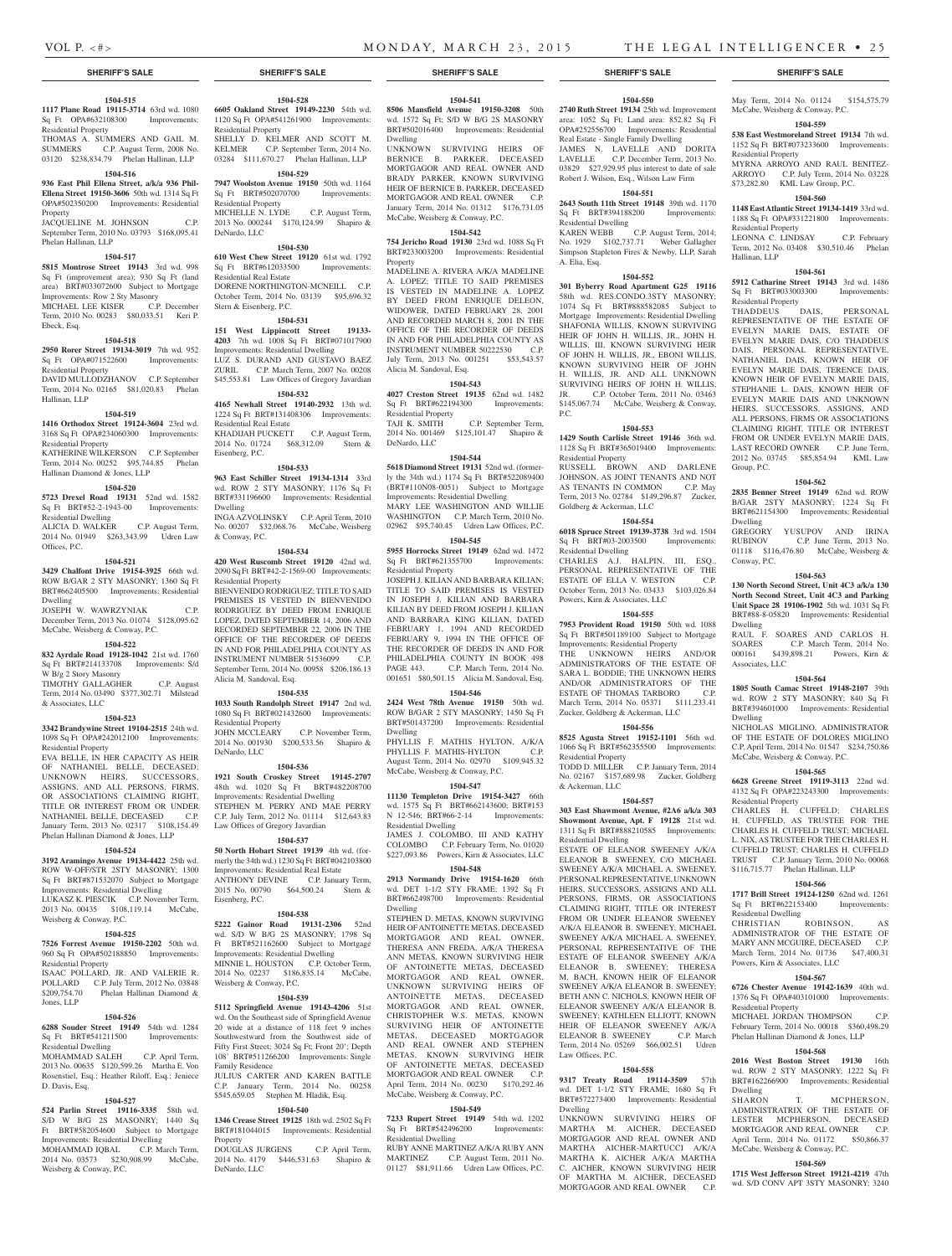# **SHERIFF'S SALE SHERIFF'S SALE SHERIFF'S SALE SHERIFF'S SALE SHERIFF'S SALE**

# **1504-515**

**1117 Plane Road 19115-3714** 63rd wd. 1080 Sq Ft OPA#632108300 Improvements: Residential Property THOMAS A. SUMMERS AND GAIL M.

SUMMERS C.P. August Term, 2008 No. 03120 \$238,834.79 Phelan Hallinan, LLP

## **1504-516**

**936 East Phil Ellena Street, a/k/a 936 Phil-Ellena Street 19150-3606** 50th wd. 1314 Sq Ft OPA#502350200 Improvements: Residential Property

### JACQUELINE M. JOHNSON C.P. September Term, 2010 No. 03793 \$168,095.41 Phelan Hallinan, LLP

### **1504-517**

**5815 Montrose Street 19143** 3rd wd. 998 Sq Ft (improvement area); 930 Sq Ft (land area) BRT#033072600 Subject to Mortgage Improvements: Row 2 Sty Masonry MICHAEL LEE KISER C.P. December

# Term, 2010 No. 00283 \$80,033.51 Keri P. Ebeck, Esq.

# **1504-518**

Hallinan, LLP

Residential Property

Residential Dwelling

W B/g 2 Story Masonry

& Associates, LLC

Residential Property

Weisberg & Conway, P.C.

Residential Property

Residential Dwelling

Weisberg & Conway, P.C.

D. Davis, Esq.

Jones, LLP

**1504-525 7526 Forrest Avenue 19150-2202** 50th wd. 960 Sq Ft OPA#502188850 Improvements:

ISAAC POLLARD, JR. AND VALERIE R. POLLARD C.P. July Term, 2012 No. 03848<br>\$209.754.70 Phelan Hallinan Diamond &

**1504-526 6288 Souder Street 19149** 54th wd. 1284 Sq Ft BRT#541211500 Improvements:

MOHAMMAD SALEH C.P. April Term, 2013 No. 00635 \$120,599.26 Martha E. Von Rosenstiel, Esq.; Heather Riloff, Esq.; Jeniece

**1504-527 524 Parlin Street 19116-3335** 58th wd. S/D W B/G 2S MASONRY; 1440 Sq Ft BRT#582054600 Subject to Mortgage Improvements: Residential Dwelling MOHAMMAD IQBAL C.P. March Term, 2014 No. 03573 \$230,908.99 McCabe,

**Phelan Hallinan Diamond &** 

Offices, P.C.

Dwelling

Hallinan Diamond & Jones, LLP

**2950 Rorer Street 19134-3019** 7th wd. 952 Sq Ft OPA#071522600 Improvements: Residential Property DAVID MULLODZHANOV C.P. September Term, 2014 No. 02165 \$81,020.83 Phelan

**1504-519 1416 Orthodox Street 19124-3604** 23rd wd. 3168 Sq Ft OPA#234060300 Improvements:

KATHERINE WILKERSON C.P. September Term, 2014 No. 00252 \$95,744.85 Phelan

**1504-520 5723 Drexel Road 19131** 52nd wd. 1582 Sq Ft BRT#52-2-1943-00 Improvements:

ALICIA D. WALKER C.P. August Term, 2014 No. 01949 \$263,343.99 Udren Law

**1504-521 3429 Chalfont Drive 19154-3925** 66th wd. ROW B/GAR 2 STY MASONRY: 1360 Sq Ft BRT#662405500 Improvements: Residential

JOSEPH W. WAWRZYNIAK C.P. December Term, 2013 No. 01074 \$128,095.62 McCabe, Weisberg & Conway, P.C.

**1504-522 832 Ayrdale Road 19128-1042** 21st wd. 1760 Sq Ft BRT#214133708 Improvements: S/d

TIMOTHY GALLAGHER C.P. August Term, 2014 No. 03490 \$377,302.71 Milstead

**1504-523 3342 Brandywine Street 19104-2515** 24th wd. 1098 Sq Ft OPA#242012100 Improvements:

EVA BELLE, IN HER CAPACITY AS HEIR OF NATHANIEL BELLE, DECEASED; UNKNOWN HEIRS, SUCCESSORS, ASSIGNS, AND ALL PERSONS, FIRMS, OR ASSOCIATIONS CLAIMING RIGHT, TITLE OR INTEREST FROM OR UNDER NATHANIEL BELLE, DECEASED C.P. January Term, 2013 No. 02317 \$108,154.49 Phelan Hallinan Diamond & Jones, LLP **1504-524 3192 Aramingo Avenue 19134-4422** 25th wd. ROW W-OFF/STR 2STY MASONRY; 1300 Sq Ft BRT#871532070 Subject to Mortgage Improvements: Residential Dwelling LUKASZ K. PIESCIK C.P. November Term, 2013 No. 00435 \$108,119.14 McCabe,

### **1504-532**

Eisenberg, P.C.

**4165 Newhall Street 19140-2932** 13th wd. 1224 Sq Ft BRT#131408306 Improvements: Residential Real Estate KHADIJAH PUCKETT C.P. August Term,<br>2014 No. 01724 \$68,312.09 Stern & 2014 No. 01724 \$68,312.09

**1504-528 6605 Oakland Street 19149-2230** 54th wd. 1120 Sq Ft OPA#541261900 Improvements:

SHELLY D. KELMER AND SCOTT M. KELMER C.P. September Term, 2014 No. 03284 \$111,670.27 Phelan Hallinan, LLP **1504-529 7947 Woolston Avenue 19150** 50th wd. 1164 Sq Ft BRT#502070700 Improvements:

MICHELLE N. LYDE C.P. August Term, 2013 No. 000244 \$170,124.99 Shapiro &

**1504-530 610 West Chew Street 19120** 61st wd. 1792<br>
Sq Ft BRT#612033500 Improvements

DORENE NORTHINGTON-MCNEILL C.P. October Term, 2014 No. 03139 \$95,696.32

**1504-531 151 West Lippincott Street 19133- 4203** 7th wd. 1008 Sq Ft BRT#071017900 Improvements: Residential Dwelling LUZ S. DURAND AND GUSTAVO BAEZ<br>ZURIL C.P. March Term. 2007 No. 00208 C.P. March Term, 2007 No. 00208 \$45,553.81 Law Offices of Gregory Javardian

Residential Property

Residential Property

Sq Ft BRT#612033500 Residential Real Estate

Stern & Eisenberg, P.C.

DeNardo, LLC

# **1504-533**

**963 East Schiller Street 19134-1314** 33rd wd. ROW 2 STY MASONRY; 1176 Sq Ft BRT#331196600 Improvements: Residential Dwelling INGA AZVOLINSKY C.P. April Term, 2010 No. 00207 \$32,068.76 McCabe, Weisberg & Conway, P.C.

### **1504-534**

**420 West Ruscomb Street 19120** 42nd wd. 2090 Sq Ft BRT#42-2-1569-00 Improvements: Residential Property

BIENVENIDO RODRIGUEZ; TITLE TO SAID PREMISES IS VESTED IN BIENVENIDO RODRIGUEZ BY DEED FROM ENRIQUE LOPEZ, DATED SEPTEMBER 14, 2006 AND RECORDED SEPTEMBER 22, 2006 IN THE OFFICE OF THE RECORDER OF DEEDS IN AND FOR PHILADELPHIA COUNTY AS INSTRUMENT NUMBER 51536099 C.P. September Term, 2014 No. 00958 \$206,186.13 Alicia M. Sandoval, Esq.

### **1504-535**

**1033 South Randolph Street 19147** 2nd wd. 1080 Sq Ft BRT#021432600 Improvements:

Residential Property<br>JOHN MCCLEARY C.P. November Term, 2014 No. 001930 \$200,533.56 Shapiro & DeNardo, LLC

### **1504-536**

**1921 South Croskey Street 19145-2707**  48th wd. 1020 Sq Ft BRT#482208700 Improvements: Residential Dwelling STEPHEN M. PERRY AND MAE PERRY C.P. July Term, 2012 No. 01114 \$12,643.83 Law Offices of Gregory Javardian

### **1504-537**

**50 North Hobart Street 19139** 4th wd. (formerly the 34th wd.) 1230 Sq Ft BRT#042103800 Improvements: Residential Real Estate<br>ANTHONY DEVINE C.P. January Term, ANTHONY DEVINE 2015 No. 00790 \$64,500.24 Stern & Eisenberg, P.C.

### **1504-538**

**5222 Gainor Road 19131-2306** 52nd wd. S/D W B/G 2S MASONRY: 1798 Sq Ft BRT#521162600 Subject to Mortgage Improvements: Residential Dwelling

MINNIE L. HOUSTON C.P. October Term, 2014 No. 02237 \$186,835.14 McCabe, Weisberg & Conway, P.C.

# **1504-539**

**5112 Springfield Avenue 19143-4206** 51st wd. On the Southeast side of Springfield Avenue 20 wide at a distance of 118 feet 9 inches Southwestward from the Southwest side of Fifty First Street; 3024 Sq Ft; Front 20'; Depth 108' BRT#511266200 Improvements: Single Family Residence JULIUS CARTER AND KAREN BATTLE

C.P. January Term, 2014 No. 00258 \$545,659.05 Stephen M. Hladik, Esq.

# **1504-540**

**1346 Crease Street 19125** 18th wd. 2502 Sq Ft BRT#181044015 Improvements: Residential Property

DOUGLAS JURGENS C.P. April Term, 2014 No. 4179 \$446,531.63 Shapiro & DeNardo, LLC

**1504-541 8506 Mansfield Avenue 19150-3208** 50th wd. 1572 Sq Ft; S/D W B/G 2S MASONRY BRT#502016400 Improvements: Residential Dwelling

UNKNOWN SURVIVING HEIRS OF BERNICE B. PARKER, DECEASED MORTGAGOR AND REAL OWNER AND BRADY PARKER, KNOWN SURVIVING HEIR OF BERNICE B. PARKER, DECEASED MORTGAGOR AND REAL OWNER C.P. January Term, 2014 No. 01312 \$176,731.05 McCabe, Weisberg & Conway, P.C.

# **1504-542**

**754 Jericho Road 19130** 23rd wd. 1088 Sq Ft BRT#233003200 Improvements: Residential Property

MADELINE A. RIVERA A/K/A MADELINE A. LOPEZ; TITLE TO SAID PREMISES IS VESTED IN MADELINE A. LOPEZ BY DEED FROM ENRIQUE DELEON, WIDOWER, DATED FEBRUARY 28, 2001 AND RECORDED MARCH 8, 2001 IN THE OFFICE OF THE RECORDER OF DEEDS IN AND FOR PHILADELPHIA COUNTY AS INSTRUMENT NUMBER 50222530 C.P. July Term, 2013 No. 001251 \$53,543.57 Alicia M. Sandoval, Esq.

## **1504-543**

**4027 Creston Street 19135** 62nd wd. 1482 Sq Ft BRT#622194300 Improvements: Residential Property<br>TAJI K. SMITH C.P. September Term, 2014 No. 001469 \$125,101.47 Shapiro & DeNardo, LLC

### **1504-544**

**5618 Diamond Street 19131** 52nd wd. (formerly the 34th wd.) 1174 Sq Ft BRT#522089400 (BRT#110N08-0051) Subject to Mortgage Improvements: Residential Dwelling MARY LEE WASHINGTON AND WILLIE WASHINGTON C.P. March Term, 2010 No. 02962 \$95,740.45 Udren Law Offices, P.C.

### **1504-545**

**5955 Horrocks Street 19149** 62nd wd. 1472 Sq Ft BRT#621355700 Improvements: Residential Property

JOSEPH J. KILIAN AND BARBARA KILIAN; TITLE TO SAID PREMISES IS VESTED IN JOSEPH J. KILIAN AND BARBARA KILIAN BY DEED FROM JOSEPH J. KILIAN AND BARBARA KING KILIAN, DATED FEBRUARY 1, 1994 AND RECORDED FEBRUARY 9, 1994 IN THE OFFICE OF THE RECORDER OF DEEDS IN AND FOR PHILADELPHIA COUNTY IN BOOK 498 PAGE 443. C.P. March Term, 2014 No. 001651 \$80,501.15 Alicia M. Sandoval, Esq.

## **1504-546**

**2424 West 78th Avenue 19150** 50th wd. ROW B/GAR 2 STY MASONRY; 1450 Sq Ft BRT#501437200 Improvements: Residential Dwelling

PHYLLIS F. MATHIS HYLTON, A/K/A PHYLLIS F. MATHIS-HYLTON C.P. August Term, 2014 No. 02970 \$109,945.32 McCabe, Weisberg & Conway, P.C.

### **1504-547**

**11130 Templeton Drive 19154-3427** 66th wd. 1575 Sq Ft BRT#662143600; BRT#153 N 12-546; BRT#66-2-14 Improvements: Residential Dwelling JAMES J. COLOMBO, III AND KATHY

COLOMBO C.P. February Term, No. 01020 \$227,093.86 Powers, Kirn & Associates, LLC

# **1504-548**

**2913 Normandy Drive 19154-1620** 66th wd. DET 1-1/2 STY FRAME; 1392 Sq Ft BRT#662498700 Improvements: Residential Dwelling

STEPHEN D. METAS, KNOWN SURVIVING HEIR OF ANTOINETTE METAS, DECEASED MORTGAGOR AND REAL OWNER, THERESA ANN FREDA, A/K/A THERESA ANN METAS, KNOWN SURVIVING HEIR OF ANTOINETTE METAS, DECEASED MORTGAGOR AND REAL OWNER, UNKNOWN SURVIVING HEIRS OF ANTOINETTE METAS, DECEASED MORTGAGOR AND REAL OWNER, CHRISTOPHER W.S. METAS, KNOWN SURVIVING HEIR OF ANTOINETTE METAS, DECEASED MORTGAGOR AND REAL OWNER AND STEPHEN METAS, KNOWN SURVIVING HEIR OF ANTOINETTE METAS, DECEASED MORTGAGOR AND REAL OWNER April Term, 2014 No. 00230 \$170,292.46 McCabe, Weisberg & Conway, P.C.

# **1504-549**

**7233 Rupert Street 19149** 54th wd. 1202 Sq Ft BRT#542496200 Improvements: Residential Dwelling

RUBY ANNE MARTINEZ A/K/A RUBY ANN MARTINEZ C.P. August Term, 2011 No. 01127 \$81,911.66 Udren Law Offices, P.C.

## **1504-550**

**2740 Ruth Street 19134** 25th wd. Improvement area: 1052 Sq Ft; Land area: 852.82 Sq Ft OPA#252556700 Improvements: Residential Real Estate - Single Family Dwelling JAMES N. LAVELLE AND DORITA LAVELLE C.P. December Term, 2013 No. 03829 \$27,929.95 plus interest to date of sale Robert J. Wilson, Esq., Wilson Law Firm

### **1504-551 2643 South 11th Street 19148** 39th wd. 1170

Sq Ft BRT#394188200 Improvements: Residential Dwelling KAREN WEBB C.P. August Term, 2014; No. 1929 \$102,737.71 Weber Gallagher

Simpson Stapleton Fires & Newby, LLP, Sarah A. Elia, Esq. **1504-552**

**301 Byberry Road Apartment G25 19116**  58th wd. RES.CONDO.3STY MASONRY; 1074 Sq Ft BRT#888582085 Subject to Mortgage Improvements: Residential Dwelling SHAFONIA WILLIS, KNOWN SURVIVING HEIR OF JOHN H. WILLIS, JR., JOHN H. WILLIS, III, KNOWN SURVIVING HEIR OF JOHN H. WILLIS, JR., EBONI WILLIS, KNOWN SURVIVING HEIR OF JOHN H. WILLIS, JR. AND ALL UNKNOWN SURVIVING HEIRS OF JOHN H. WILLIS, JR. C.P. October Term, 2011 No. 03463 \$145,067.74 McCabe, Weisberg & Conway, P.C.

### **1504-553**

**1429 South Carlisle Street 19146** 36th wd. 1128 Sq Ft BRT#365019400 Improvements: Residential Property RUSSELL BROWN AND DARLENE JOHNSON, AS JOINT TENANTS AND NOT AS TENANTS IN COMMON C.P. May Term, 2013 No. 02784 \$149,296.87 Zucker, Goldberg & Ackerman, LLC

# **1504-554**

**6018 Spruce Street 19139-3738** 3rd wd. 1504 Sq Ft BRT#03-2003500 Improvements: Residential Dwelling CHARLES A.J. HALPIN, III, ESQ. PERSONAL REPRESENTATIVE OF THE ESTATE OF ELLA V. WESTON C.P. October Term, 2013 No. 03433 \$103,026.84 Powers, Kirn & Associates, LLC

### **1504-555**

**7953 Provident Road 19150** 50th wd. 1088 Sq Ft BRT#501189100 Subject to Mortgage Improvements: Residential Property THE UNKNOWN HEIRS AND/OR ADMINISTRATORS OF THE ESTATE OF SARA L. BODDIE; THE UNKNOWN HEIRS AND/OR ADMINISTRATORS OF THE ESTATE OF THOMAS TARBORO C.P. March Term, 2014 No. 05371 \$111,233.41 Zucker, Goldberg & Ackerman, LLC

### **1504-556**

**8525 Agusta Street 19152-1101** 56th wd. 1066 Sq Ft BRT#562355500 Improvements: Residential Property

TODD D. MILLER C.P. January Term, 2014 No. 02167 \$157,689.98 Zucker, Goldberg & Ackerman, LLC

### **1504-557**

**303 East Shawmont Avenue, #2A6 a/k/a 303 Showmont Avenue, Apt. F 19128** 21st wd. 1311 Sq Ft BRT#888210585 Improvements: Residential Dwelling

ESTATE OF ELEANOR SWEENEY A/K/A ELEANOR B. SWEENEY, C/O MICHAEL SWEENEY A/K/A MICHAEL A. SWEENEY, PERSONAL REPRESENTATIVE, UNKNOWN HEIRS, SUCCESSORS, ASSIGNS AND ALL PERSONS, FIRMS, OR ASSOCIATIONS CLAIMING RIGHT, TITLE OR INTEREST FROM OR UNDER ELEANOR SWEENEY A/K/A ELEANOR B. SWEENEY; MICHAEL SWEENEY A/K/A MICHAEL A. SWEENEY, PERSONAL REPRESENTATIVE OF THE ESTATE OF ELEANOR SWEENEY A/K/A ELEANOR B. SWEENEY; THERESA M. BACH, KNOWN HEIR OF ELEANOR SWEENEY A/K/A ELEANOR B. SWEENEY; BETH ANN C. NICHOLS, KNOWN HEIR OF ELEANOR SWEENEY A/K/A ELEANOR B. SWEENEY; KATHLEEN ELLIOTT, KNOWN HEIR OF ELEANOR SWEENEY A/K/A ELEANOR B. SWEENEY C.P. March 2014 No. 05269 \$66,002.51 Udren Law Offices, P.C.

# **1504-558**

**9317 Treaty Road 19114-3509** 57th wd. DET 1-1/2 STY FRAME; 1680 Sq Ft BRT#572273400 Improvements: Residential Dwelling UNKNOWN SURVIVING HEIRS OF MARTHA M. AICHER, DECEASED MORTGAGOR AND REAL OWNER AND MARTHA AICHER-MARTUCCI A/K/A

MARTHA K. AICHER A/K/A MARTHA C. AICHER, KNOWN SURVIVING HEIR OF MARTHA M. AICHER, DECEASED MORTGAGOR AND REAL OWNER C.P.

# May Term, 2014 No. 01124 \$154,575.79

McCabe, Weisberg & Conway, P.C. **1504-559 538 East Westmoreland Street 19134** 7th wd.

1152 Sq Ft BRT#073233600 Improvements: Residential Property MYRNA ARROYO AND RAUL BENITEZ-ARROYO C.P. July Term, 2014 No. 03228

# \$73,282.80 KML Law Group, P.C. **1504-560**

**1148 East Atlantic Street 19134-1419** 33rd wd. 1188 Sq Ft OPA#331221800 Improvements: Residential Property

LEONNA C. LINDSAY C.P. February Term, 2012 No. 03408 \$30,510.46 Phelan Hallinan, LLP

### **1504-561**

**5912 Catharine Street 19143** 3rd wd. 1486 Sq Ft BRT#033003300 Improvements: Residential Property

THADDEUS DAIS, PERSONAL REPRESENTATIVE OF THE ESTATE OF EVELYN MARIE DAIS, ESTATE OF EVELYN MARIE DAIS, C/O THADDEUS DAIS, PERSONAL REPRESENTATIVE, NATHANIEL DAIS, KNOWN HEIR OF EVELYN MARIE DAIS, TERENCE DAIS, KNOWN HEIR OF EVELYN MARIE DAIS, STEPHANIE L. DAIS, KNOWN HEIR OF EVELYN MARIE DAIS AND UNKNOWN HEIRS, SUCCESSORS, ASSIGNS, AND ALL PERSONS, FIRMS OR ASSOCIATIONS CLAIMING RIGHT, TITLE OR INTEREST FROM OR UNDER EVELYN MARIE DAIS, LAST RECORD OWNER C.P. June Term, 2012 No. 03745 \$85,854.94 KML Law Group, P.C.

### **1504-562**

**2835 Benner Street 19149** 62nd wd. ROW B/GAR 2STY MASONRY; 1224 Sq Ft BRT#621154300 Improvements: Residential Dwelling GREGORY YUSUPOV AND IRINA<br>RUBINOV C.P. June Term, 2013 No.

C.P. June Term, 2013 No. 01118 \$116,476.80 McCabe, Weisberg & Conway, P.C.

# **1504-563**

**130 North Second Street, Unit 4C3 a/k/a 130 North Second Street, Unit 4C3 and Parking Unit Space 28 19106-1902** 5th wd. 1031 Sq Ft BRT#88-8-05820 Improvements: Residential Dwelling

RAUL F. SOARES AND CARLOS H. SOARES C.P. March Term, 2014 No. 000161 \$439,898.21 Powers, Kirn & Associates, LLC

### **1504-564 1805 South Camac Street 19148-2107** 39th wd. ROW 2 STY MASONRY; 840 Sq Ft

BRT#394601000 Improvements: Residential

NICHOLAS MIGLINO, ADMINISTRATOR OF THE ESTATE OF DOLORES MIGLINO C.P. April Term, 2014 No. 01547 \$234,750.86 McCabe, Weisberg & Conway, P.C. **1504-565 6628 Greene Street 19119-3113** 22nd wd. 4132 Sq Ft OPA#223243300 Improvements:

CHARLES H. CUFFELD; CHARLES H. CUFFELD, AS TRUSTEE FOR THE CHARLES H. CUFFELD TRUST; MICHAEL L. NIX, AS TRUSTEE FOR THE CHARLES H. CUFFELD TRUST; CHARLES H. CUFFELD TRUST C.P. January Term, 2010 No. 00068 \$116,715.77 Phelan Hallinan, LLP **1504-566 1717 Brill Street 19124-1250** 62nd wd. 1261 Sq Ft BRT#622153400 Improvements:

CHRISTIAN ROBINSON, AS ADMINISTRATOR OF THE ESTATE OF MARY ANN MCGUIRE, DECEASED C.P. March Term, 2014 No. 01736 \$47,400.31

**1504-567 6726 Chester Avenue 19142-1639** 40th wd. 1376 Sq Ft OPA#403101000 Improvements:

MICHAEL JORDAN THOMPSON C.P. February Term, 2014 No. 00018 \$360,498.29 Phelan Hallinan Diamond & Jones, LLP **1504-568 2016 West Boston Street 19130** 16th wd. ROW 2 STY MASONRY; 1222 Sq Ft BRT#162266900 Improvements: Residential

SHARON T. MCPHERSON, ADMINISTRATRIX OF THE ESTATE OF LESTER MCPHERSON, DECEASED MORTGAGOR AND REAL OWNER C.P. April Term, 2014 No. 01172 \$50,866.37

McCabe, Weisberg & Conway, P.C. **1504-569 1715 West Jefferson Street 19121-4219** 47th wd. S/D CONV APT 3STY MASONRY; 3240

Dwelling

Residential Property

Residential Dwelling

Residential Property

Dwelling

Powers, Kirn & Associates, LLC